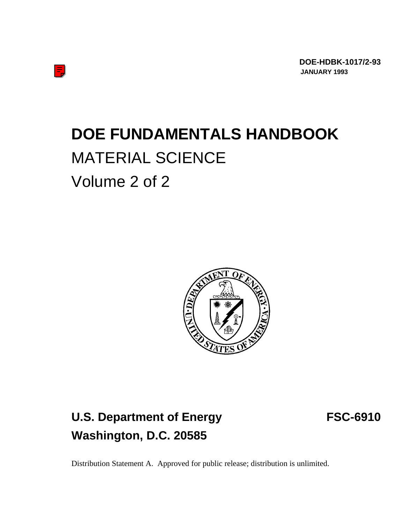# **DOE FUNDAMENTALS HANDBOOK** MATERIAL SCIENCE Volume 2 of 2



# U.S. Department of Energy **FSC-6910 Washington, D.C. 20585**

Distribution Statement A. Approved for public release; distribution is unlimited.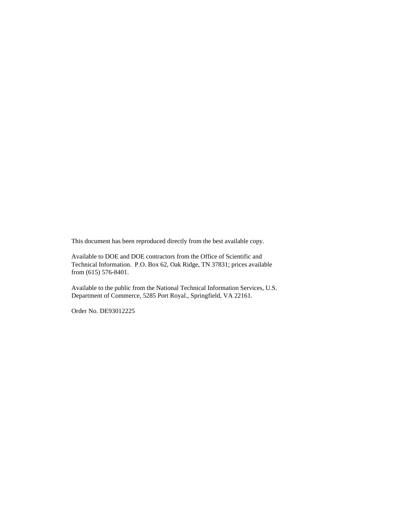This document has been reproduced directly from the best available copy.

Available to DOE and DOE contractors from the Office of Scientific and Technical Information. P.O. Box 62, Oak Ridge, TN 37831; prices available from (615) 576-8401.

Available to the public from the National Technical Information Services, U.S. Department of Commerce, 5285 Port Royal., Springfield, VA 22161.

Order No. DE93012225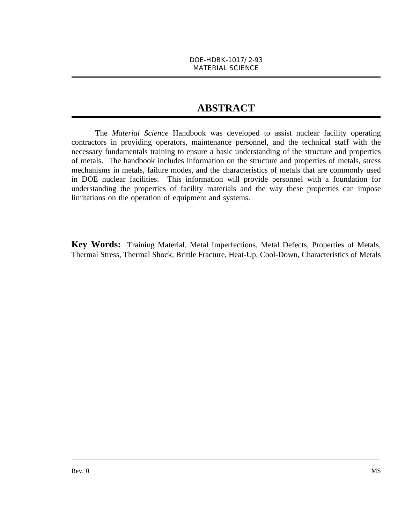# **ABSTRACT**

The *Material Science* Handbook was developed to assist nuclear facility operating contractors in providing operators, maintenance personnel, and the technical staff with the necessary fundamentals training to ensure a basic understanding of the structure and properties of metals. The handbook includes information on the structure and properties of metals, stress mechanisms in metals, failure modes, and the characteristics of metals that are commonly used in DOE nuclear facilities. This information will provide personnel with a foundation for understanding the properties of facility materials and the way these properties can impose limitations on the operation of equipment and systems.

**Key Words:** Training Material, Metal Imperfections, Metal Defects, Properties of Metals, Thermal Stress, Thermal Shock, Brittle Fracture, Heat-Up, Cool-Down, Characteristics of Metals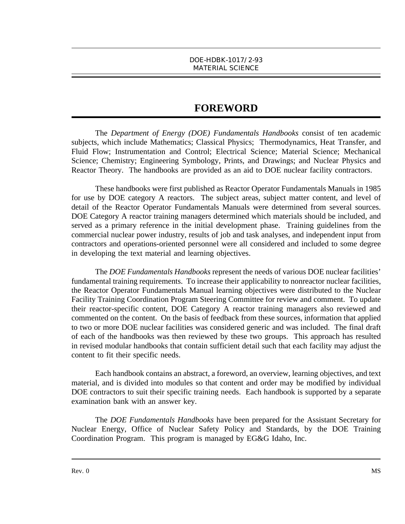### **FOREWORD**

The *Department of Energy (DOE) Fundamentals Handbooks* consist of ten academic subjects, which include Mathematics; Classical Physics; Thermodynamics, Heat Transfer, and Fluid Flow; Instrumentation and Control; Electrical Science; Material Science; Mechanical Science; Chemistry; Engineering Symbology, Prints, and Drawings; and Nuclear Physics and Reactor Theory. The handbooks are provided as an aid to DOE nuclear facility contractors.

These handbooks were first published as Reactor Operator Fundamentals Manuals in 1985 for use by DOE category A reactors. The subject areas, subject matter content, and level of detail of the Reactor Operator Fundamentals Manuals were determined from several sources. DOE Category A reactor training managers determined which materials should be included, and served as a primary reference in the initial development phase. Training guidelines from the commercial nuclear power industry, results of job and task analyses, and independent input from contractors and operations-oriented personnel were all considered and included to some degree in developing the text material and learning objectives.

The *DOE Fundamentals Handbooks* represent the needs of various DOE nuclear facilities' fundamental training requirements. To increase their applicability to nonreactor nuclear facilities, the Reactor Operator Fundamentals Manual learning objectives were distributed to the Nuclear Facility Training Coordination Program Steering Committee for review and comment. To update their reactor-specific content, DOE Category A reactor training managers also reviewed and commented on the content. On the basis of feedback from these sources, information that applied to two or more DOE nuclear facilities was considered generic and was included. The final draft of each of the handbooks was then reviewed by these two groups. This approach has resulted in revised modular handbooks that contain sufficient detail such that each facility may adjust the content to fit their specific needs.

Each handbook contains an abstract, a foreword, an overview, learning objectives, and text material, and is divided into modules so that content and order may be modified by individual DOE contractors to suit their specific training needs. Each handbook is supported by a separate examination bank with an answer key.

The *DOE Fundamentals Handbooks* have been prepared for the Assistant Secretary for Nuclear Energy, Office of Nuclear Safety Policy and Standards, by the DOE Training Coordination Program. This program is managed by EG&G Idaho, Inc.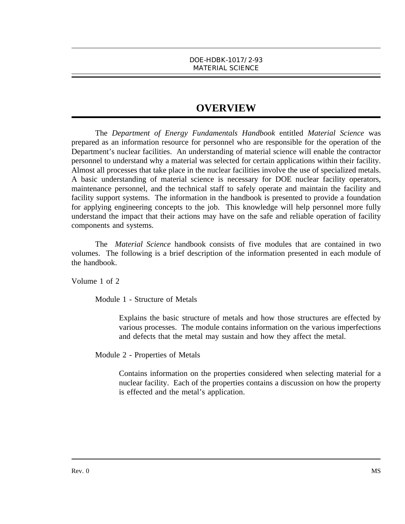# **OVERVIEW**

The *Department of Energy Fundamentals Handbook* entitled *Material Science* was prepared as an information resource for personnel who are responsible for the operation of the Department's nuclear facilities. An understanding of material science will enable the contractor personnel to understand why a material was selected for certain applications within their facility. Almost all processes that take place in the nuclear facilities involve the use of specialized metals. A basic understanding of material science is necessary for DOE nuclear facility operators, maintenance personnel, and the technical staff to safely operate and maintain the facility and facility support systems. The information in the handbook is presented to provide a foundation for applying engineering concepts to the job. This knowledge will help personnel more fully understand the impact that their actions may have on the safe and reliable operation of facility components and systems.

The *Material Science* handbook consists of five modules that are contained in two volumes. The following is a brief description of the information presented in each module of the handbook.

Volume 1 of 2

[Module 1 - Structure of Metals](http://www.doe.gov/html/techstds/standard/hdbk1017/h1017v1.pdf)

Explains the basic structure of metals and how those structures are effected by various processes. The module contains information on the various imperfections and defects that the metal may sustain and how they affect the metal.

Module 2 - Properties of Metals

Contains information on the properties considered when selecting material for a nuclear facility. Each of the properties contains a discussion on how the property is effected and the metal's application.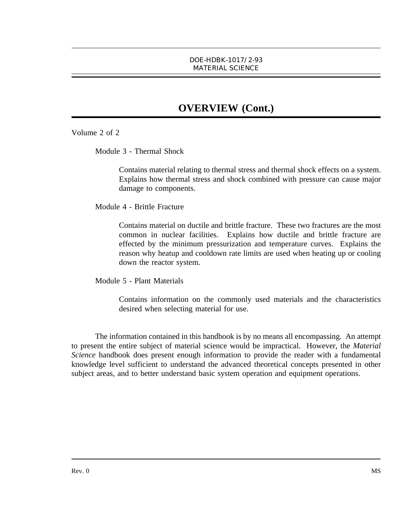# **OVERVIEW (Cont.)**

<span id="page-8-0"></span>Volume 2 of 2

[Module 3 - Thermal Shock](#page-10-0)

Contains material relating to thermal stress and thermal shock effects on a system. Explains how thermal stress and shock combined with pressure can cause major damage to components.

[Module 4 - Brittle Fracture](#page-26-0)

Contains material on ductile and brittle fracture. These two fractures are the most common in nuclear facilities. Explains how ductile and brittle fracture are effected by the minimum pressurization and temperature curves. Explains the reason why heatup and cooldown rate limits are used when heating up or cooling down the reactor system.

[Module 5 - Plant Materials](#page-48-0)

Contains information on the commonly used materials and the characteristics desired when selecting material for use.

The information contained in this handbook is by no means all encompassing. An attempt to present the entire subject of material science would be impractical. However, the *Material Science* handbook does present enough information to provide the reader with a fundamental knowledge level sufficient to understand the advanced theoretical concepts presented in other subject areas, and to better understand basic system operation and equipment operations.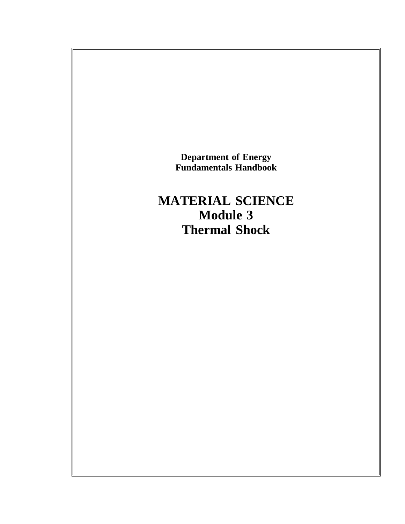<span id="page-10-1"></span><span id="page-10-0"></span>**Department of Energy Fundamentals Handbook**

# **[MATERIAL SCIENCE](#page-8-0) Module 3 Thermal Shock**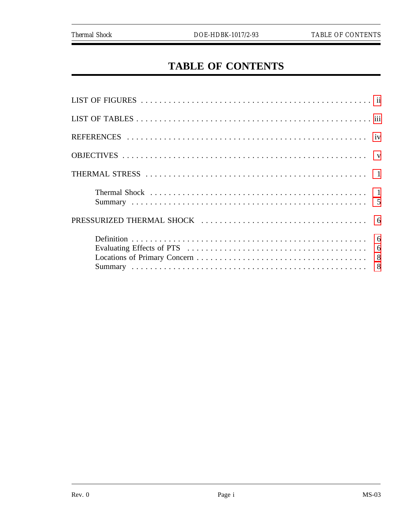# **[TABLE OF CONTENTS](#page-10-1)**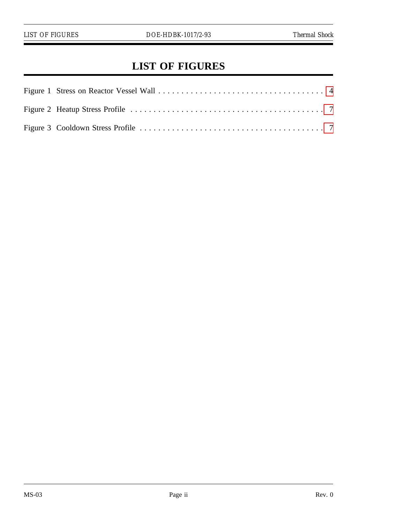# **LIST OF FIGURES**

<span id="page-13-0"></span>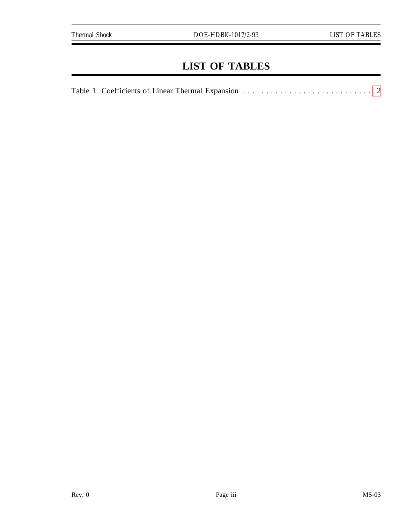# **LIST OF TABLES**

<span id="page-14-0"></span>

|--|--|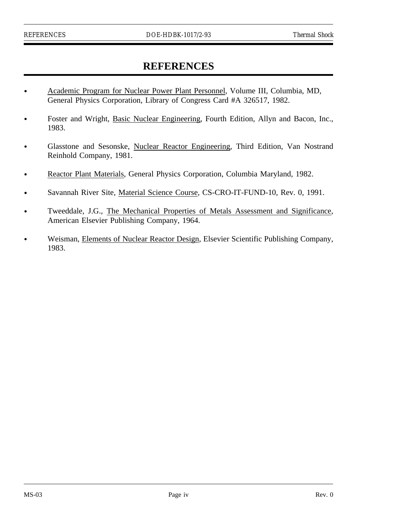### **REFERENCES**

- <span id="page-15-0"></span>Academic Program for Nuclear Power Plant Personnel, Volume III, Columbia, MD,  $\bullet$ General Physics Corporation, Library of Congress Card #A 326517, 1982.
- Foster and Wright, Basic Nuclear Engineering, Fourth Edition, Allyn and Bacon, Inc.,  $\bullet$ 1983.
- Glasstone and Sesonske, Nuclear Reactor Engineering, Third Edition, Van Nostrand  $\bullet$ Reinhold Company, 1981.
- Reactor Plant Materials, General Physics Corporation, Columbia Maryland, 1982.  $\bullet$
- Savannah River Site, Material Science Course, CS-CRO-IT-FUND-10, Rev. 0, 1991.  $\bullet$
- Tweeddale, J.G., The Mechanical Properties of Metals Assessment and Significance, American Elsevier Publishing Company, 1964.
- Weisman, Elements of Nuclear Reactor Design, Elsevier Scientific Publishing Company,  $\bullet$ 1983.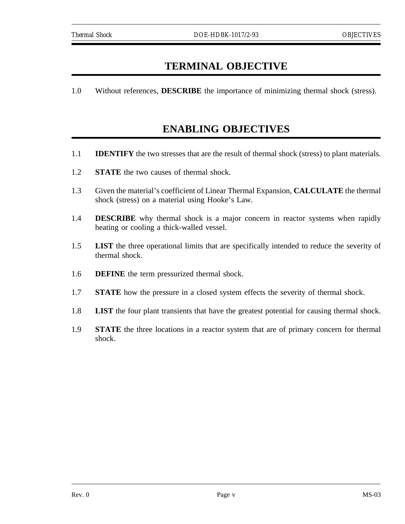## **TERMINAL OBJECTIVE**

<span id="page-16-0"></span>1.0 Without references, **DESCRIBE** the importance of minimizing thermal shock (stress).

### **ENABLING OBJECTIVES**

- 1.1 **IDENTIFY** the two stresses that are the result of thermal shock (stress) to plant materials.
- 1.2 **STATE** the two causes of thermal shock.
- 1.3 Given the material's coefficient of Linear Thermal Expansion, **CALCULATE** the thermal shock (stress) on a material using Hooke's Law.
- 1.4 **DESCRIBE** why thermal shock is a major concern in reactor systems when rapidly heating or cooling a thick-walled vessel.
- 1.5 **LIST** the three operational limits that are specifically intended to reduce the severity of thermal shock.
- 1.6 **DEFINE** the term pressurized thermal shock.
- 1.7 **STATE** how the pressure in a closed system effects the severity of thermal shock.
- 1.8 **LIST** the four plant transients that have the greatest potential for causing thermal shock.
- 1.9 **STATE** the three locations in a reactor system that are of primary concern for thermal shock.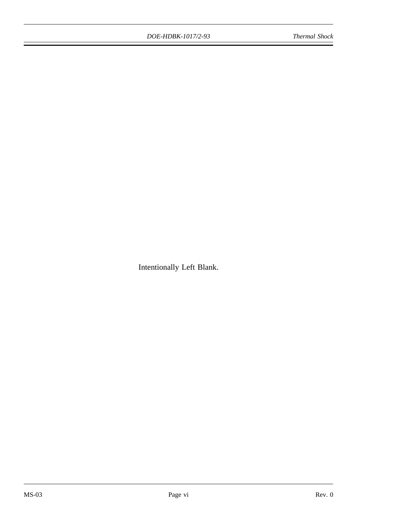#### *DOE-HDBK-1017/2-93 Thermal Shock*

Intentionally Left Blank.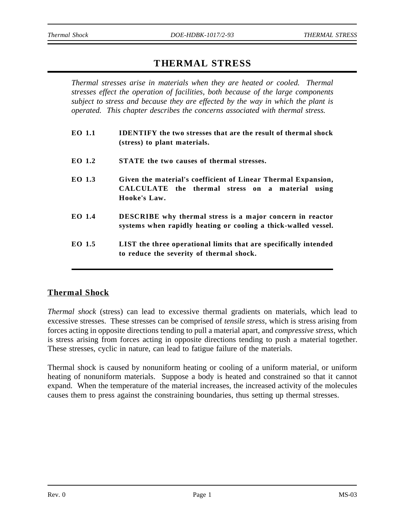### **THERMAL STRESS**

<span id="page-18-0"></span>*Thermal stresses arise in materials when they are heated or cooled. Thermal stresses effect the operation of facilities, both because of the large components subject to stress and because they are effected by the way in which the plant is operated. This chapter describes the concerns associated with thermal stress.*

| EO 1.1   | <b>IDENTIFY</b> the two stresses that are the result of thermal shock<br>(stress) to plant materials.                             |
|----------|-----------------------------------------------------------------------------------------------------------------------------------|
| $EO$ 1.2 | STATE the two causes of thermal stresses.                                                                                         |
| EQ 1.3   | Given the material's coefficient of Linear Thermal Expansion,<br>CALCULATE the thermal stress on a material using<br>Hooke's Law. |
| EO 1.4   | DESCRIBE why thermal stress is a major concern in reactor<br>systems when rapidly heating or cooling a thick-walled vessel.       |
| EO 1.5   | LIST the three operational limits that are specifically intended<br>to reduce the severity of thermal shock.                      |

#### **Thermal Shock**

*Thermal shock* (stress) can lead to excessive thermal gradients on materials, which lead to excessive stresses. These stresses can be comprised of *tensile stress*, which is stress arising from forces acting in opposite directions tending to pull a material apart, and *compressive stress*, which is stress arising from forces acting in opposite directions tending to push a material together. These stresses, cyclic in nature, can lead to fatigue failure of the materials.

Thermal shock is caused by nonuniform heating or cooling of a uniform material, or uniform heating of nonuniform materials. Suppose a body is heated and constrained so that it cannot expand. When the temperature of the material increases, the increased activity of the molecules causes them to press against the constraining boundaries, thus setting up thermal stresses.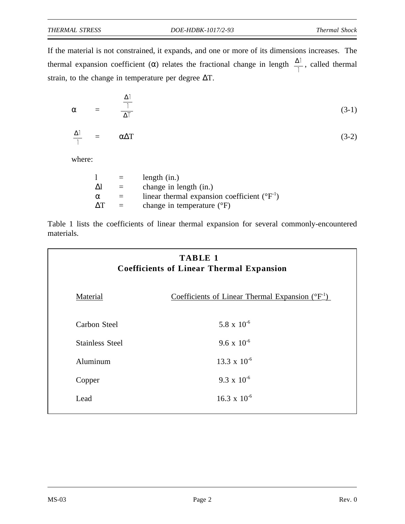#### <span id="page-19-0"></span>*THERMAL STRESS DOE-HDBK-1017/2-93 Thermal Shock*

If the material is not constrained, it expands, and one or more of its dimensions increases. The thermal expansion coefficient ( $\alpha$ ) relates the fractional change in length  $\frac{\Delta}{\Delta}$ , called thermal ī strain, to the change in temperature per degree ∆T.

$$
\alpha = \frac{\frac{\Delta l}{l}}{\Delta T}
$$
 (3-1)

$$
\frac{\Delta 1}{1} = \alpha \Delta T \tag{3-2}
$$

where:

|             |     | length $(in.)$                                            |
|-------------|-----|-----------------------------------------------------------|
| ΔI          | $=$ | change in length (in.)                                    |
| $\alpha$    |     | linear thermal expansion coefficient $({}^{\circ}F^{-1})$ |
| $\Lambda$ T |     | change in temperature $({}^{\circ}F)$                     |

Table 1 lists the coefficients of linear thermal expansion for several commonly-encountered materials.

| <b>TABLE 1</b><br><b>Coefficients of Linear Thermal Expansion</b> |                                                                                 |  |
|-------------------------------------------------------------------|---------------------------------------------------------------------------------|--|
| Material                                                          | <u>Coefficients of Linear Thermal Expansion <math>({}^{\circ}F^{-1})</math></u> |  |
| Carbon Steel                                                      | 5.8 x $10^{-6}$                                                                 |  |
| <b>Stainless Steel</b>                                            | $9.6 \times 10^{-6}$                                                            |  |
| Aluminum                                                          | $13.3 \times 10^{-6}$                                                           |  |
| Copper                                                            | $9.3 \times 10^{-6}$                                                            |  |
| Lead                                                              | $16.3 \times 10^{-6}$                                                           |  |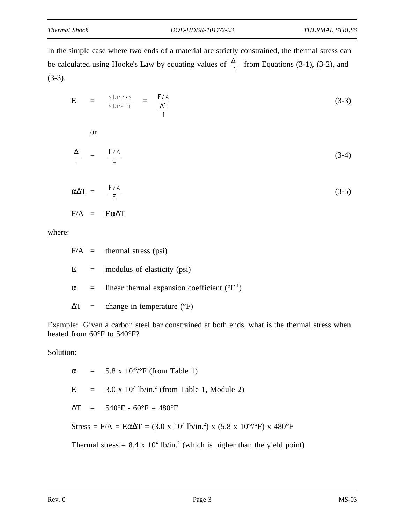In the simple case where two ends of a material are strictly constrained, the thermal stress can be calculated using Hooke's Law by equating values of  $\frac{\Delta l}{n}$  from Equations (3-1), (3-2), and  $\overline{1}$ (3-3).

$$
E = \frac{\text{stress}}{\text{strain}} = \frac{F/A}{\frac{\Delta I}{I}}
$$
 (3-3)

$$
\frac{\Delta l}{l} = \frac{F/A}{E}
$$
 (3-4)

$$
\alpha \Delta T = \frac{F/A}{E} \tag{3-5}
$$

$$
F/A = E\alpha\Delta T
$$

or

where:

|  | $F/A$ = thermal stress (psi)                                           |
|--|------------------------------------------------------------------------|
|  | $E =$ modulus of elasticity (psi)                                      |
|  | $\alpha$ = linear thermal expansion coefficient ( ${}^{\circ}F^{-1}$ ) |
|  | $\Delta T$ = change in temperature (°F)                                |

Example: Given a carbon steel bar constrained at both ends, what is the thermal stress when heated from 60°F to 540°F?

#### Solution:

 $α = 5.8 x 10^{-6/°}F (from Table 1)$  $E = 3.0 \times 10^7$  lb/in.<sup>2</sup> (from Table 1, Module 2)  $\Delta T = 540^{\circ}F - 60^{\circ}F = 480^{\circ}F$ Stress = F/A = E $\alpha\Delta T$  = (3.0 x 10<sup>7</sup> lb/in.<sup>2</sup>) x (5.8 x 10<sup>-6</sup>/°F) x 480°F Thermal stress =  $8.4 \times 10^4$  lb/in.<sup>2</sup> (which is higher than the yield point)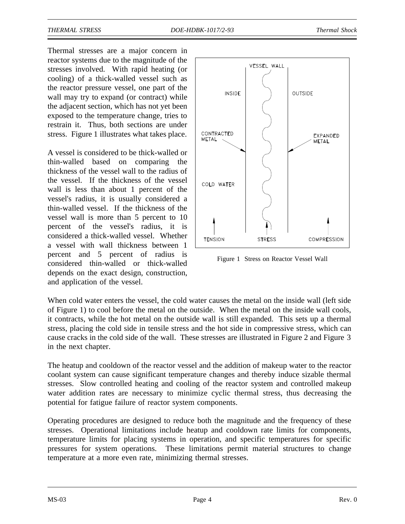<span id="page-21-0"></span>Thermal stresses are a major concern in reactor systems due to the magnitude of the stresses involved. With rapid heating (or cooling) of a thick-walled vessel such as the reactor pressure vessel, one part of the wall may try to expand (or contract) while the adjacent section, which has not yet been exposed to the temperature change, tries to restrain it. Thus, both sections are under stress. Figure 1 illustrates what takes place.

A vessel is considered to be thick-walled or thin-walled based on comparing the thickness of the vessel wall to the radius of the vessel. If the thickness of the vessel wall is less than about 1 percent of the vessel's radius, it is usually considered a thin-walled vessel. If the thickness of the vessel wall is more than 5 percent to 10 percent of the vessel's radius, it is considered a thick-walled vessel. Whether a vessel with wall thickness between 1 percent and 5 percent of radius is considered thin-walled or thick-walled depends on the exact design, construction, and application of the vessel.



Figure 1 Stress on Reactor Vessel Wall

When cold water enters the vessel, the cold water causes the metal on the inside wall (left side of Figure 1) to cool before the metal on the outside. When the metal on the inside wall cools, it contracts, while the hot metal on the outside wall is still expanded. This sets up a thermal stress, placing the cold side in tensile stress and the hot side in compressive stress, which can cause cracks in the cold side of the wall. These stresses are illustrated in Figure 2 and Figure 3 in the next chapter.

The heatup and cooldown of the reactor vessel and the addition of makeup water to the reactor coolant system can cause significant temperature changes and thereby induce sizable thermal stresses. Slow controlled heating and cooling of the reactor system and controlled makeup water addition rates are necessary to minimize cyclic thermal stress, thus decreasing the potential for fatigue failure of reactor system components.

Operating procedures are designed to reduce both the magnitude and the frequency of these stresses. Operational limitations include heatup and cooldown rate limits for components, temperature limits for placing systems in operation, and specific temperatures for specific pressures for system operations. These limitations permit material structures to change temperature at a more even rate, minimizing thermal stresses.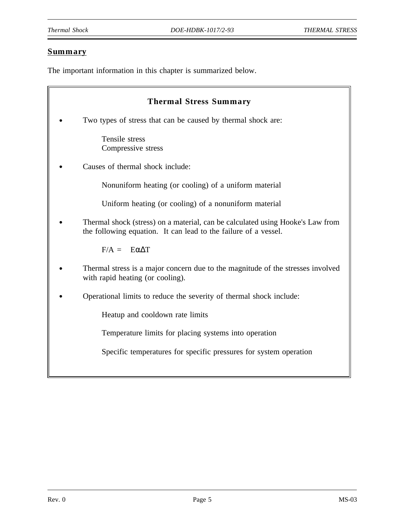#### <span id="page-22-0"></span>**Summary**

The important information in this chapter is summarized below.

| <b>Thermal Stress Summary</b>                                                                                                                     |
|---------------------------------------------------------------------------------------------------------------------------------------------------|
| Two types of stress that can be caused by thermal shock are:                                                                                      |
| Tensile stress<br>Compressive stress                                                                                                              |
| Causes of thermal shock include:                                                                                                                  |
| Nonuniform heating (or cooling) of a uniform material                                                                                             |
| Uniform heating (or cooling) of a nonuniform material                                                                                             |
| Thermal shock (stress) on a material, can be calculated using Hooke's Law from<br>the following equation. It can lead to the failure of a vessel. |
| $F/A = E\alpha\Delta T$                                                                                                                           |
| Thermal stress is a major concern due to the magnitude of the stresses involved<br>with rapid heating (or cooling).                               |
| Operational limits to reduce the severity of thermal shock include:                                                                               |
| Heatup and cooldown rate limits                                                                                                                   |
| Temperature limits for placing systems into operation                                                                                             |
| Specific temperatures for specific pressures for system operation                                                                                 |
|                                                                                                                                                   |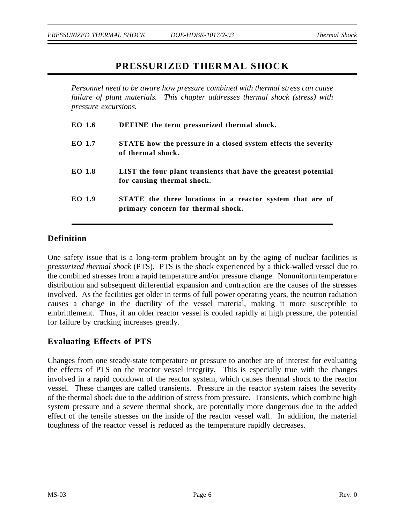### **PRESSURIZED THERMAL SHOCK**

<span id="page-23-0"></span>*Personnel need to be aware how pressure combined with thermal stress can cause failure of plant materials. This chapter addresses thermal shock (stress) with pressure excursions.*

| EO 1.6 | DEFINE the term pressurized thermal shock.                                                      |
|--------|-------------------------------------------------------------------------------------------------|
| EO 1.7 | <b>STATE</b> how the pressure in a closed system effects the severity<br>of thermal shock.      |
| EO 1.8 | LIST the four plant transients that have the greatest potential<br>for causing thermal shock.   |
| EO 1.9 | STATE the three locations in a reactor system that are of<br>primary concern for thermal shock. |

#### **Definition**

One safety issue that is a long-term problem brought on by the aging of nuclear facilities is *pressurized thermal shock* (PTS). PTS is the shock experienced by a thick-walled vessel due to the combined stresses from a rapid temperature and/or pressure change. Nonuniform temperature distribution and subsequent differential expansion and contraction are the causes of the stresses involved. As the facilities get older in terms of full power operating years, the neutron radiation causes a change in the ductility of the vessel material, making it more susceptible to embrittlement. Thus, if an older reactor vessel is cooled rapidly at high pressure, the potential for failure by cracking increases greatly.

#### **Evaluating Effects of PTS**

Changes from one steady-state temperature or pressure to another are of interest for evaluating the effects of PTS on the reactor vessel integrity. This is especially true with the changes involved in a rapid cooldown of the reactor system, which causes thermal shock to the reactor vessel. These changes are called transients. Pressure in the reactor system raises the severity of the thermal shock due to the addition of stress from pressure. Transients, which combine high system pressure and a severe thermal shock, are potentially more dangerous due to the added effect of the tensile stresses on the inside of the reactor vessel wall. In addition, the material toughness of the reactor vessel is reduced as the temperature rapidly decreases.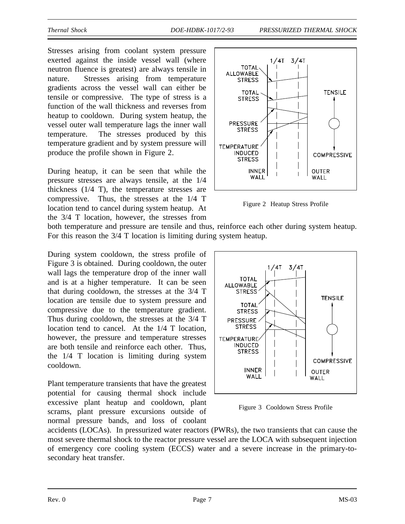<span id="page-24-0"></span>Stresses arising from coolant system pressure exerted against the inside vessel wall (where neutron fluence is greatest) are always tensile in nature. Stresses arising from temperature gradients across the vessel wall can either be tensile or compressive. The type of stress is a function of the wall thickness and reverses from heatup to cooldown. During system heatup, the vessel outer wall temperature lags the inner wall temperature. The stresses produced by this temperature gradient and by system pressure will produce the profile shown in Figure 2.

During heatup, it can be seen that while the pressure stresses are always tensile, at the 1/4 thickness (1/4 T), the temperature stresses are compressive. Thus, the stresses at the 1/4 T location tend to cancel during system heatup. At the 3/4 T location, however, the stresses from



Figure 2 Heatup Stress Profile

both temperature and pressure are tensile and thus, reinforce each other during system heatup. For this reason the 3/4 T location is limiting during system heatup.

During system cooldown, the stress profile of Figure 3 is obtained. During cooldown, the outer wall lags the temperature drop of the inner wall and is at a higher temperature. It can be seen that during cooldown, the stresses at the 3/4 T location are tensile due to system pressure and compressive due to the temperature gradient. Thus during cooldown, the stresses at the 3/4 T location tend to cancel. At the 1/4 T location, however, the pressure and temperature stresses are both tensile and reinforce each other. Thus, the 1/4 T location is limiting during system cooldown.

Plant temperature transients that have the greatest potential for causing thermal shock include excessive plant heatup and cooldown, plant scrams, plant pressure excursions outside of normal pressure bands, and loss of coolant



Figure 3 Cooldown Stress Profile

accidents (LOCAs). In pressurized water reactors (PWRs), the two transients that can cause the most severe thermal shock to the reactor pressure vessel are the LOCA with subsequent injection of emergency core cooling system (ECCS) water and a severe increase in the primary-tosecondary heat transfer.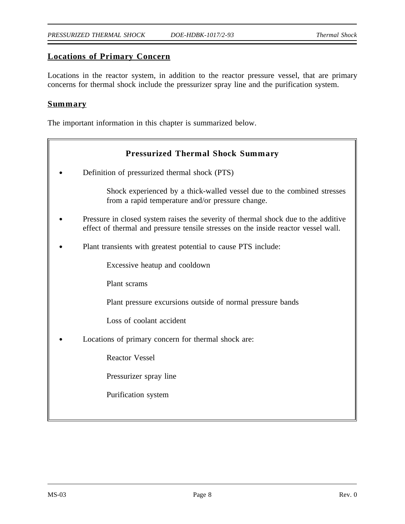#### <span id="page-25-0"></span>**Locations of Primary Concern**

Locations in the reactor system, in addition to the reactor pressure vessel, that are primary concerns for thermal shock include the pressurizer spray line and the purification system.

#### **Summary**

The important information in this chapter is summarized below.

| <b>Pressurized Thermal Shock Summary</b>                                                                                                                                 |
|--------------------------------------------------------------------------------------------------------------------------------------------------------------------------|
| Definition of pressurized thermal shock (PTS)                                                                                                                            |
| Shock experienced by a thick-walled vessel due to the combined stresses<br>from a rapid temperature and/or pressure change.                                              |
| Pressure in closed system raises the severity of thermal shock due to the additive<br>effect of thermal and pressure tensile stresses on the inside reactor vessel wall. |
| Plant transients with greatest potential to cause PTS include:                                                                                                           |
| Excessive heatup and cooldown                                                                                                                                            |
| Plant scrams                                                                                                                                                             |
| Plant pressure excursions outside of normal pressure bands                                                                                                               |
| Loss of coolant accident                                                                                                                                                 |
| Locations of primary concern for thermal shock are:                                                                                                                      |
| <b>Reactor Vessel</b>                                                                                                                                                    |
| Pressurizer spray line                                                                                                                                                   |
| Purification system                                                                                                                                                      |
|                                                                                                                                                                          |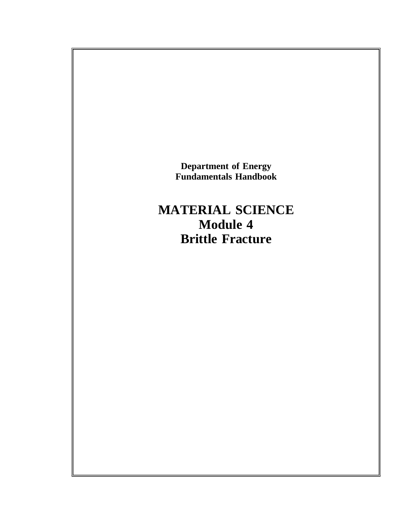<span id="page-26-1"></span><span id="page-26-0"></span>**Department of Energy Fundamentals Handbook**

# **[MATERIAL SCIENCE](#page-8-0) Module 4 Brittle Fracture**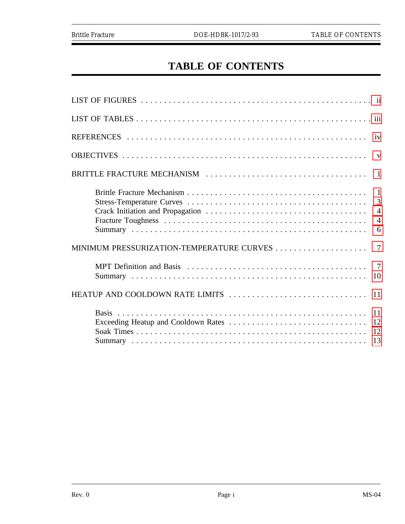# **[TABLE OF CONTENTS](#page-26-1)**

<span id="page-28-1"></span><span id="page-28-0"></span>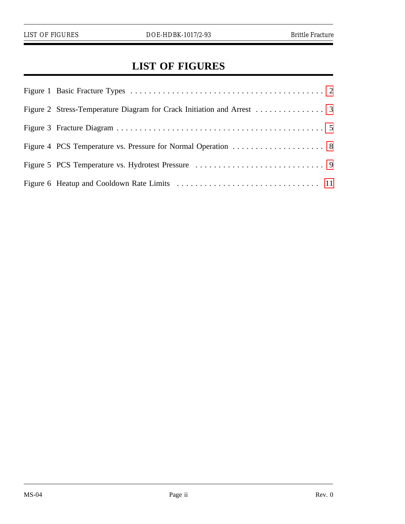# **[LIST OF FIGURES](#page-28-0)**

<span id="page-29-1"></span><span id="page-29-0"></span>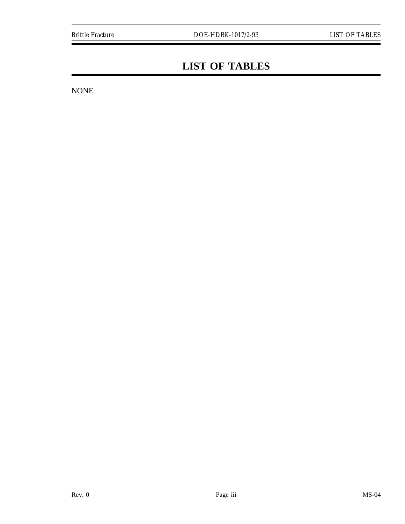# **[LIST OF TABLES](#page-28-0)**

<span id="page-30-0"></span>NONE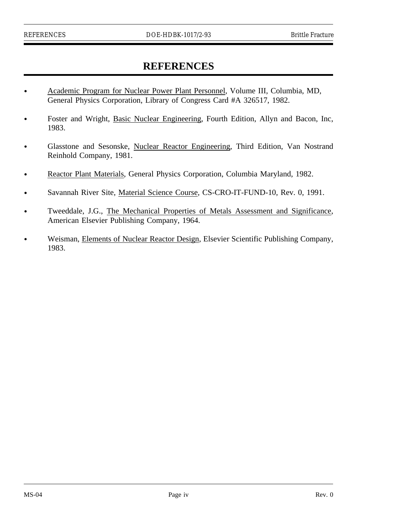### **[REFERENCES](#page-28-0)**

- <span id="page-31-0"></span>Academic Program for Nuclear Power Plant Personnel, Volume III, Columbia, MD,  $\bullet$ General Physics Corporation, Library of Congress Card #A 326517, 1982.
- Foster and Wright, Basic Nuclear Engineering, Fourth Edition, Allyn and Bacon, Inc,  $\bullet$ 1983.
- Glasstone and Sesonske, Nuclear Reactor Engineering, Third Edition, Van Nostrand  $\bullet$ Reinhold Company, 1981.
- Reactor Plant Materials, General Physics Corporation, Columbia Maryland, 1982.  $\bullet$
- Savannah River Site, Material Science Course, CS-CRO-IT-FUND-10, Rev. 0, 1991.  $\bullet$
- Tweeddale, J.G., The Mechanical Properties of Metals Assessment and Significance, American Elsevier Publishing Company, 1964.
- Weisman, Elements of Nuclear Reactor Design, Elsevier Scientific Publishing Company,  $\bullet$ 1983.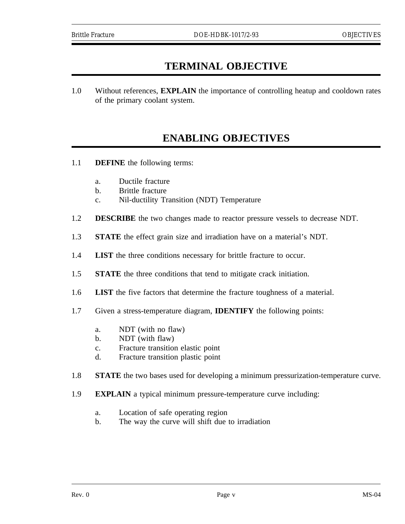## **[TERMINAL OBJECTIVE](#page-28-0)**

<span id="page-32-0"></span>1.0 Without references, **EXPLAIN** the importance of controlling heatup and cooldown rates of the primary coolant system.

### **[ENABLING OBJECTIVES](#page-28-0)**

- 1.1 **DEFINE** the following terms:
	- a. Ductile fracture
	- b. Brittle fracture
	- c. Nil-ductility Transition (NDT) Temperature
- 1.2 **DESCRIBE** the two changes made to reactor pressure vessels to decrease NDT.
- 1.3 **STATE** the effect grain size and irradiation have on a material's NDT.
- 1.4 **LIST** the three conditions necessary for brittle fracture to occur.
- 1.5 **STATE** the three conditions that tend to mitigate crack initiation.
- 1.6 **LIST** the five factors that determine the fracture toughness of a material.
- 1.7 Given a stress-temperature diagram, **IDENTIFY** the following points:
	- a. NDT (with no flaw)
	- b. NDT (with flaw)
	- c. Fracture transition elastic point
	- d. Fracture transition plastic point
- 1.8 **STATE** the two bases used for developing a minimum pressurization-temperature curve.
- 1.9 **EXPLAIN** a typical minimum pressure-temperature curve including:
	- a. Location of safe operating region
	- b. The way the curve will shift due to irradiation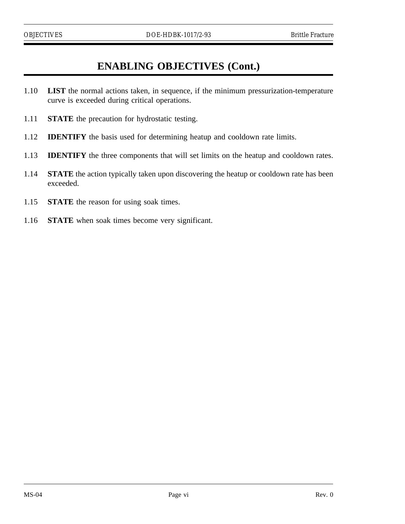## **ENABLING OBJECTIVES (Cont.)**

- 1.10 **LIST** the normal actions taken, in sequence, if the minimum pressurization-temperature curve is exceeded during critical operations.
- 1.11 **STATE** the precaution for hydrostatic testing.
- 1.12 **IDENTIFY** the basis used for determining heatup and cooldown rate limits.
- 1.13 **IDENTIFY** the three components that will set limits on the heatup and cooldown rates.
- 1.14 **STATE** the action typically taken upon discovering the heatup or cooldown rate has been exceeded.
- 1.15 **STATE** the reason for using soak times.
- 1.16 **STATE** when soak times become very significant.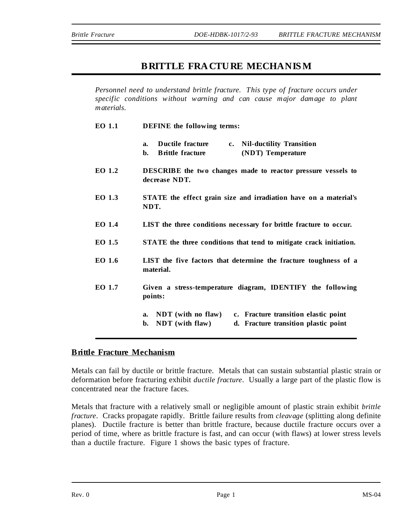### **[BRITTLE FRA CTU RE MECHANIS M](#page-28-1)**

<span id="page-34-0"></span>*Personnel need to understand brittle fracture. This type of fracture occurs under specific conditions without warning and can cause major damage to plant materials.*

**EO 1.1 DEFINE the following terms:**

|               | <b>Ductile fracture</b><br>c. Nil-ductility Transition<br>a.<br><b>Brittle fracture</b><br>(NDT) Temperature<br>$\mathbf{b}$ .        |
|---------------|---------------------------------------------------------------------------------------------------------------------------------------|
| $EO$ 1.2      | <b>DESCRIBE</b> the two changes made to reactor pressure vessels to<br>decrease NDT.                                                  |
| EO 1.3        | STATE the effect grain size and irradiation have on a material's<br>NDT.                                                              |
| <b>EO 1.4</b> | LIST the three conditions necessary for brittle fracture to occur.                                                                    |
| EO 1.5        | STATE the three conditions that tend to mitigate crack initiation.                                                                    |
| EO 1.6        | LIST the five factors that determine the fracture toughness of a<br>material.                                                         |
| EO 1.7        | Given a stress-temperature diagram, IDENTIFY the following<br>points:                                                                 |
|               | $NDT$ (with no flaw)<br>c. Fracture transition elastic point<br>a.<br>$NDT$ (with flaw)<br>d. Fracture transition plastic point<br>b. |

#### **Brittle Fracture [Mechanism](#page-28-0)**

Metals can fail by ductile or brittle fracture. Metals that can sustain substantial plastic strain or deformation before fracturing exhibit *ductile fracture*. Usually a large part of the plastic flow is concentrated near the fracture faces.

Metals that fracture with a relatively small or negligible amount of plastic strain exhibit *brittle fracture*. Cracks propagate rapidly. Brittle failure results from *cleavage* (splitting along definite planes). Ductile fracture is better than brittle fracture, because ductile fracture occurs over a period of time, where as brittle fracture is fast, and can occur (with flaws) at lower stress levels than a ductile fracture. Figure 1 shows the basic types of fracture.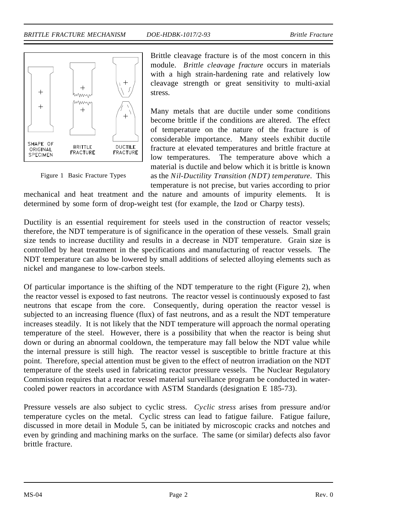<span id="page-35-0"></span>

[Figure 1 Basic Fracture Types](#page-29-1)

Brittle cleavage fracture is of the most concern in this module. *Brittle cleavage fracture* occurs in materials with a high strain-hardening rate and relatively low cleavage strength or great sensitivity to multi-axial stress.

Many metals that are ductile under some conditions become brittle if the conditions are altered. The effect of temperature on the nature of the fracture is of considerable importance. Many steels exhibit ductile fracture at elevated temperatures and brittle fracture at low temperatures. The temperature above which a material is ductile and below which it is brittle is known as the *Nil-Ductility Transition (NDT) temperature*. This temperature is not precise, but varies according to prior

mechanical and heat treatment and the nature and amounts of impurity elements. It is determined by some form of drop-weight test (for example, the Izod or Charpy tests).

Ductility is an essential requirement for steels used in the construction of reactor vessels; therefore, the NDT temperature is of significance in the operation of these vessels. Small grain size tends to increase ductility and results in a decrease in NDT temperature. Grain size is controlled by heat treatment in the specifications and manufacturing of reactor vessels. The NDT temperature can also be lowered by small additions of selected alloying elements such as nickel and manganese to low-carbon steels.

Of particular importance is the shifting of the NDT temperature to the right (Figure 2), when the reactor vessel is exposed to fast neutrons. The reactor vessel is continuously exposed to fast neutrons that escape from the core. Consequently, during operation the reactor vessel is subjected to an increasing fluence (flux) of fast neutrons, and as a result the NDT temperature increases steadily. It is not likely that the NDT temperature will approach the normal operating temperature of the steel. However, there is a possibility that when the reactor is being shut down or during an abnormal cooldown, the temperature may fall below the NDT value while the internal pressure is still high. The reactor vessel is susceptible to brittle fracture at this point. Therefore, special attention must be given to the effect of neutron irradiation on the NDT temperature of the steels used in fabricating reactor pressure vessels. The Nuclear Regulatory Commission requires that a reactor vessel material surveillance program be conducted in watercooled power reactors in accordance with ASTM Standards (designation E 185-73).

Pressure vessels are also subject to cyclic stress. *Cyclic stress* arises from pressure and/or temperature cycles on the metal. Cyclic stress can lead to fatigue failure. Fatigue failure, discussed in more detail in Module 5, can be initiated by microscopic cracks and notches and even by grinding and machining marks on the surface. The same (or similar) defects also favor brittle fracture.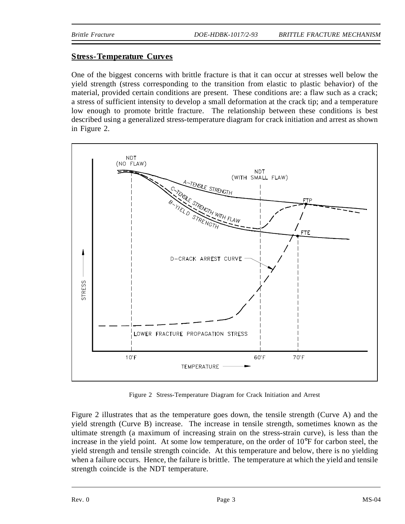#### **[Stress-Temperature](#page-28-0) Curves**

One of the biggest concerns with brittle fracture is that it can occur at stresses well below the yield strength (stress corresponding to the transition from elastic to plastic behavior) of the material, provided certain conditions are present. These conditions are: a flaw such as a crack; a stress of sufficient intensity to develop a small deformation at the crack tip; and a temperature low enough to promote brittle fracture. The relationship between these conditions is best described using a generalized stress-temperature diagram for crack initiation and arrest as shown in Figure 2.



[Figure 2 Stress-Temperature Diagram for Crack Initiation and Arrest](#page-29-0)

Figure 2 illustrates that as the temperature goes down, the tensile strength (Curve A) and the yield strength (Curve B) increase. The increase in tensile strength, sometimes known as the ultimate strength (a maximum of increasing strain on the stress-strain curve), is less than the increase in the yield point. At some low temperature, on the order of 10°F for carbon steel, the yield strength and tensile strength coincide. At this temperature and below, there is no yielding when a failure occurs. Hence, the failure is brittle. The temperature at which the yield and tensile strength coincide is the NDT temperature.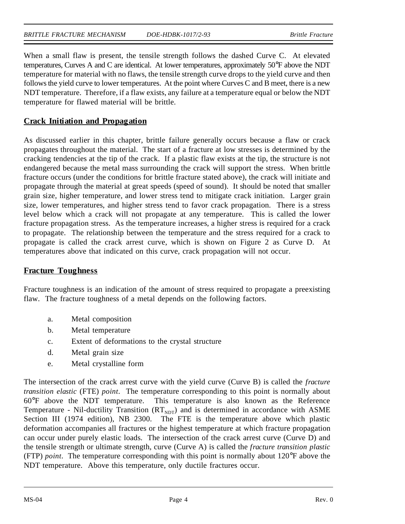When a small flaw is present, the tensile strength follows the dashed Curve C. At elevated temperatures, Curves A and C are identical. At lower temperatures, approximately 50°F above the NDT temperature for material with no flaws, the tensile strength curve drops to the yield curve and then follows the yield curve to lower temperatures. At the point where Curves C and B meet, there is a new NDT temperature. Therefore, if a flaw exists, any failure at a temperature equal or below the NDT temperature for flawed material will be brittle.

### **Crack Initiation and [Propagation](#page-28-0)**

As discussed earlier in this chapter, brittle failure generally occurs because a flaw or crack propagates throughout the material. The start of a fracture at low stresses is determined by the cracking tendencies at the tip of the crack. If a plastic flaw exists at the tip, the structure is not endangered because the metal mass surrounding the crack will support the stress. When brittle fracture occurs (under the conditions for brittle fracture stated above), the crack will initiate and propagate through the material at great speeds (speed of sound). It should be noted that smaller grain size, higher temperature, and lower stress tend to mitigate crack initiation. Larger grain size, lower temperatures, and higher stress tend to favor crack propagation. There is a stress level below which a crack will not propagate at any temperature. This is called the lower fracture propagation stress. As the temperature increases, a higher stress is required for a crack to propagate. The relationship between the temperature and the stress required for a crack to propagate is called the crack arrest curve, which is shown on Figure 2 as Curve D. At temperatures above that indicated on this curve, crack propagation will not occur.

#### **Fracture [Toughness](#page-28-0)**

Fracture toughness is an indication of the amount of stress required to propagate a preexisting flaw. The fracture toughness of a metal depends on the following factors.

- a. Metal composition
- b. Metal temperature
- c. Extent of deformations to the crystal structure
- d. Metal grain size
- e. Metal crystalline form

The intersection of the crack arrest curve with the yield curve (Curve B) is called the *fracture transition elastic* (FTE) *point*. The temperature corresponding to this point is normally about 60°F above the NDT temperature. This temperature is also known as the Reference Temperature - Nil-ductility Transition  $(RT<sub>NDT</sub>)$  and is determined in accordance with ASME Section III (1974 edition), NB 2300. The FTE is the temperature above which plastic deformation accompanies all fractures or the highest temperature at which fracture propagation can occur under purely elastic loads. The intersection of the crack arrest curve (Curve D) and the tensile strength or ultimate strength, curve (Curve A) is called the *fracture transition plastic* (FTP) *point*. The temperature corresponding with this point is normally about 120°F above the NDT temperature. Above this temperature, only ductile fractures occur.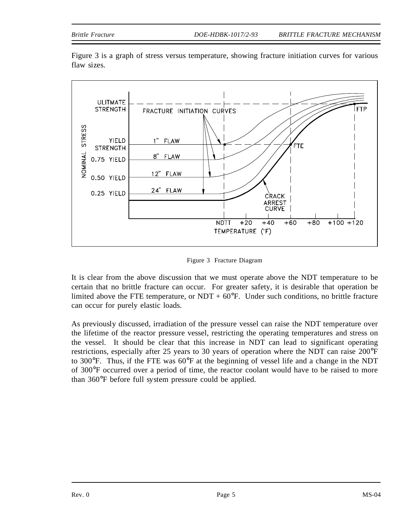Figure 3 is a graph of stress versus temperature, showing fracture initiation curves for various flaw sizes.



[Figure 3 Fracture Diagram](#page-29-0)

It is clear from the above discussion that we must operate above the NDT temperature to be certain that no brittle fracture can occur. For greater safety, it is desirable that operation be limited above the FTE temperature, or  $NDT + 60^\circ F$ . Under such conditions, no brittle fracture can occur for purely elastic loads.

As previously discussed, irradiation of the pressure vessel can raise the NDT temperature over the lifetime of the reactor pressure vessel, restricting the operating temperatures and stress on the vessel. It should be clear that this increase in NDT can lead to significant operating restrictions, especially after 25 years to 30 years of operation where the NDT can raise 200°F to 300°F. Thus, if the FTE was 60°F at the beginning of vessel life and a change in the NDT of 300°F occurred over a period of time, the reactor coolant would have to be raised to more than 360°F before full system pressure could be applied.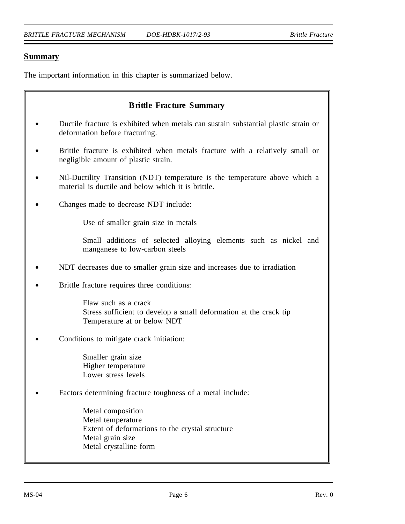### **[Summary](#page-28-0)**

The important information in this chapter is summarized below.

| <b>Brittle Fracture Summary</b>                                                                                                         |  |  |  |  |
|-----------------------------------------------------------------------------------------------------------------------------------------|--|--|--|--|
| Ductile fracture is exhibited when metals can sustain substantial plastic strain or<br>deformation before fracturing.                   |  |  |  |  |
| Brittle fracture is exhibited when metals fracture with a relatively small or<br>negligible amount of plastic strain.                   |  |  |  |  |
| Nil-Ductility Transition (NDT) temperature is the temperature above which a<br>material is ductile and below which it is brittle.       |  |  |  |  |
| Changes made to decrease NDT include:                                                                                                   |  |  |  |  |
| Use of smaller grain size in metals                                                                                                     |  |  |  |  |
| Small additions of selected alloying elements such as nickel and<br>manganese to low-carbon steels                                      |  |  |  |  |
| NDT decreases due to smaller grain size and increases due to irradiation                                                                |  |  |  |  |
| Brittle fracture requires three conditions:                                                                                             |  |  |  |  |
| Flaw such as a crack<br>Stress sufficient to develop a small deformation at the crack tip<br>Temperature at or below NDT                |  |  |  |  |
| Conditions to mitigate crack initiation:                                                                                                |  |  |  |  |
| Smaller grain size<br>Higher temperature<br>Lower stress levels                                                                         |  |  |  |  |
| Factors determining fracture toughness of a metal include:                                                                              |  |  |  |  |
| Metal composition<br>Metal temperature<br>Extent of deformations to the crystal structure<br>Metal grain size<br>Metal crystalline form |  |  |  |  |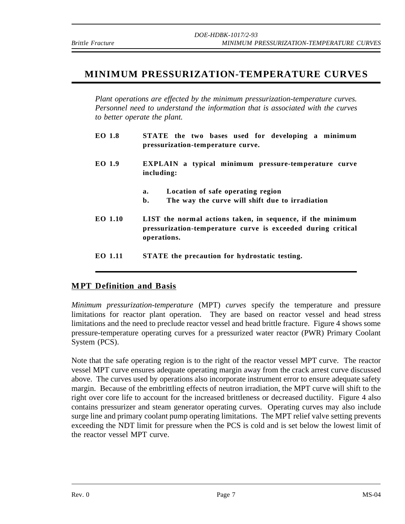### **[MINIMUM PRESSURIZATION-TEMPERATURE CURVES](#page-28-1)**

*Plant operations are effected by the minimum pressurization-temperature curves. Personnel need to understand the information that is associated with the curves to better operate the plant.*

- **EO 1.8 STATE the two bases used for developing a minimum pressurization-temperature curve.**
- **EO 1.9 EXPLAIN a typical minimum pressure-temperature curve including:**
	- **a. Location of safe operating region**
	- **b. The way the curve will shift due to irradiation**
- **EO 1.10 LIST the normal actions taken, in sequence, if the minimum pressurization-temperature curve is exceeded during critical operations.**
- **EO 1.11 STATE the precaution for hydrostatic testing.**

#### **M PT [Definition](#page-28-2) and Basis**

*Minimum pressurization-temperature* (MPT) *curves* specify the temperature and pressure limitations for reactor plant operation. They are based on reactor vessel and head stress limitations and the need to preclude reactor vessel and head brittle fracture. Figure 4 shows some pressure-temperature operating curves for a pressurized water reactor (PWR) Primary Coolant System (PCS).

Note that the safe operating region is to the right of the reactor vessel MPT curve. The reactor vessel MPT curve ensures adequate operating margin away from the crack arrest curve discussed above. The curves used by operations also incorporate instrument error to ensure adequate safety margin. Because of the embrittling effects of neutron irradiation, the MPT curve will shift to the right over core life to account for the increased brittleness or decreased ductility. Figure 4 also contains pressurizer and steam generator operating curves. Operating curves may also include surge line and primary coolant pump operating limitations. The MPT relief valve setting prevents exceeding the NDT limit for pressure when the PCS is cold and is set below the lowest limit of the reactor vessel MPT curve.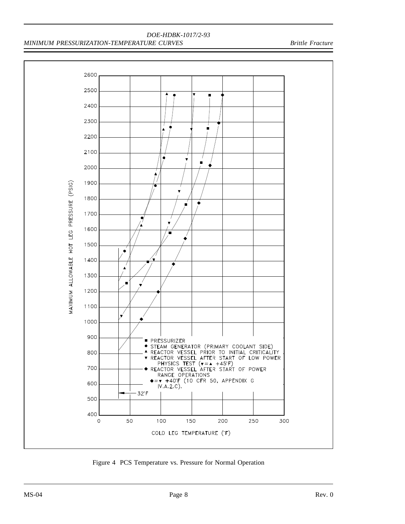*DOE-HDBK-1017/2-93 MINIMUM PRESSURIZATION-TEMPERATURE CURVES Brittle Fracture*



[Figure 4 PCS Temperature vs. Pressure for Normal Operation](#page-29-0)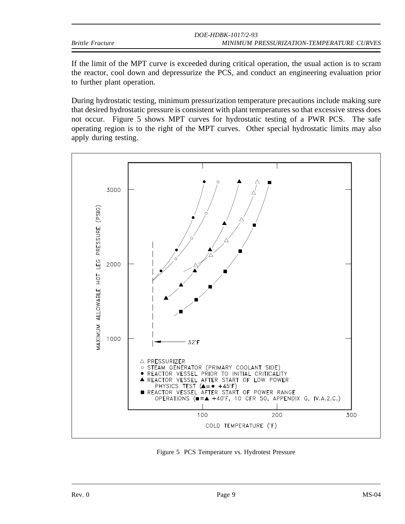If the limit of the MPT curve is exceeded during critical operation, the usual action is to scram the reactor, cool down and depressurize the PCS, and conduct an engineering evaluation prior to further plant operation.

During hydrostatic testing, minimum pressurization temperature precautions include making sure that desired hydrostatic pressure is consistent with plant temperatures so that excessive stress does not occur. Figure 5 shows MPT curves for hydrostatic testing of a PWR PCS. The safe operating region is to the right of the MPT curves. Other special hydrostatic limits may also apply during testing.



[Figure 5 PCS Temperature vs. Hydrotest Pressure](#page-29-0)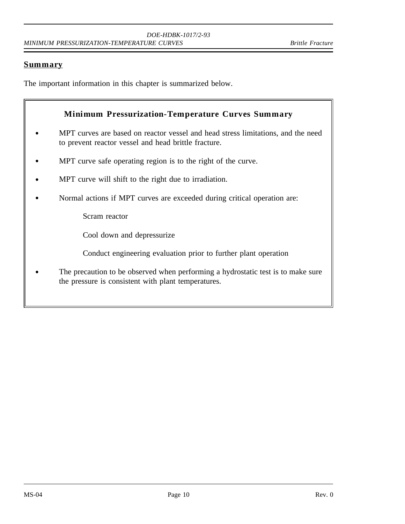#### **[Summary](#page-28-3)**

The important information in this chapter is summarized below.

### **Minimum Pressurization-Temperature Curves Summary**

- MPT curves are based on reactor vessel and head stress limitations, and the need to prevent reactor vessel and head brittle fracture.
- MPT curve safe operating region is to the right of the curve.
- MPT curve will shift to the right due to irradiation.
- Normal actions if MPT curves are exceeded during critical operation are:

Scram reactor

Cool down and depressurize

Conduct engineering evaluation prior to further plant operation

• The precaution to be observed when performing a hydrostatic test is to make sure the pressure is consistent with plant temperatures.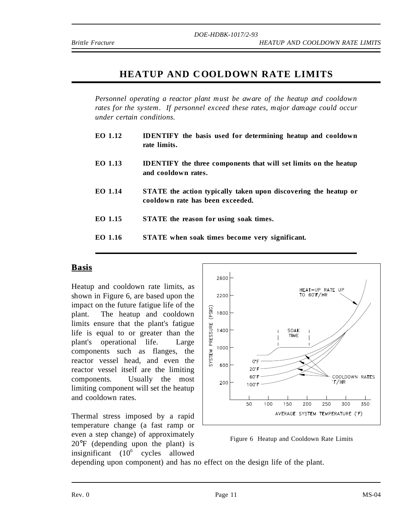### **[HEATUP AND COOLDOWN RATE LIMITS](#page-28-4)**

*Personnel operating a reactor plant must be aware of the heatup and cooldown rates for the system. If personnel exceed these rates, major damage could occur under certain conditions.*

- **EO 1.12 IDENTIFY the basis used for determining heatup and cooldown rate limits.**
- **EO 1.13 IDENTIFY the three components that will set limits on the heatup and cooldown rates.**
- **EO 1.14 STATE the action typically taken upon discovering the heatup or cooldown rate has been exceeded.**
- **EO 1.15 STATE the reason for using soak times.**
- **EO 1.16 STATE when soak times become very significant.**

#### **[Basis](#page-28-4)**

Heatup and cooldown rate limits, as shown in Figure 6, are based upon the impact on the future fatigue life of the plant. The heatup and cooldown limits ensure that the plant's fatigue life is equal to or greater than the plant's operational life. Large components such as flanges, the reactor vessel head, and even the reactor vessel itself are the limiting components. Usually the most limiting component will set the heatup and cooldown rates.

Thermal stress imposed by a rapid temperature change (a fast ramp or even a step change) of approximately 20°F (depending upon the plant) is insignificant  $(10^6 \text{ cycles} \text{ allowed})$ 



[Figure 6 Heatup and Cooldown Rate Limits](#page-29-0)

depending upon component) and has no effect on the design life of the plant.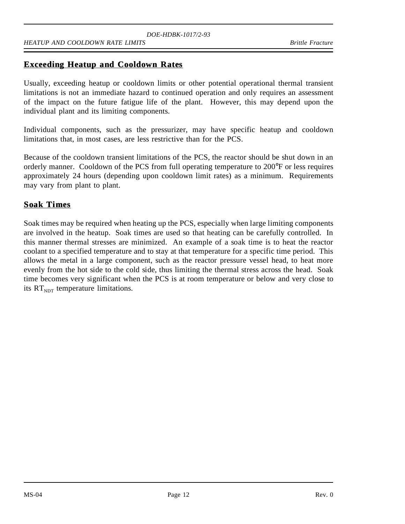### **[Exceeding](#page-28-4) Heatup and Cooldown Rates**

Usually, exceeding heatup or cooldown limits or other potential operational thermal transient limitations is not an immediate hazard to continued operation and only requires an assessment of the impact on the future fatigue life of the plant. However, this may depend upon the individual plant and its limiting components.

Individual components, such as the pressurizer, may have specific heatup and cooldown limitations that, in most cases, are less restrictive than for the PCS.

Because of the cooldown transient limitations of the PCS, the reactor should be shut down in an orderly manner. Cooldown of the PCS from full operating temperature to 200°F or less requires approximately 24 hours (depending upon cooldown limit rates) as a minimum. Requirements may vary from plant to plant.

### **Soak [Times](#page-28-4)**

Soak times may be required when heating up the PCS, especially when large limiting components are involved in the heatup. Soak times are used so that heating can be carefully controlled. In this manner thermal stresses are minimized. An example of a soak time is to heat the reactor coolant to a specified temperature and to stay at that temperature for a specific time period. This allows the metal in a large component, such as the reactor pressure vessel head, to heat more evenly from the hot side to the cold side, thus limiting the thermal stress across the head. Soak time becomes very significant when the PCS is at room temperature or below and very close to its  $RT_{NOT}$  temperature limitations.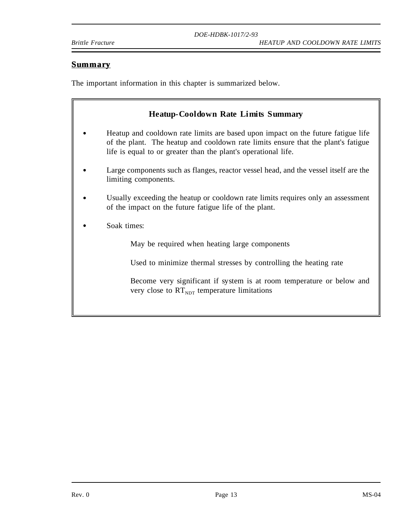#### **[Summary](#page-28-4)**

The important information in this chapter is summarized below.

# **Heatup-Cooldown Rate Limits Summary**  $\bullet$ Heatup and cooldown rate limits are based upon impact on the future fatigue life of the plant. The heatup and cooldown rate limits ensure that the plant's fatigue life is equal to or greater than the plant's operational life.  $\epsilon$ Large components such as flanges, reactor vessel head, and the vessel itself are the limiting components. Usually exceeding the heatup or cooldown rate limits requires only an assessment of the impact on the future fatigue life of the plant. Soak times: May be required when heating large components Used to minimize thermal stresses by controlling the heating rate Become very significant if system is at room temperature or below and

very close to  $RT<sub>NDT</sub>$  temperature limitations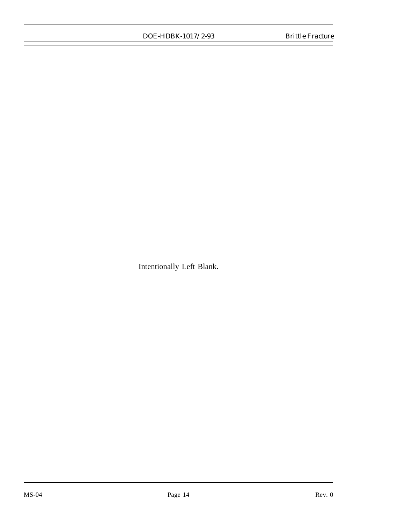#### *DOE-HDBK-1017/2-93 Brittle Fracture*

Intentionally Left Blank.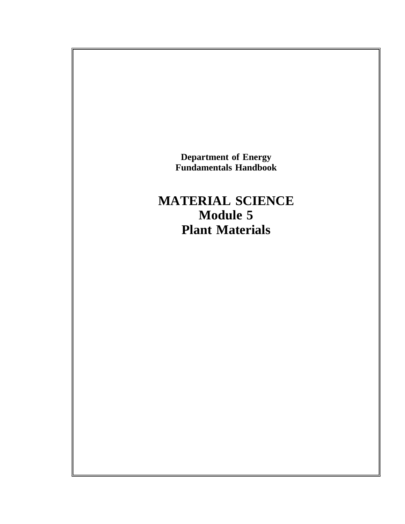<span id="page-48-0"></span>**Department of Energy Fundamentals Handbook**

# **[MATERIAL SCIENCE](#page-8-0) Module 5 Plant Materials**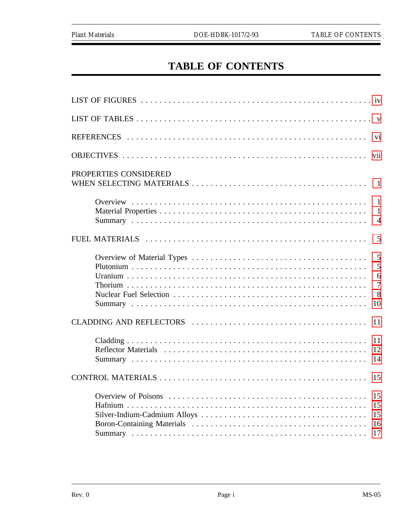## **TABLE OF CONTENTS**

<span id="page-50-1"></span><span id="page-50-0"></span>

| PROPERTIES CONSIDERED      |                                                 |
|----------------------------|-------------------------------------------------|
|                            | $\overline{1}$<br>$\overline{4}$                |
|                            | 5                                               |
| 10                         | $\overline{5}$<br>5<br>6<br>$\overline{7}$<br>8 |
| 11                         |                                                 |
| 11<br>12<br>14             |                                                 |
|                            |                                                 |
| 15<br>15<br>15<br>16<br>17 |                                                 |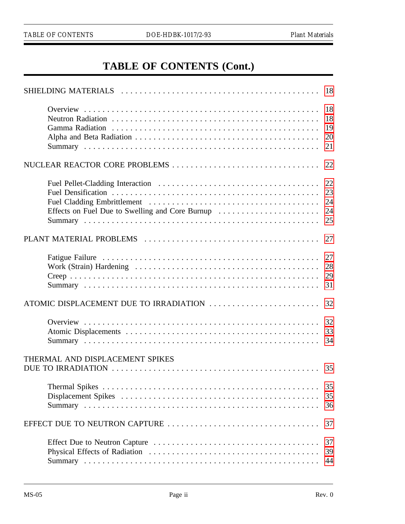*TABLE OF CONTENTS DOE-HDBK-1017/2-93 Plant Materials*

# **TABLE OF CONTENTS (Cont.)**

|                                                 | 18 |  |
|-------------------------------------------------|----|--|
|                                                 | 18 |  |
|                                                 | 19 |  |
|                                                 | 20 |  |
|                                                 | 21 |  |
| NUCLEAR REACTOR CORE PROBLEMS                   | 22 |  |
|                                                 | 22 |  |
|                                                 | 23 |  |
|                                                 | 24 |  |
| Effects on Fuel Due to Swelling and Core Burnup | 24 |  |
|                                                 | 25 |  |
|                                                 |    |  |
|                                                 | 27 |  |
|                                                 | 28 |  |
|                                                 | 29 |  |
|                                                 | 31 |  |
|                                                 |    |  |
|                                                 | 32 |  |
|                                                 | 33 |  |
|                                                 | 34 |  |
| THERMAL AND DISPLACEMENT SPIKES                 | 35 |  |
|                                                 | 35 |  |
|                                                 | 35 |  |
|                                                 | 36 |  |
| EFFECT DUE TO NEUTRON CAPTURE                   | 37 |  |
|                                                 | 37 |  |
|                                                 | 39 |  |
|                                                 | 44 |  |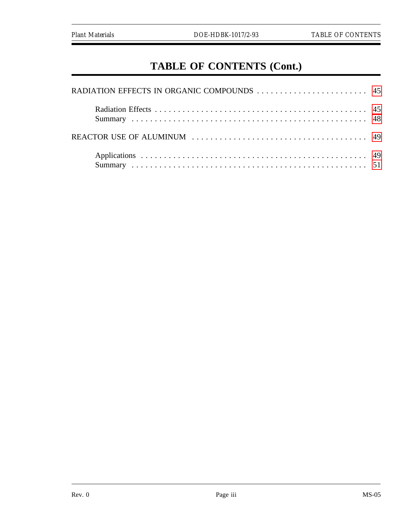# **TABLE OF CONTENTS (Cont.)**

| RADIATION EFFECTS IN ORGANIC COMPOUNDS  45 |  |
|--------------------------------------------|--|
|                                            |  |
|                                            |  |
|                                            |  |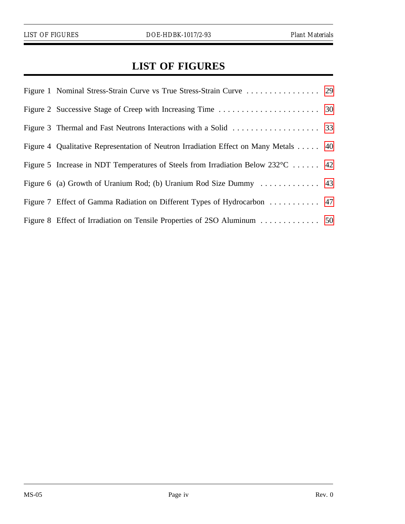# **[LIST OF FIGURES](#page-50-0)**

<span id="page-53-0"></span>

| Figure 4 Qualitative Representation of Neutron Irradiation Effect on Many Metals 40             |  |
|-------------------------------------------------------------------------------------------------|--|
| Figure 5 Increase in NDT Temperatures of Steels from Irradiation Below $232^{\circ}\text{C}$ 42 |  |
|                                                                                                 |  |
|                                                                                                 |  |
|                                                                                                 |  |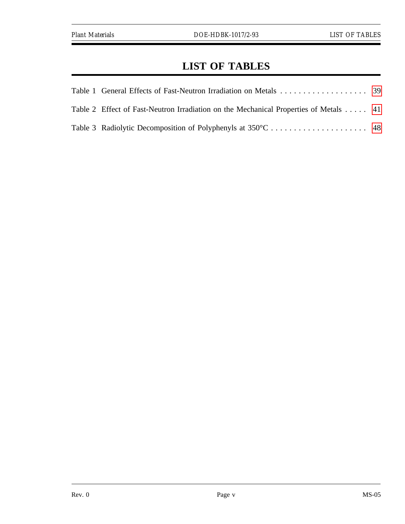# **[LIST OF TABLES](#page-50-0)**

<span id="page-54-0"></span>

| Table 2 Effect of Fast-Neutron Irradiation on the Mechanical Properties of Metals  41 |  |
|---------------------------------------------------------------------------------------|--|
|                                                                                       |  |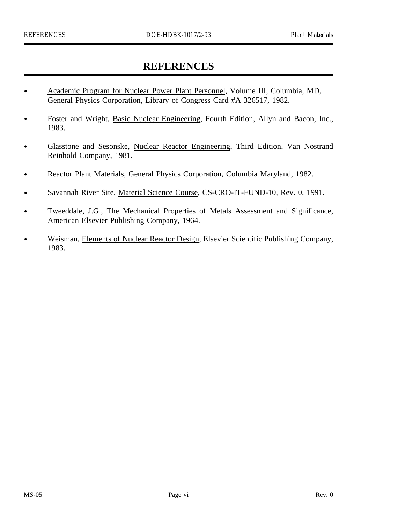### **[REFERENCES](#page-50-0)**

- <span id="page-55-0"></span>Academic Program for Nuclear Power Plant Personnel, Volume III, Columbia, MD,  $\bullet$ General Physics Corporation, Library of Congress Card #A 326517, 1982.
- Foster and Wright, Basic Nuclear Engineering, Fourth Edition, Allyn and Bacon, Inc.,  $\bullet$ 1983.
- Glasstone and Sesonske, Nuclear Reactor Engineering, Third Edition, Van Nostrand  $\bullet$ Reinhold Company, 1981.
- Reactor Plant Materials, General Physics Corporation, Columbia Maryland, 1982.  $\bullet$
- Savannah River Site, Material Science Course, CS-CRO-IT-FUND-10, Rev. 0, 1991.  $\bullet$
- Tweeddale, J.G., The Mechanical Properties of Metals Assessment and Significance, American Elsevier Publishing Company, 1964.
- Weisman, Elements of Nuclear Reactor Design, Elsevier Scientific Publishing Company,  $\bullet$ 1983.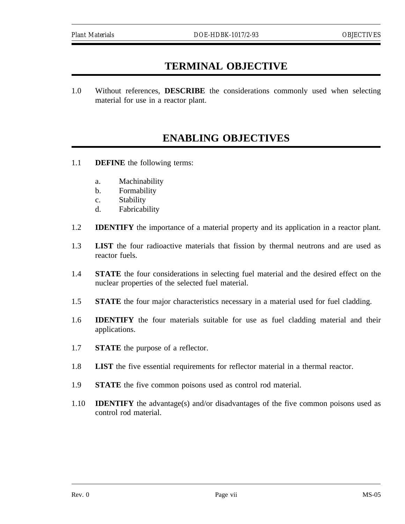### **[TERMINAL OBJECTIVE](#page-50-0)**

<span id="page-56-0"></span>1.0 Without references, **DESCRIBE** the considerations commonly used when selecting material for use in a reactor plant.

### **[ENABLING OBJECTIVES](#page-50-0)**

- 1.1 **DEFINE** the following terms:
	- a. Machinability
	- b. Formability
	- c. Stability
	- d. Fabricability
- 1.2 **IDENTIFY** the importance of a material property and its application in a reactor plant.
- 1.3 **LIST** the four radioactive materials that fission by thermal neutrons and are used as reactor fuels.
- 1.4 **STATE** the four considerations in selecting fuel material and the desired effect on the nuclear properties of the selected fuel material.
- 1.5 **STATE** the four major characteristics necessary in a material used for fuel cladding.
- 1.6 **IDENTIFY** the four materials suitable for use as fuel cladding material and their applications.
- 1.7 **STATE** the purpose of a reflector.
- 1.8 **LIST** the five essential requirements for reflector material in a thermal reactor.
- 1.9 **STATE** the five common poisons used as control rod material.
- 1.10 **IDENTIFY** the advantage(s) and/or disadvantages of the five common poisons used as control rod material.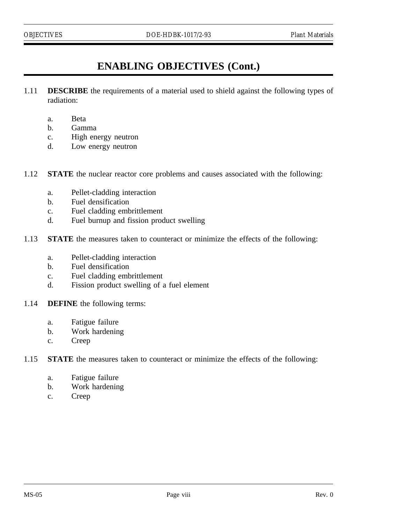### **ENABLING OBJECTIVES (Cont.)**

- 1.11 **DESCRIBE** the requirements of a material used to shield against the following types of radiation:
	- a. Beta
	- b. Gamma
	- c. High energy neutron
	- d. Low energy neutron
- 1.12 **STATE** the nuclear reactor core problems and causes associated with the following:
	- a. Pellet-cladding interaction
	- b. Fuel densification
	- c. Fuel cladding embrittlement
	- d. Fuel burnup and fission product swelling
- 1.13 **STATE** the measures taken to counteract or minimize the effects of the following:
	- a. Pellet-cladding interaction
	- b. Fuel densification
	- c. Fuel cladding embrittlement
	- d. Fission product swelling of a fuel element
- 1.14 **DEFINE** the following terms:
	- a. Fatigue failure
	- b. Work hardening
	- c. Creep
- 1.15 **STATE** the measures taken to counteract or minimize the effects of the following:
	- a. Fatigue failure
	- b. Work hardening
	- c. Creep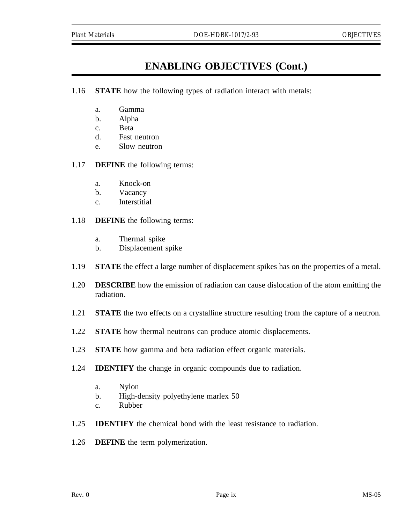### **ENABLING OBJECTIVES (Cont.)**

1.16 **STATE** how the following types of radiation interact with metals:

- a. Gamma
- b. Alpha
- c. Beta
- d. Fast neutron
- e. Slow neutron
- 1.17 **DEFINE** the following terms:
	- a. Knock-on
	- b. Vacancy
	- c. Interstitial
- 1.18 **DEFINE** the following terms:
	- a. Thermal spike
	- b. Displacement spike
- 1.19 **STATE** the effect a large number of displacement spikes has on the properties of a metal.
- 1.20 **DESCRIBE** how the emission of radiation can cause dislocation of the atom emitting the radiation.
- 1.21 **STATE** the two effects on a crystalline structure resulting from the capture of a neutron.
- 1.22 **STATE** how thermal neutrons can produce atomic displacements.
- 1.23 **STATE** how gamma and beta radiation effect organic materials.
- 1.24 **IDENTIFY** the change in organic compounds due to radiation.
	- a. Nylon
	- b. High-density polyethylene marlex 50
	- c. Rubber
- 1.25 **IDENTIFY** the chemical bond with the least resistance to radiation.
- 1.26 **DEFINE** the term polymerization.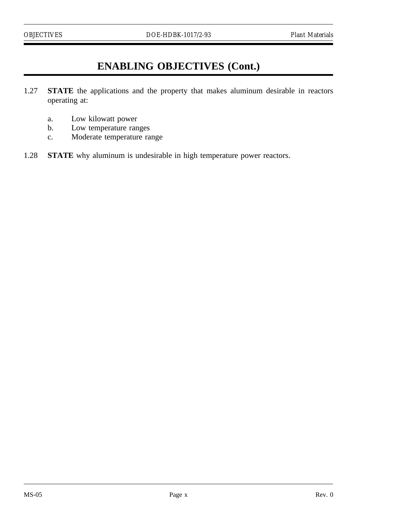### **ENABLING OBJECTIVES (Cont.)**

- 1.27 **STATE** the applications and the property that makes aluminum desirable in reactors operating at:
	- a. Low kilowatt power
	- b. Low temperature ranges
	- c. Moderate temperature range
- 1.28 **STATE** why aluminum is undesirable in high temperature power reactors.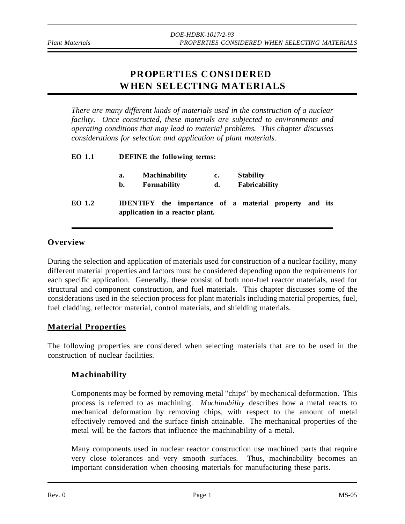### **PROPERTIES CONSIDERED [WHEN SELECTING MATERIALS](#page-50-0)**

<span id="page-60-0"></span>*There are many different kinds of materials used in the construction of a nuclear facility. Once constructed, these materials are subjected to environments and operating conditions that may lead to material problems. This chapter discusses considerations for selection and application of plant materials.*

| <b>EO 1.1</b> | <b>DEFINE</b> the following terms: |                                 |    |                                                               |  |  |
|---------------|------------------------------------|---------------------------------|----|---------------------------------------------------------------|--|--|
|               | a.                                 | <b>Machinability</b>            | c. | <b>Stability</b>                                              |  |  |
|               | b.                                 | <b>Formability</b>              | d. | Fabricability                                                 |  |  |
| EO 1.2        |                                    | application in a reactor plant. |    | <b>IDENTIFY</b> the importance of a material property and its |  |  |

#### **[Overview](#page-50-0)**

During the selection and application of materials used for construction of a nuclear facility, many different material properties and factors must be considered depending upon the requirements for each specific application. Generally, these consist of both non-fuel reactor materials, used for structural and component construction, and fuel materials. This chapter discusses some of the considerations used in the selection process for plant materials including material properties, fuel, fuel cladding, reflector material, control materials, and shielding materials.

### **Material [Properties](#page-50-0)**

The following properties are considered when selecting materials that are to be used in the construction of nuclear facilities.

### **Machinability**

Components may be formed by removing metal "chips" by mechanical deformation. This process is referred to as machining. *Machinability* describes how a metal reacts to mechanical deformation by removing chips, with respect to the amount of metal effectively removed and the surface finish attainable. The mechanical properties of the metal will be the factors that influence the machinability of a metal.

Many components used in nuclear reactor construction use machined parts that require very close tolerances and very smooth surfaces. Thus, machinability becomes an important consideration when choosing materials for manufacturing these parts.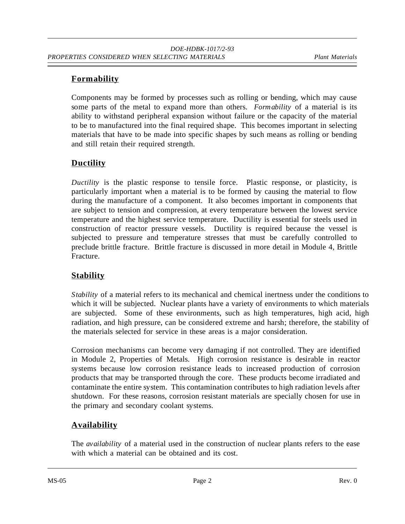### **Formability**

Components may be formed by processes such as rolling or bending, which may cause some parts of the metal to expand more than others. *Formability* of a material is its ability to withstand peripheral expansion without failure or the capacity of the material to be to manufactured into the final required shape. This becomes important in selecting materials that have to be made into specific shapes by such means as rolling or bending and still retain their required strength.

### **Ductility**

*Ductility* is the plastic response to tensile force. Plastic response, or plasticity, is particularly important when a material is to be formed by causing the material to flow during the manufacture of a component. It also becomes important in components that are subject to tension and compression, at every temperature between the lowest service temperature and the highest service temperature. Ductility is essential for steels used in construction of reactor pressure vessels. Ductility is required because the vessel is subjected to pressure and temperature stresses that must be carefully controlled to preclude brittle fracture. Brittle fracture is discussed in more detail in Module 4, Brittle Fracture.

### **Stability**

*Stability* of a material refers to its mechanical and chemical inertness under the conditions to which it will be subjected. Nuclear plants have a variety of environments to which materials are subjected. Some of these environments, such as high temperatures, high acid, high radiation, and high pressure, can be considered extreme and harsh; therefore, the stability of the materials selected for service in these areas is a major consideration.

Corrosion mechanisms can become very damaging if not controlled. They are identified in Module 2, Properties of Metals. High corrosion resistance is desirable in reactor systems because low corrosion resistance leads to increased production of corrosion products that may be transported through the core. These products become irradiated and contaminate the entire system. This contamination contributes to high radiation levels after shutdown. For these reasons, corrosion resistant materials are specially chosen for use in the primary and secondary coolant systems.

### **Availability**

The *availability* of a material used in the construction of nuclear plants refers to the ease with which a material can be obtained and its cost.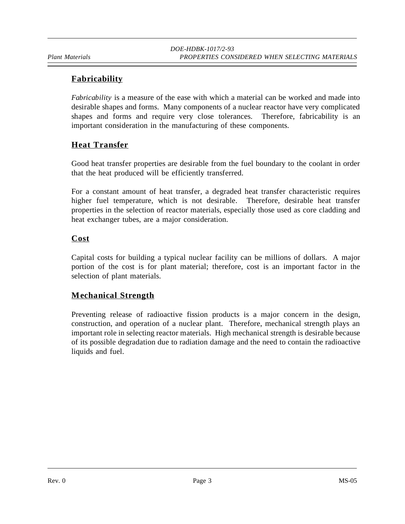### **Fabricability**

*Fabricability* is a measure of the ease with which a material can be worked and made into desirable shapes and forms. Many components of a nuclear reactor have very complicated shapes and forms and require very close tolerances. Therefore, fabricability is an important consideration in the manufacturing of these components.

### **Heat Transfer**

Good heat transfer properties are desirable from the fuel boundary to the coolant in order that the heat produced will be efficiently transferred.

For a constant amount of heat transfer, a degraded heat transfer characteristic requires higher fuel temperature, which is not desirable. Therefore, desirable heat transfer properties in the selection of reactor materials, especially those used as core cladding and heat exchanger tubes, are a major consideration.

### **Cost**

Capital costs for building a typical nuclear facility can be millions of dollars. A major portion of the cost is for plant material; therefore, cost is an important factor in the selection of plant materials.

### **Mechanical Strength**

Preventing release of radioactive fission products is a major concern in the design, construction, and operation of a nuclear plant. Therefore, mechanical strength plays an important role in selecting reactor materials. High mechanical strength is desirable because of its possible degradation due to radiation damage and the need to contain the radioactive liquids and fuel.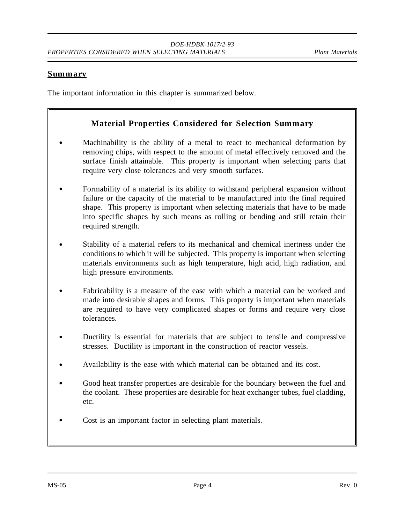#### <span id="page-63-0"></span>**[Summary](#page-50-0)**

The important information in this chapter is summarized below.

### **Material Properties Considered for Selection Summary**

- Machinability is the ability of a metal to react to mechanical deformation by removing chips, with respect to the amount of metal effectively removed and the surface finish attainable. This property is important when selecting parts that require very close tolerances and very smooth surfaces.
- $\bullet$ Formability of a material is its ability to withstand peripheral expansion without failure or the capacity of the material to be manufactured into the final required shape. This property is important when selecting materials that have to be made into specific shapes by such means as rolling or bending and still retain their required strength.
- $\bullet$ Stability of a material refers to its mechanical and chemical inertness under the conditions to which it will be subjected. This property is important when selecting materials environments such as high temperature, high acid, high radiation, and high pressure environments.
- $\bullet$ Fabricability is a measure of the ease with which a material can be worked and made into desirable shapes and forms. This property is important when materials are required to have very complicated shapes or forms and require very close tolerances.
- Ductility is essential for materials that are subject to tensile and compressive  $\bullet$ stresses. Ductility is important in the construction of reactor vessels.
- $\bullet$ Availability is the ease with which material can be obtained and its cost.
- $\bullet$ Good heat transfer properties are desirable for the boundary between the fuel and the coolant. These properties are desirable for heat exchanger tubes, fuel cladding, etc.
- Cost is an important factor in selecting plant materials.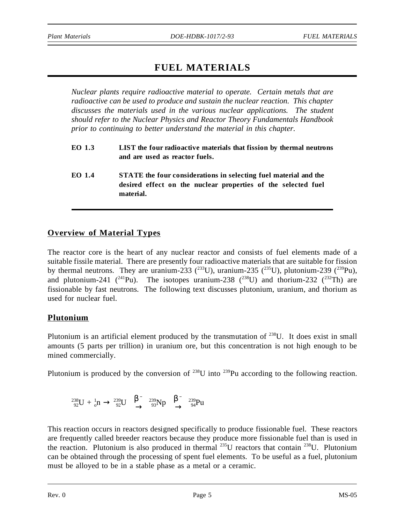### **[FUEL MATERIALS](#page-50-0)**

<span id="page-64-0"></span>*Nuclear plants require radioactive material to operate. Certain metals that are radioactive can be used to produce and sustain the nuclear reaction. This chapter discusses the materials used in the various nuclear applications. The student should refer to the Nuclear Physics and Reactor Theory Fundamentals Handbook prior to continuing to better understand the material in this chapter.*

- **EO 1.3 LIST the four radioactive materials that fission by thermal neutrons and are used as reactor fuels.**
- **EO 1.4 STATE the four considerations in selecting fuel material and the desired effect on the nuclear properties of the selected fuel material.**

#### **[Overview](#page-50-0) of Material Types**

The reactor core is the heart of any nuclear reactor and consists of fuel elements made of a suitable fissile material. There are presently four radioactive materials that are suitable for fission by thermal neutrons. They are uranium-233 ( $^{233}$ U), uranium-235 ( $^{235}$ U), plutonium-239 ( $^{239}$ Pu), and plutonium-241  $(^{241}$ Pu). The isotopes uranium-238  $(^{238}$ U) and thorium-232  $(^{232}$ Th) are fissionable by fast neutrons. The following text discusses plutonium, uranium, and thorium as used for nuclear fuel.

### **[Plutonium](#page-50-0)**

Plutonium is an artificial element produced by the transmutation of <sup>238</sup>U. It does exist in small amounts (5 parts per trillion) in uranium ore, but this concentration is not high enough to be mined commercially.

Plutonium is produced by the conversion of  $^{238}$ U into  $^{239}$ Pu according to the following reaction.

$$
^{238}_{92}U + ^1_{\sigma}n \rightarrow ^{239}_{92}U \quad \overset{\beta^-}{\rightarrow} \ ^{239}_{93}Np \quad \overset{\beta^-}{\rightarrow} \ ^{239}_{94}Pu
$$

This reaction occurs in reactors designed specifically to produce fissionable fuel. These reactors are frequently called breeder reactors because they produce more fissionable fuel than is used in the reaction. Plutonium is also produced in thermal  $^{235}$ U reactors that contain  $^{238}$ U. Plutonium can be obtained through the processing of spent fuel elements. To be useful as a fuel, plutonium must be alloyed to be in a stable phase as a metal or a ceramic.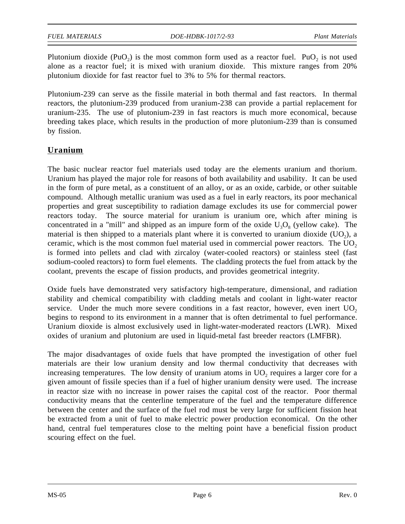<span id="page-65-0"></span>Plutonium dioxide (PuO<sub>2</sub>) is the most common form used as a reactor fuel. PuO<sub>2</sub> is not used alone as a reactor fuel; it is mixed with uranium dioxide. This mixture ranges from 20% plutonium dioxide for fast reactor fuel to 3% to 5% for thermal reactors.

Plutonium-239 can serve as the fissile material in both thermal and fast reactors. In thermal reactors, the plutonium-239 produced from uranium-238 can provide a partial replacement for uranium-235. The use of plutonium-239 in fast reactors is much more economical, because breeding takes place, which results in the production of more plutonium-239 than is consumed by fission.

#### **[Uranium](#page-50-0)**

The basic nuclear reactor fuel materials used today are the elements uranium and thorium. Uranium has played the major role for reasons of both availability and usability. It can be used in the form of pure metal, as a constituent of an alloy, or as an oxide, carbide, or other suitable compound. Although metallic uranium was used as a fuel in early reactors, its poor mechanical properties and great susceptibility to radiation damage excludes its use for commercial power reactors today. The source material for uranium is uranium ore, which after mining is concentrated in a "mill" and shipped as an impure form of the oxide  $U_3O_8$  (yellow cake). The material is then shipped to a materials plant where it is converted to uranium dioxide  $(UO<sub>2</sub>)$ , a ceramic, which is the most common fuel material used in commercial power reactors. The  $UO<sub>2</sub>$ is formed into pellets and clad with zircaloy (water-cooled reactors) or stainless steel (fast sodium-cooled reactors) to form fuel elements. The cladding protects the fuel from attack by the coolant, prevents the escape of fission products, and provides geometrical integrity.

Oxide fuels have demonstrated very satisfactory high-temperature, dimensional, and radiation stability and chemical compatibility with cladding metals and coolant in light-water reactor service. Under the much more severe conditions in a fast reactor, however, even inert  $UO<sub>2</sub>$ begins to respond to its environment in a manner that is often detrimental to fuel performance. Uranium dioxide is almost exclusively used in light-water-moderated reactors (LWR). Mixed oxides of uranium and plutonium are used in liquid-metal fast breeder reactors (LMFBR).

The major disadvantages of oxide fuels that have prompted the investigation of other fuel materials are their low uranium density and low thermal conductivity that decreases with increasing temperatures. The low density of uranium atoms in  $UO<sub>2</sub>$  requires a larger core for a given amount of fissile species than if a fuel of higher uranium density were used. The increase in reactor size with no increase in power raises the capital cost of the reactor. Poor thermal conductivity means that the centerline temperature of the fuel and the temperature difference between the center and the surface of the fuel rod must be very large for sufficient fission heat be extracted from a unit of fuel to make electric power production economical. On the other hand, central fuel temperatures close to the melting point have a beneficial fission product scouring effect on the fuel.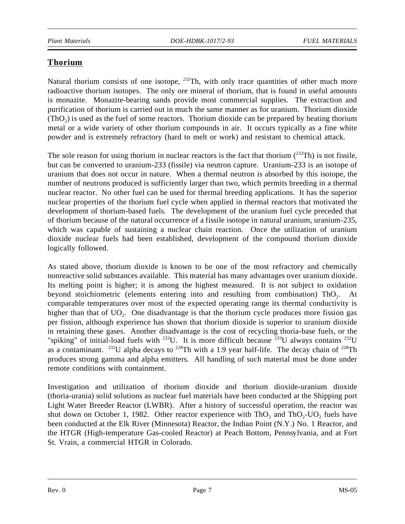### <span id="page-66-0"></span>**[Thorium](#page-50-0)**

Natural thorium consists of one isotope,  $^{232}$ Th, with only trace quantities of other much more radioactive thorium isotopes. The only ore mineral of thorium, that is found in useful amounts is monazite. Monazite-bearing sands provide most commercial supplies. The extraction and purification of thorium is carried out in much the same manner as for uranium. Thorium dioxide  $(ThO<sub>2</sub>)$  is used as the fuel of some reactors. Thorium dioxide can be prepared by heating thorium metal or a wide variety of other thorium compounds in air. It occurs typically as a fine white powder and is extremely refractory (hard to melt or work) and resistant to chemical attack.

The sole reason for using thorium in nuclear reactors is the fact that thorium  $(^{232}Th)$  is not fissile, but can be converted to uranium-233 (fissile) via neutron capture. Uranium-233 is an isotope of uranium that does not occur in nature. When a thermal neutron is absorbed by this isotope, the number of neutrons produced is sufficiently larger than two, which permits breeding in a thermal nuclear reactor. No other fuel can be used for thermal breeding applications. It has the superior nuclear properties of the thorium fuel cycle when applied in thermal reactors that motivated the development of thorium-based fuels. The development of the uranium fuel cycle preceded that of thorium because of the natural occurrence of a fissile isotope in natural uranium, uranium-235, which was capable of sustaining a nuclear chain reaction. Once the utilization of uranium dioxide nuclear fuels had been established, development of the compound thorium dioxide logically followed.

As stated above, thorium dioxide is known to be one of the most refractory and chemically nonreactive solid substances available. This material has many advantages over uranium dioxide. Its melting point is higher; it is among the highest measured. It is not subject to oxidation beyond stoichiometric (elements entering into and resulting from combination)  $ThO<sub>2</sub>$ . At comparable temperatures over most of the expected operating range its thermal conductivity is higher than that of  $UO<sub>2</sub>$ . One disadvantage is that the thorium cycle produces more fission gas per fission, although experience has shown that thorium dioxide is superior to uranium dioxide in retaining these gases. Another disadvantage is the cost of recycling thoria-base fuels, or the "spiking" of initial-load fuels with <sup>233</sup>U. It is more difficult because <sup>233</sup>U always contains <sup>232</sup>U as a contaminant. <sup>232</sup>U alpha decays to <sup>228</sup>Th with a 1.9 year half-life. The decay chain of <sup>228</sup>Th produces strong gamma and alpha emitters. All handling of such material must be done under remote conditions with containment.

Investigation and utilization of thorium dioxide and thorium dioxide-uranium dioxide (thoria-urania) solid solutions as nuclear fuel materials have been conducted at the Shipping port Light Water Breeder Reactor (LWBR). After a history of successful operation, the reactor was shut down on October 1, 1982. Other reactor experience with  $ThO<sub>2</sub>$  and  $ThO<sub>2</sub>-UO<sub>2</sub>$  fuels have been conducted at the Elk River (Minnesota) Reactor, the Indian Point (N.Y.) No. 1 Reactor, and the HTGR (High-temperature Gas-cooled Reactor) at Peach Bottom, Pennsylvania, and at Fort St. Vrain, a commercial HTGR in Colorado.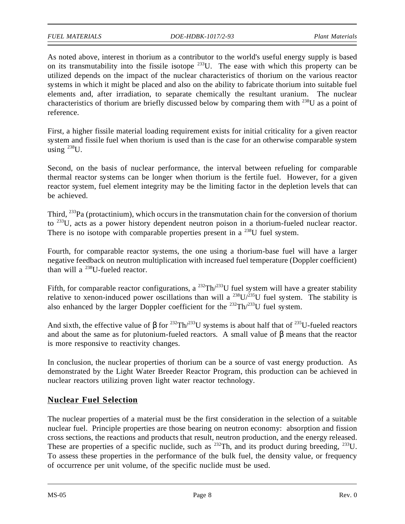<span id="page-67-0"></span>As noted above, interest in thorium as a contributor to the world's useful energy supply is based on its transmutability into the fissile isotope  $^{233}U$ . The ease with which this property can be utilized depends on the impact of the nuclear characteristics of thorium on the various reactor systems in which it might be placed and also on the ability to fabricate thorium into suitable fuel elements and, after irradiation, to separate chemically the resultant uranium. The nuclear characteristics of thorium are briefly discussed below by comparing them with <sup>238</sup>U as a point of reference.

First, a higher fissile material loading requirement exists for initial criticality for a given reactor system and fissile fuel when thorium is used than is the case for an otherwise comparable system using  $^{238}U$ .

Second, on the basis of nuclear performance, the interval between refueling for comparable thermal reactor systems can be longer when thorium is the fertile fuel. However, for a given reactor system, fuel element integrity may be the limiting factor in the depletion levels that can be achieved.

Third, 233Pa (protactinium), which occurs in the transmutation chain for the conversion of thorium to 233U, acts as a power history dependent neutron poison in a thorium-fueled nuclear reactor. There is no isotope with comparable properties present in a  $^{238}$ U fuel system.

Fourth, for comparable reactor systems, the one using a thorium-base fuel will have a larger negative feedback on neutron multiplication with increased fuel temperature (Doppler coefficient) than will a  $^{238}$ U-fueled reactor.

Fifth, for comparable reactor configurations, a  $^{232}Th/^{233}U$  fuel system will have a greater stability relative to xenon-induced power oscillations than will a <sup>238</sup>U/<sup>235</sup>U fuel system. The stability is also enhanced by the larger Doppler coefficient for the  $^{232}Th/^{233}U$  fuel system.

And sixth, the effective value of  $\beta$  for <sup>232</sup>Th/<sup>233</sup>U systems is about half that of <sup>235</sup>U-fueled reactors and about the same as for plutonium-fueled reactors. A small value of  $\beta$  means that the reactor is more responsive to reactivity changes.

In conclusion, the nuclear properties of thorium can be a source of vast energy production. As demonstrated by the Light Water Breeder Reactor Program, this production can be achieved in nuclear reactors utilizing proven light water reactor technology.

### **Nuclear Fuel [Selection](#page-50-0)**

The nuclear properties of a material must be the first consideration in the selection of a suitable nuclear fuel. Principle properties are those bearing on neutron economy: absorption and fission cross sections, the reactions and products that result, neutron production, and the energy released. These are properties of a specific nuclide, such as <sup>232</sup>Th, and its product during breeding, <sup>233</sup>U. To assess these properties in the performance of the bulk fuel, the density value, or frequency of occurrence per unit volume, of the specific nuclide must be used.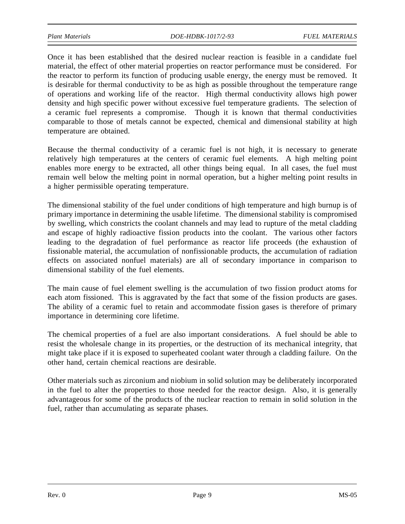*Plant Materials DOE-HDBK-1017/2-93 FUEL MATERIALS*

Once it has been established that the desired nuclear reaction is feasible in a candidate fuel material, the effect of other material properties on reactor performance must be considered. For the reactor to perform its function of producing usable energy, the energy must be removed. It is desirable for thermal conductivity to be as high as possible throughout the temperature range of operations and working life of the reactor. High thermal conductivity allows high power density and high specific power without excessive fuel temperature gradients. The selection of a ceramic fuel represents a compromise. Though it is known that thermal conductivities comparable to those of metals cannot be expected, chemical and dimensional stability at high temperature are obtained.

Because the thermal conductivity of a ceramic fuel is not high, it is necessary to generate relatively high temperatures at the centers of ceramic fuel elements. A high melting point enables more energy to be extracted, all other things being equal. In all cases, the fuel must remain well below the melting point in normal operation, but a higher melting point results in a higher permissible operating temperature.

The dimensional stability of the fuel under conditions of high temperature and high burnup is of primary importance in determining the usable lifetime. The dimensional stability is compromised by swelling, which constricts the coolant channels and may lead to rupture of the metal cladding and escape of highly radioactive fission products into the coolant. The various other factors leading to the degradation of fuel performance as reactor life proceeds (the exhaustion of fissionable material, the accumulation of nonfissionable products, the accumulation of radiation effects on associated nonfuel materials) are all of secondary importance in comparison to dimensional stability of the fuel elements.

The main cause of fuel element swelling is the accumulation of two fission product atoms for each atom fissioned. This is aggravated by the fact that some of the fission products are gases. The ability of a ceramic fuel to retain and accommodate fission gases is therefore of primary importance in determining core lifetime.

The chemical properties of a fuel are also important considerations. A fuel should be able to resist the wholesale change in its properties, or the destruction of its mechanical integrity, that might take place if it is exposed to superheated coolant water through a cladding failure. On the other hand, certain chemical reactions are desirable.

Other materials such as zirconium and niobium in solid solution may be deliberately incorporated in the fuel to alter the properties to those needed for the reactor design. Also, it is generally advantageous for some of the products of the nuclear reaction to remain in solid solution in the fuel, rather than accumulating as separate phases.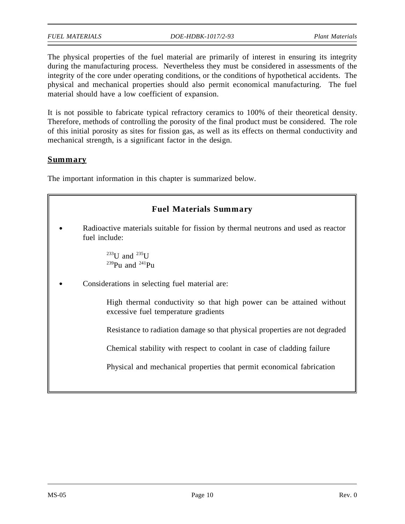<span id="page-69-0"></span>*FUEL MATERIALS DOE-HDBK-1017/2-93 Plant Materials*

The physical properties of the fuel material are primarily of interest in ensuring its integrity during the manufacturing process. Nevertheless they must be considered in assessments of the integrity of the core under operating conditions, or the conditions of hypothetical accidents. The physical and mechanical properties should also permit economical manufacturing. The fuel material should have a low coefficient of expansion.

It is not possible to fabricate typical refractory ceramics to 100% of their theoretical density. Therefore, methods of controlling the porosity of the final product must be considered. The role of this initial porosity as sites for fission gas, as well as its effects on thermal conductivity and mechanical strength, is a significant factor in the design.

#### **[Summary](#page-50-0)**

The important information in this chapter is summarized below.

| <b>Fuel Materials Summary</b>                                                                                |  |  |  |  |
|--------------------------------------------------------------------------------------------------------------|--|--|--|--|
| Radioactive materials suitable for fission by thermal neutrons and used as reactor<br>fuel include:          |  |  |  |  |
| $^{233}U$ and $^{235}U$<br>$^{239}$ Pu and $^{241}$ Pu                                                       |  |  |  |  |
| Considerations in selecting fuel material are:                                                               |  |  |  |  |
| High thermal conductivity so that high power can be attained without<br>excessive fuel temperature gradients |  |  |  |  |
| Resistance to radiation damage so that physical properties are not degraded                                  |  |  |  |  |
| Chemical stability with respect to coolant in case of cladding failure                                       |  |  |  |  |
| Physical and mechanical properties that permit economical fabrication                                        |  |  |  |  |
|                                                                                                              |  |  |  |  |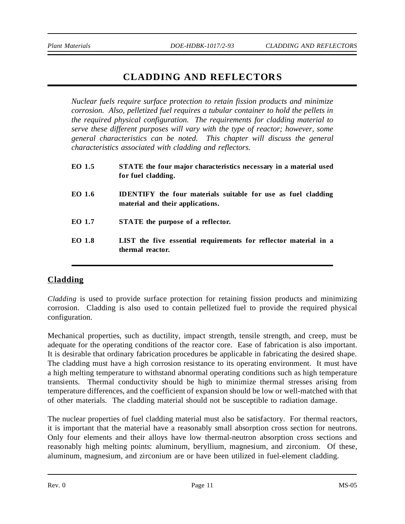### **[CLADDING AND REFLECTORS](#page-50-1)**

<span id="page-70-0"></span>*Nuclear fuels require surface protection to retain fission products and minimize corrosion. Also, pelletized fuel requires a tubular container to hold the pellets in the required physical configuration. The requirements for cladding material to serve these different purposes will vary with the type of reactor; however, some general characteristics can be noted. This chapter will discuss the general characteristics associated with cladding and reflectors.*

| EO 1.5 | STATE the four major characteristics necessary in a material used<br>for fuel cladding.                  |
|--------|----------------------------------------------------------------------------------------------------------|
| EO 1.6 | <b>IDENTIFY</b> the four materials suitable for use as fuel cladding<br>material and their applications. |
| EO 1.7 | STATE the purpose of a reflector.                                                                        |
| EO 1.8 | LIST the five essential requirements for reflector material in a<br>thermal reactor.                     |
|        |                                                                                                          |

### **[Cladding](#page-50-1)**

*Cladding* is used to provide surface protection for retaining fission products and minimizing corrosion. Cladding is also used to contain pelletized fuel to provide the required physical configuration.

Mechanical properties, such as ductility, impact strength, tensile strength, and creep, must be adequate for the operating conditions of the reactor core. Ease of fabrication is also important. It is desirable that ordinary fabrication procedures be applicable in fabricating the desired shape. The cladding must have a high corrosion resistance to its operating environment. It must have a high melting temperature to withstand abnormal operating conditions such as high temperature transients. Thermal conductivity should be high to minimize thermal stresses arising from temperature differences, and the coefficient of expansion should be low or well-matched with that of other materials. The cladding material should not be susceptible to radiation damage.

The nuclear properties of fuel cladding material must also be satisfactory. For thermal reactors, it is important that the material have a reasonably small absorption cross section for neutrons. Only four elements and their alloys have low thermal-neutron absorption cross sections and reasonably high melting points: aluminum, beryllium, magnesium, and zirconium. Of these, aluminum, magnesium, and zirconium are or have been utilized in fuel-element cladding.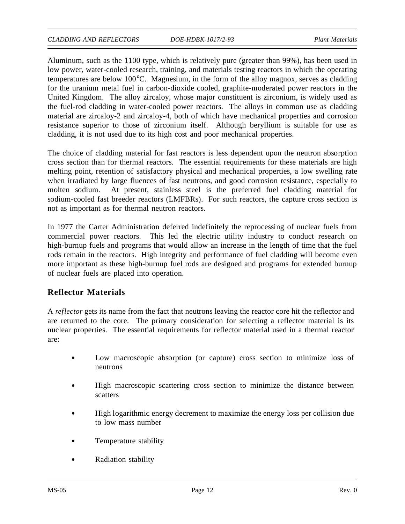<span id="page-71-0"></span>Aluminum, such as the 1100 type, which is relatively pure (greater than 99%), has been used in low power, water-cooled research, training, and materials testing reactors in which the operating temperatures are below 100°C. Magnesium, in the form of the alloy magnox, serves as cladding for the uranium metal fuel in carbon-dioxide cooled, graphite-moderated power reactors in the United Kingdom. The alloy zircaloy, whose major constituent is zirconium, is widely used as the fuel-rod cladding in water-cooled power reactors. The alloys in common use as cladding material are zircaloy-2 and zircaloy-4, both of which have mechanical properties and corrosion resistance superior to those of zirconium itself. Although beryllium is suitable for use as cladding, it is not used due to its high cost and poor mechanical properties.

The choice of cladding material for fast reactors is less dependent upon the neutron absorption cross section than for thermal reactors. The essential requirements for these materials are high melting point, retention of satisfactory physical and mechanical properties, a low swelling rate when irradiated by large fluences of fast neutrons, and good corrosion resistance, especially to molten sodium. At present, stainless steel is the preferred fuel cladding material for sodium-cooled fast breeder reactors (LMFBRs). For such reactors, the capture cross section is not as important as for thermal neutron reactors.

In 1977 the Carter Administration deferred indefinitely the reprocessing of nuclear fuels from commercial power reactors. This led the electric utility industry to conduct research on high-burnup fuels and programs that would allow an increase in the length of time that the fuel rods remain in the reactors. High integrity and performance of fuel cladding will become even more important as these high-burnup fuel rods are designed and programs for extended burnup of nuclear fuels are placed into operation.

### **Reflector [Materials](#page-50-1)**

A *reflector* gets its name from the fact that neutrons leaving the reactor core hit the reflector and are returned to the core. The primary consideration for selecting a reflector material is its nuclear properties. The essential requirements for reflector material used in a thermal reactor are:

- Low macroscopic absorption (or capture) cross section to minimize loss of  $\bullet$ neutrons
- High macroscopic scattering cross section to minimize the distance between  $\bullet$ scatters
- High logarithmic energy decrement to maximize the energy loss per collision due to low mass number
- Temperature stability
- Radiation stability  $\bullet$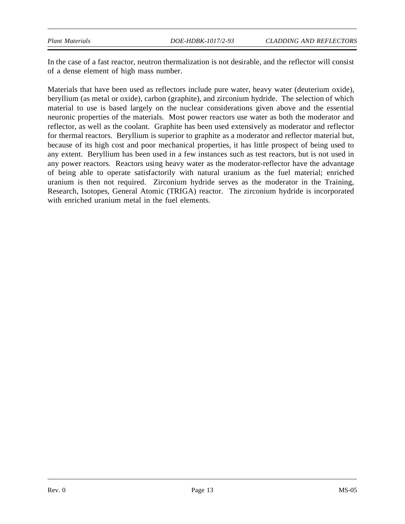In the case of a fast reactor, neutron thermalization is not desirable, and the reflector will consist of a dense element of high mass number.

Materials that have been used as reflectors include pure water, heavy water (deuterium oxide), beryllium (as metal or oxide), carbon (graphite), and zirconium hydride. The selection of which material to use is based largely on the nuclear considerations given above and the essential neuronic properties of the materials. Most power reactors use water as both the moderator and reflector, as well as the coolant. Graphite has been used extensively as moderator and reflector for thermal reactors. Beryllium is superior to graphite as a moderator and reflector material but, because of its high cost and poor mechanical properties, it has little prospect of being used to any extent. Beryllium has been used in a few instances such as test reactors, but is not used in any power reactors. Reactors using heavy water as the moderator-reflector have the advantage of being able to operate satisfactorily with natural uranium as the fuel material; enriched uranium is then not required. Zirconium hydride serves as the moderator in the Training, Research, Isotopes, General Atomic (TRIGA) reactor. The zirconium hydride is incorporated with enriched uranium metal in the fuel elements.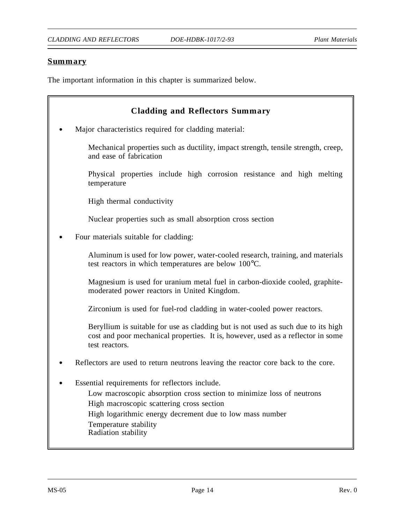# **[Summary](#page-50-0)**

The important information in this chapter is summarized below.

| <b>Cladding and Reflectors Summary</b>                                                                                                                                                  |
|-----------------------------------------------------------------------------------------------------------------------------------------------------------------------------------------|
| Major characteristics required for cladding material:                                                                                                                                   |
| Mechanical properties such as ductility, impact strength, tensile strength, creep,<br>and ease of fabrication                                                                           |
| Physical properties include high corrosion resistance and high melting<br>temperature                                                                                                   |
| High thermal conductivity                                                                                                                                                               |
| Nuclear properties such as small absorption cross section                                                                                                                               |
| Four materials suitable for cladding:                                                                                                                                                   |
| Aluminum is used for low power, water-cooled research, training, and materials<br>test reactors in which temperatures are below 100°C.                                                  |
| Magnesium is used for uranium metal fuel in carbon-dioxide cooled, graphite-<br>moderated power reactors in United Kingdom.                                                             |
| Zirconium is used for fuel-rod cladding in water-cooled power reactors.                                                                                                                 |
| Beryllium is suitable for use as cladding but is not used as such due to its high<br>cost and poor mechanical properties. It is, however, used as a reflector in some<br>test reactors. |
| Reflectors are used to return neutrons leaving the reactor core back to the core.                                                                                                       |
| Essential requirements for reflectors include.                                                                                                                                          |
| Low macroscopic absorption cross section to minimize loss of neutrons                                                                                                                   |
| High macroscopic scattering cross section                                                                                                                                               |
| High logarithmic energy decrement due to low mass number                                                                                                                                |
| Temperature stability                                                                                                                                                                   |
| Radiation stability                                                                                                                                                                     |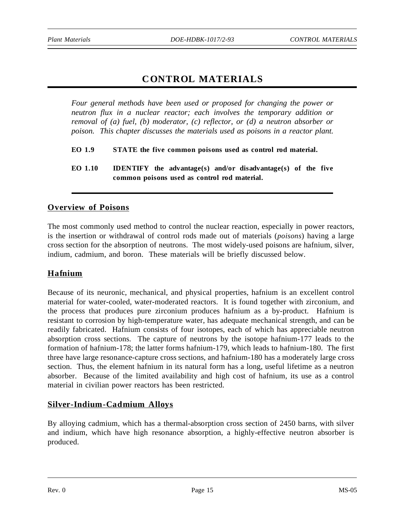# **[CONTROL MATERIALS](#page-50-1)**

*Four general methods have been used or proposed for changing the power or neutron flux in a nuclear reactor; each involves the temporary addition or removal of (a) fuel, (b) moderator, (c) reflector, or (d) a neutron absorber or poison. This chapter discusses the materials used as poisons in a reactor plant.*

**EO 1.9 STATE the five common poisons used as control rod material.**

#### **[Overview](#page-50-1) of Poisons**

The most commonly used method to control the nuclear reaction, especially in power reactors, is the insertion or withdrawal of control rods made out of materials (*poisons*) having a large cross section for the absorption of neutrons. The most widely-used poisons are hafnium, silver, indium, cadmium, and boron. These materials will be briefly discussed below.

#### **[Hafnium](#page-50-1)**

Because of its neuronic, mechanical, and physical properties, hafnium is an excellent control material for water-cooled, water-moderated reactors. It is found together with zirconium, and the process that produces pure zirconium produces hafnium as a by-product. Hafnium is resistant to corrosion by high-temperature water, has adequate mechanical strength, and can be readily fabricated. Hafnium consists of four isotopes, each of which has appreciable neutron absorption cross sections. The capture of neutrons by the isotope hafnium-177 leads to the formation of hafnium-178; the latter forms hafnium-179, which leads to hafnium-180. The first three have large resonance-capture cross sections, and hafnium-180 has a moderately large cross section. Thus, the element hafnium in its natural form has a long, useful lifetime as a neutron absorber. Because of the limited availability and high cost of hafnium, its use as a control material in civilian power reactors has been restricted.

#### **[Silver-Indium-Cadmium](#page-50-1) Alloys**

By alloying cadmium, which has a thermal-absorption cross section of 2450 barns, with silver and indium, which have high resonance absorption, a highly-effective neutron absorber is produced.

**EO 1.10 IDENTIFY the advantage(s) and/or disadvantage(s) of the five common poisons used as control rod material.**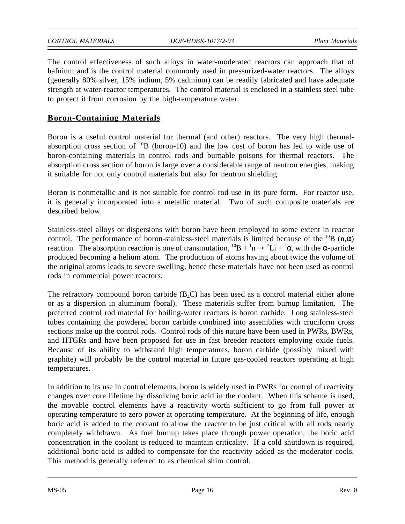The control effectiveness of such alloys in water-moderated reactors can approach that of hafnium and is the control material commonly used in pressurized-water reactors. The alloys (generally 80% silver, 15% indium, 5% cadmium) can be readily fabricated and have adequate strength at water-reactor temperatures. The control material is enclosed in a stainless steel tube to protect it from corrosion by the high-temperature water.

#### **[Boron-Containing](#page-50-1) Materials**

Boron is a useful control material for thermal (and other) reactors. The very high thermalabsorption cross section of  $^{10}B$  (boron-10) and the low cost of boron has led to wide use of boron-containing materials in control rods and burnable poisons for thermal reactors. The absorption cross section of boron is large over a considerable range of neutron energies, making it suitable for not only control materials but also for neutron shielding.

Boron is nonmetallic and is not suitable for control rod use in its pure form. For reactor use, it is generally incorporated into a metallic material. Two of such composite materials are described below.

Stainless-steel alloys or dispersions with boron have been employed to some extent in reactor control. The performance of boron-stainless-steel materials is limited because of the  ${}^{10}B$  (n, $\alpha$ ) reaction. The absorption reaction is one of transmutation,  ${}^{10}B + {}^{1}n \rightarrow {}^{7}Li + {}^{4}\alpha$ , with the  $\alpha$ -particle produced becoming a helium atom. The production of atoms having about twice the volume of the original atoms leads to severe swelling, hence these materials have not been used as control rods in commercial power reactors.

The refractory compound boron carbide  $(B_4C)$  has been used as a control material either alone or as a dispersion in aluminum (boral). These materials suffer from burnup limitation. The preferred control rod material for boiling-water reactors is boron carbide. Long stainless-steel tubes containing the powdered boron carbide combined into assemblies with cruciform cross sections make up the control rods. Control rods of this nature have been used in PWRs, BWRs, and HTGRs and have been proposed for use in fast breeder reactors employing oxide fuels. Because of its ability to withstand high temperatures, boron carbide (possibly mixed with graphite) will probably be the control material in future gas-cooled reactors operating at high temperatures.

In addition to its use in control elements, boron is widely used in PWRs for control of reactivity changes over core lifetime by dissolving boric acid in the coolant. When this scheme is used, the movable control elements have a reactivity worth sufficient to go from full power at operating temperature to zero power at operating temperature. At the beginning of life, enough boric acid is added to the coolant to allow the reactor to be just critical with all rods nearly completely withdrawn. As fuel burnup takes place through power operation, the boric acid concentration in the coolant is reduced to maintain criticality. If a cold shutdown is required, additional boric acid is added to compensate for the reactivity added as the moderator cools. This method is generally referred to as chemical shim control.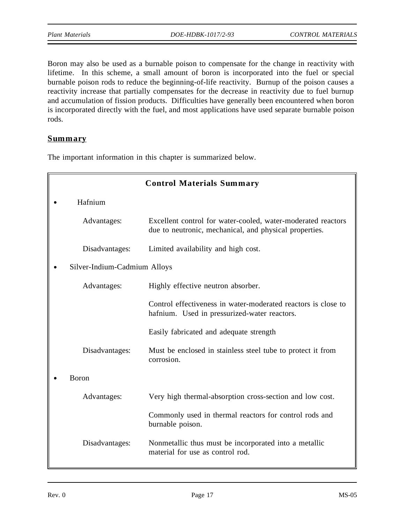Boron may also be used as a burnable poison to compensate for the change in reactivity with lifetime. In this scheme, a small amount of boron is incorporated into the fuel or special burnable poison rods to reduce the beginning-of-life reactivity. Burnup of the poison causes a reactivity increase that partially compensates for the decrease in reactivity due to fuel burnup and accumulation of fission products. Difficulties have generally been encountered when boron is incorporated directly with the fuel, and most applications have used separate burnable poison rods.

#### **[Summary](#page-50-1)**

The important information in this chapter is summarized below.

|                              | <b>Control Materials Summary</b>                                                                                       |
|------------------------------|------------------------------------------------------------------------------------------------------------------------|
| Hafnium                      |                                                                                                                        |
| Advantages:                  | Excellent control for water-cooled, water-moderated reactors<br>due to neutronic, mechanical, and physical properties. |
| Disadvantages:               | Limited availability and high cost.                                                                                    |
| Silver-Indium-Cadmium Alloys |                                                                                                                        |
| Advantages:                  | Highly effective neutron absorber.                                                                                     |
|                              | Control effectiveness in water-moderated reactors is close to<br>hafnium. Used in pressurized-water reactors.          |
|                              | Easily fabricated and adequate strength                                                                                |
| Disadvantages:               | Must be enclosed in stainless steel tube to protect it from<br>corrosion.                                              |
| Boron                        |                                                                                                                        |
| Advantages:                  | Very high thermal-absorption cross-section and low cost.                                                               |
|                              | Commonly used in thermal reactors for control rods and<br>burnable poison.                                             |
| Disadvantages:               | Nonmetallic thus must be incorporated into a metallic<br>material for use as control rod.                              |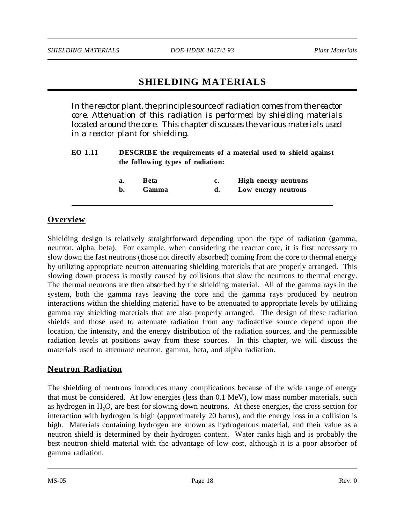# **[SHIELDING MATERIALS](#page-51-0)**

*In the reactor plant, the principle source of radiation comes from the reactor core. Attenuation of this radiation is performed by shielding materials located around the core. This chapter discusses the various materials used in a reactor plant for shielding.*

**EO 1.11 DESCRIBE the requirements of a material used to shield against the following types of radiation:**

| a. | <b>B</b> eta | <b>High energy neutrons</b> |
|----|--------------|-----------------------------|
|    | Gamma        | Low energy neutrons         |

# **[Overview](#page-51-0)**

Shielding design is relatively straightforward depending upon the type of radiation (gamma, neutron, alpha, beta). For example, when considering the reactor core, it is first necessary to slow down the fast neutrons (those not directly absorbed) coming from the core to thermal energy by utilizing appropriate neutron attenuating shielding materials that are properly arranged. This slowing down process is mostly caused by collisions that slow the neutrons to thermal energy. The thermal neutrons are then absorbed by the shielding material. All of the gamma rays in the system, both the gamma rays leaving the core and the gamma rays produced by neutron interactions within the shielding material have to be attenuated to appropriate levels by utilizing gamma ray shielding materials that are also properly arranged. The design of these radiation shields and those used to attenuate radiation from any radioactive source depend upon the location, the intensity, and the energy distribution of the radiation sources, and the permissible radiation levels at positions away from these sources. In this chapter, we will discuss the materials used to attenuate neutron, gamma, beta, and alpha radiation.

# **Neutron [Radiation](#page-51-0)**

The shielding of neutrons introduces many complications because of the wide range of energy that must be considered. At low energies (less than 0.1 MeV), low mass number materials, such as hydrogen in  $H_2O$ , are best for slowing down neutrons. At these energies, the cross section for interaction with hydrogen is high (approximately 20 barns), and the energy loss in a collision is high. Materials containing hydrogen are known as hydrogenous material, and their value as a neutron shield is determined by their hydrogen content. Water ranks high and is probably the best neutron shield material with the advantage of low cost, although it is a poor absorber of gamma radiation.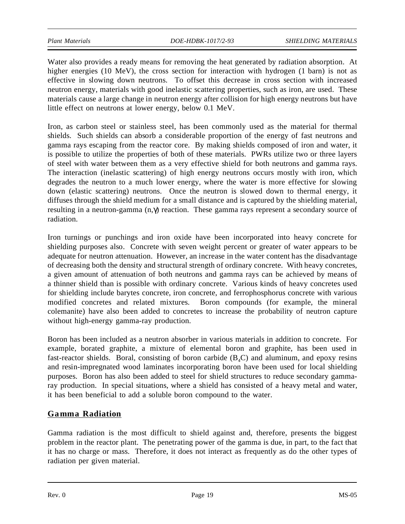Water also provides a ready means for removing the heat generated by radiation absorption. At higher energies (10 MeV), the cross section for interaction with hydrogen (1 barn) is not as effective in slowing down neutrons. To offset this decrease in cross section with increased neutron energy, materials with good inelastic scattering properties, such as iron, are used. These materials cause a large change in neutron energy after collision for high energy neutrons but have little effect on neutrons at lower energy, below 0.1 MeV.

Iron, as carbon steel or stainless steel, has been commonly used as the material for thermal shields. Such shields can absorb a considerable proportion of the energy of fast neutrons and gamma rays escaping from the reactor core. By making shields composed of iron and water, it is possible to utilize the properties of both of these materials. PWRs utilize two or three layers of steel with water between them as a very effective shield for both neutrons and gamma rays. The interaction (inelastic scattering) of high energy neutrons occurs mostly with iron, which degrades the neutron to a much lower energy, where the water is more effective for slowing down (elastic scattering) neutrons. Once the neutron is slowed down to thermal energy, it diffuses through the shield medium for a small distance and is captured by the shielding material, resulting in a neutron-gamma (n,γ) reaction. These gamma rays represent a secondary source of radiation.

Iron turnings or punchings and iron oxide have been incorporated into heavy concrete for shielding purposes also. Concrete with seven weight percent or greater of water appears to be adequate for neutron attenuation. However, an increase in the water content has the disadvantage of decreasing both the density and structural strength of ordinary concrete. With heavy concretes, a given amount of attenuation of both neutrons and gamma rays can be achieved by means of a thinner shield than is possible with ordinary concrete. Various kinds of heavy concretes used for shielding include barytes concrete, iron concrete, and ferrophosphorus concrete with various modified concretes and related mixtures. Boron compounds (for example, the mineral colemanite) have also been added to concretes to increase the probability of neutron capture without high-energy gamma-ray production.

Boron has been included as a neutron absorber in various materials in addition to concrete. For example, borated graphite, a mixture of elemental boron and graphite, has been used in fast-reactor shields. Boral, consisting of boron carbide  $(B<sub>A</sub>C)$  and aluminum, and epoxy resins and resin-impregnated wood laminates incorporating boron have been used for local shielding purposes. Boron has also been added to steel for shield structures to reduce secondary gammaray production. In special situations, where a shield has consisted of a heavy metal and water, it has been beneficial to add a soluble boron compound to the water.

# **Gamma [Radiation](#page-51-0)**

Gamma radiation is the most difficult to shield against and, therefore, presents the biggest problem in the reactor plant. The penetrating power of the gamma is due, in part, to the fact that it has no charge or mass. Therefore, it does not interact as frequently as do the other types of radiation per given material.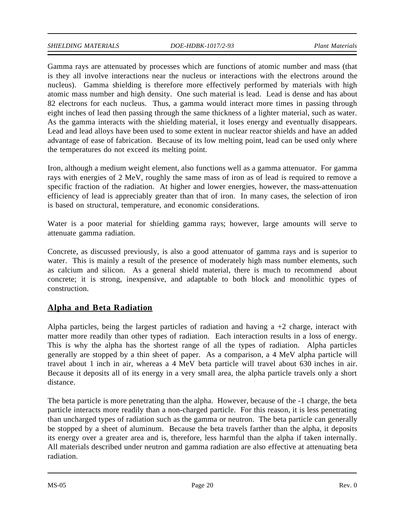Gamma rays are attenuated by processes which are functions of atomic number and mass (that is they all involve interactions near the nucleus or interactions with the electrons around the nucleus). Gamma shielding is therefore more effectively performed by materials with high atomic mass number and high density. One such material is lead. Lead is dense and has about 82 electrons for each nucleus. Thus, a gamma would interact more times in passing through eight inches of lead then passing through the same thickness of a lighter material, such as water. As the gamma interacts with the shielding material, it loses energy and eventually disappears. Lead and lead alloys have been used to some extent in nuclear reactor shields and have an added advantage of ease of fabrication. Because of its low melting point, lead can be used only where the temperatures do not exceed its melting point.

Iron, although a medium weight element, also functions well as a gamma attenuator. For gamma rays with energies of 2 MeV, roughly the same mass of iron as of lead is required to remove a specific fraction of the radiation. At higher and lower energies, however, the mass-attenuation efficiency of lead is appreciably greater than that of iron. In many cases, the selection of iron is based on structural, temperature, and economic considerations.

Water is a poor material for shielding gamma rays; however, large amounts will serve to attenuate gamma radiation.

Concrete, as discussed previously, is also a good attenuator of gamma rays and is superior to water. This is mainly a result of the presence of moderately high mass number elements, such as calcium and silicon. As a general shield material, there is much to recommend about concrete; it is strong, inexpensive, and adaptable to both block and monolithic types of construction.

# **Alpha and Beta [Radiation](#page-51-0)**

Alpha particles, being the largest particles of radiation and having  $a + 2$  charge, interact with matter more readily than other types of radiation. Each interaction results in a loss of energy. This is why the alpha has the shortest range of all the types of radiation. Alpha particles generally are stopped by a thin sheet of paper. As a comparison, a 4 MeV alpha particle will travel about 1 inch in air, whereas a 4 MeV beta particle will travel about 630 inches in air. Because it deposits all of its energy in a very small area, the alpha particle travels only a short distance.

The beta particle is more penetrating than the alpha. However, because of the -1 charge, the beta particle interacts more readily than a non-charged particle. For this reason, it is less penetrating than uncharged types of radiation such as the gamma or neutron. The beta particle can generally be stopped by a sheet of aluminum. Because the beta travels farther than the alpha, it deposits its energy over a greater area and is, therefore, less harmful than the alpha if taken internally. All materials described under neutron and gamma radiation are also effective at attenuating beta radiation.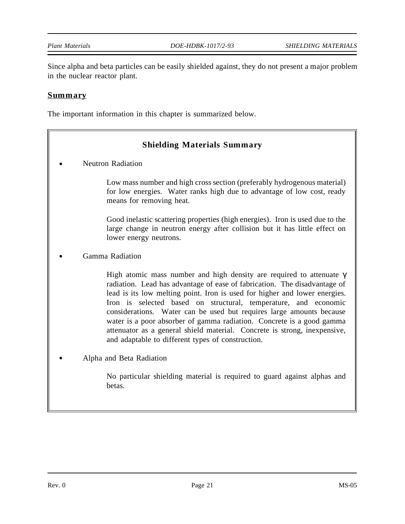Since alpha and beta particles can be easily shielded against, they do not present a major problem in the nuclear reactor plant.

#### **[Summary](#page-51-0)**

The important information in this chapter is summarized below.

# **Shielding Materials Summary** Neutron Radiation Low mass number and high cross section (preferably hydrogenous material) for low energies. Water ranks high due to advantage of low cost, ready means for removing heat. Good inelastic scattering properties (high energies). Iron is used due to the large change in neutron energy after collision but it has little effect on lower energy neutrons. Gamma Radiation  $\bullet$ High atomic mass number and high density are required to attenuate  $\gamma$ radiation. Lead has advantage of ease of fabrication. The disadvantage of lead is its low melting point. Iron is used for higher and lower energies. Iron is selected based on structural, temperature, and economic considerations. Water can be used but requires large amounts because water is a poor absorber of gamma radiation. Concrete is a good gamma attenuator as a general shield material. Concrete is strong, inexpensive, and adaptable to different types of construction. Alpha and Beta Radiation No particular shielding material is required to guard against alphas and betas.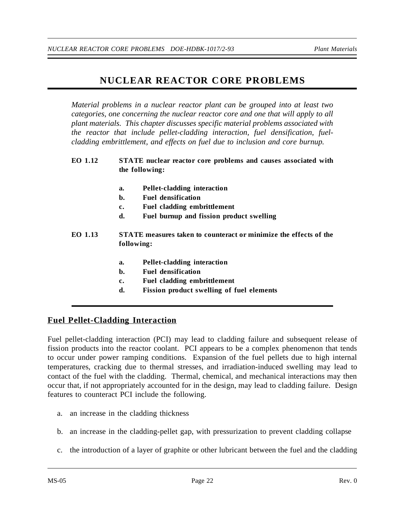# **[NUCLEAR REACTOR CORE PROBLEMS](#page-51-0)**

*Material problems in a nuclear reactor plant can be grouped into at least two categories, one concerning the nuclear reactor core and one that will apply to all plant materials. This chapter discusses specific material problems associated with the reactor that include pellet-cladding interaction, fuel densification, fuelcladding embrittlement, and effects on fuel due to inclusion and core burnup.* 

#### **EO 1.12 STATE nuclear reactor core problems and causes associated with the following:**

- **a. Pellet-cladding interaction**
- **b. Fuel densification**
- **c. Fuel cladding embrittlement**
- **d. Fuel burnup and fission product swelling**
- **EO 1.13 STATE measures taken to counteract or minimize the effects of the following:**
	- **a. Pellet-cladding interaction**
	- **b. Fuel densification**
	- **c. Fuel cladding embrittlement**
	- **d. Fission product swelling of fuel elements**

# **Fuel [Pellet-Cladding](#page-51-0) Interaction**

Fuel pellet-cladding interaction (PCI) may lead to cladding failure and subsequent release of fission products into the reactor coolant. PCI appears to be a complex phenomenon that tends to occur under power ramping conditions. Expansion of the fuel pellets due to high internal temperatures, cracking due to thermal stresses, and irradiation-induced swelling may lead to contact of the fuel with the cladding. Thermal, chemical, and mechanical interactions may then occur that, if not appropriately accounted for in the design, may lead to cladding failure. Design features to counteract PCI include the following.

- a. an increase in the cladding thickness
- b. an increase in the cladding-pellet gap, with pressurization to prevent cladding collapse
- c. the introduction of a layer of graphite or other lubricant between the fuel and the cladding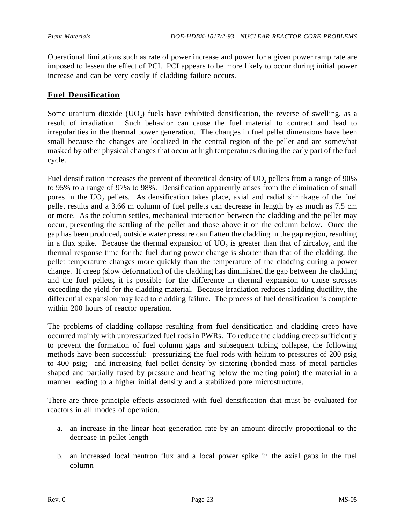Operational limitations such as rate of power increase and power for a given power ramp rate are imposed to lessen the effect of PCI. PCI appears to be more likely to occur during initial power increase and can be very costly if cladding failure occurs.

# **Fuel [Densification](#page-51-0)**

Some uranium dioxide  $(UO<sub>2</sub>)$  fuels have exhibited densification, the reverse of swelling, as a result of irradiation. Such behavior can cause the fuel material to contract and lead to irregularities in the thermal power generation. The changes in fuel pellet dimensions have been small because the changes are localized in the central region of the pellet and are somewhat masked by other physical changes that occur at high temperatures during the early part of the fuel cycle.

Fuel densification increases the percent of theoretical density of UO<sub>2</sub> pellets from a range of 90% to 95% to a range of 97% to 98%. Densification apparently arises from the elimination of small pores in the UO<sub>2</sub> pellets. As densification takes place, axial and radial shrinkage of the fuel pellet results and a 3.66 m column of fuel pellets can decrease in length by as much as 7.5 cm or more. As the column settles, mechanical interaction between the cladding and the pellet may occur, preventing the settling of the pellet and those above it on the column below. Once the gap has been produced, outside water pressure can flatten the cladding in the gap region, resulting in a flux spike. Because the thermal expansion of  $UO<sub>2</sub>$  is greater than that of zircaloy, and the thermal response time for the fuel during power change is shorter than that of the cladding, the pellet temperature changes more quickly than the temperature of the cladding during a power change. If creep (slow deformation) of the cladding has diminished the gap between the cladding and the fuel pellets, it is possible for the difference in thermal expansion to cause stresses exceeding the yield for the cladding material. Because irradiation reduces cladding ductility, the differential expansion may lead to cladding failure. The process of fuel densification is complete within 200 hours of reactor operation.

The problems of cladding collapse resulting from fuel densification and cladding creep have occurred mainly with unpressurized fuel rods in PWRs. To reduce the cladding creep sufficiently to prevent the formation of fuel column gaps and subsequent tubing collapse, the following methods have been successful: pressurizing the fuel rods with helium to pressures of 200 psig to 400 psig; and increasing fuel pellet density by sintering (bonded mass of metal particles shaped and partially fused by pressure and heating below the melting point) the material in a manner leading to a higher initial density and a stabilized pore microstructure.

There are three principle effects associated with fuel densification that must be evaluated for reactors in all modes of operation.

- a. an increase in the linear heat generation rate by an amount directly proportional to the decrease in pellet length
- b. an increased local neutron flux and a local power spike in the axial gaps in the fuel column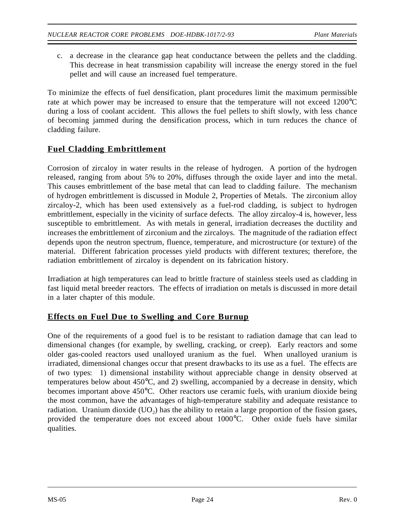c. a decrease in the clearance gap heat conductance between the pellets and the cladding. This decrease in heat transmission capability will increase the energy stored in the fuel pellet and will cause an increased fuel temperature.

To minimize the effects of fuel densification, plant procedures limit the maximum permissible rate at which power may be increased to ensure that the temperature will not exceed 1200°C during a loss of coolant accident. This allows the fuel pellets to shift slowly, with less chance of becoming jammed during the densification process, which in turn reduces the chance of cladding failure.

# **Fuel Cladding [Embrittlement](#page-51-0)**

Corrosion of zircaloy in water results in the release of hydrogen. A portion of the hydrogen released, ranging from about 5% to 20%, diffuses through the oxide layer and into the metal. This causes embrittlement of the base metal that can lead to cladding failure. The mechanism of hydrogen embrittlement is discussed in Module 2, Properties of Metals. The zirconium alloy zircaloy-2, which has been used extensively as a fuel-rod cladding, is subject to hydrogen embrittlement, especially in the vicinity of surface defects. The alloy zircaloy-4 is, however, less susceptible to embrittlement. As with metals in general, irradiation decreases the ductility and increases the embrittlement of zirconium and the zircaloys. The magnitude of the radiation effect depends upon the neutron spectrum, fluence, temperature, and microstructure (or texture) of the material. Different fabrication processes yield products with different textures; therefore, the radiation embrittlement of zircaloy is dependent on its fabrication history.

Irradiation at high temperatures can lead to brittle fracture of stainless steels used as cladding in fast liquid metal breeder reactors. The effects of irradiation on metals is discussed in more detail in a later chapter of this module.

# **Effects on Fuel Due to [Swelling](#page-51-0) and Core Burnup**

One of the requirements of a good fuel is to be resistant to radiation damage that can lead to dimensional changes (for example, by swelling, cracking, or creep). Early reactors and some older gas-cooled reactors used unalloyed uranium as the fuel. When unalloyed uranium is irradiated, dimensional changes occur that present drawbacks to its use as a fuel. The effects are of two types: 1) dimensional instability without appreciable change in density observed at temperatures below about 450°C, and 2) swelling, accompanied by a decrease in density, which becomes important above 450°C. Other reactors use ceramic fuels, with uranium dioxide being the most common, have the advantages of high-temperature stability and adequate resistance to radiation. Uranium dioxide  $(UO<sub>2</sub>)$  has the ability to retain a large proportion of the fission gases, provided the temperature does not exceed about 1000°C. Other oxide fuels have similar qualities.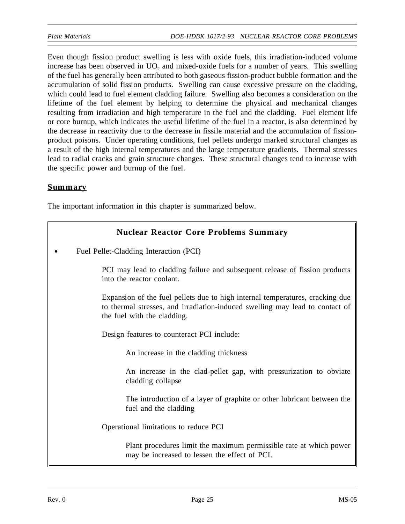Even though fission product swelling is less with oxide fuels, this irradiation-induced volume increase has been observed in  $UO<sub>2</sub>$  and mixed-oxide fuels for a number of years. This swelling of the fuel has generally been attributed to both gaseous fission-product bubble formation and the accumulation of solid fission products. Swelling can cause excessive pressure on the cladding, which could lead to fuel element cladding failure. Swelling also becomes a consideration on the lifetime of the fuel element by helping to determine the physical and mechanical changes resulting from irradiation and high temperature in the fuel and the cladding. Fuel element life or core burnup, which indicates the useful lifetime of the fuel in a reactor, is also determined by the decrease in reactivity due to the decrease in fissile material and the accumulation of fissionproduct poisons. Under operating conditions, fuel pellets undergo marked structural changes as a result of the high internal temperatures and the large temperature gradients. Thermal stresses lead to radial cracks and grain structure changes. These structural changes tend to increase with the specific power and burnup of the fuel.

#### **[Summary](#page-51-0)**

The important information in this chapter is summarized below.

| <b>Nuclear Reactor Core Problems Summary</b>                                                                                                                                                 |
|----------------------------------------------------------------------------------------------------------------------------------------------------------------------------------------------|
| Fuel Pellet-Cladding Interaction (PCI)                                                                                                                                                       |
| PCI may lead to cladding failure and subsequent release of fission products<br>into the reactor coolant.                                                                                     |
| Expansion of the fuel pellets due to high internal temperatures, cracking due<br>to thermal stresses, and irradiation-induced swelling may lead to contact of<br>the fuel with the cladding. |
| Design features to counteract PCI include:                                                                                                                                                   |
| An increase in the cladding thickness                                                                                                                                                        |
| An increase in the clad-pellet gap, with pressurization to obviate<br>cladding collapse                                                                                                      |
| The introduction of a layer of graphite or other lubricant between the<br>fuel and the cladding                                                                                              |
| Operational limitations to reduce PCI                                                                                                                                                        |
| Plant procedures limit the maximum permissible rate at which power<br>may be increased to lessen the effect of PCI.                                                                          |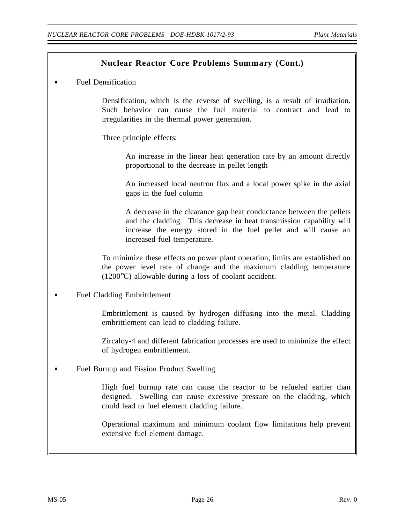#### **Nuclear Reactor Core Problems Summary (Cont.)**

#### Fuel Densification

Densification, which is the reverse of swelling, is a result of irradiation. Such behavior can cause the fuel material to contract and lead to irregularities in the thermal power generation.

Three principle effects:

An increase in the linear heat generation rate by an amount directly proportional to the decrease in pellet length

An increased local neutron flux and a local power spike in the axial gaps in the fuel column

A decrease in the clearance gap heat conductance between the pellets and the cladding. This decrease in heat transmission capability will increase the energy stored in the fuel pellet and will cause an increased fuel temperature.

To minimize these effects on power plant operation, limits are established on the power level rate of change and the maximum cladding temperature (1200°C) allowable during a loss of coolant accident.

Fuel Cladding Embrittlement

Embrittlement is caused by hydrogen diffusing into the metal. Cladding embrittlement can lead to cladding failure.

Zircaloy-4 and different fabrication processes are used to minimize the effect of hydrogen embrittlement.

Fuel Burnup and Fission Product Swelling

High fuel burnup rate can cause the reactor to be refueled earlier than designed. Swelling can cause excessive pressure on the cladding, which could lead to fuel element cladding failure.

Operational maximum and minimum coolant flow limitations help prevent extensive fuel element damage.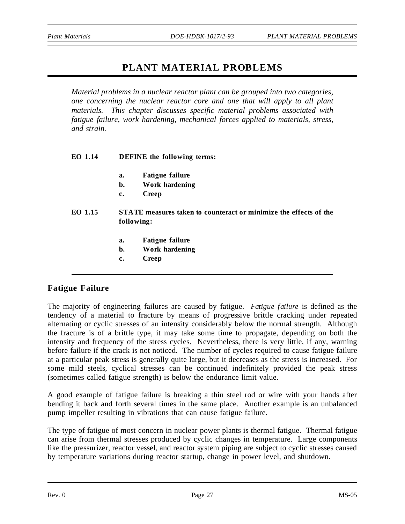# **[PLANT MATERIAL PROBLEMS](#page-51-0)**

*Material problems in a nuclear reactor plant can be grouped into two categories, one concerning the nuclear reactor core and one that will apply to all plant materials. This chapter discusses specific material problems associated with fatigue failure, work hardening, mechanical forces applied to materials, stress, and strain.*

#### **EO 1.14 DEFINE the following terms:**

- **a. Fatigue failure**
- **b. Work hardening**
- **c. Creep**
- **EO 1.15 STATE measures taken to counteract or minimize the effects of the following:**
	- **a. Fatigue failure**
	- **b. Work hardening**
	- **c. Creep**

#### **[Fatigue](#page-51-0) Failure**

The majority of engineering failures are caused by fatigue. *Fatigue failure* is defined as the tendency of a material to fracture by means of progressive brittle cracking under repeated alternating or cyclic stresses of an intensity considerably below the normal strength. Although the fracture is of a brittle type, it may take some time to propagate, depending on both the intensity and frequency of the stress cycles. Nevertheless, there is very little, if any, warning before failure if the crack is not noticed. The number of cycles required to cause fatigue failure at a particular peak stress is generally quite large, but it decreases as the stress is increased. For some mild steels, cyclical stresses can be continued indefinitely provided the peak stress (sometimes called fatigue strength) is below the endurance limit value.

A good example of fatigue failure is breaking a thin steel rod or wire with your hands after bending it back and forth several times in the same place. Another example is an unbalanced pump impeller resulting in vibrations that can cause fatigue failure.

The type of fatigue of most concern in nuclear power plants is thermal fatigue. Thermal fatigue can arise from thermal stresses produced by cyclic changes in temperature. Large components like the pressurizer, reactor vessel, and reactor system piping are subject to cyclic stresses caused by temperature variations during reactor startup, change in power level, and shutdown.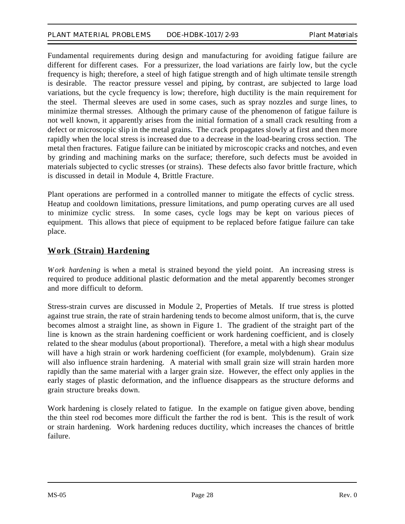Fundamental requirements during design and manufacturing for avoiding fatigue failure are different for different cases. For a pressurizer, the load variations are fairly low, but the cycle frequency is high; therefore, a steel of high fatigue strength and of high ultimate tensile strength is desirable. The reactor pressure vessel and piping, by contrast, are subjected to large load variations, but the cycle frequency is low; therefore, high ductility is the main requirement for the steel. Thermal sleeves are used in some cases, such as spray nozzles and surge lines, to minimize thermal stresses. Although the primary cause of the phenomenon of fatigue failure is not well known, it apparently arises from the initial formation of a small crack resulting from a defect or microscopic slip in the metal grains. The crack propagates slowly at first and then more rapidly when the local stress is increased due to a decrease in the load-bearing cross section. The metal then fractures. Fatigue failure can be initiated by microscopic cracks and notches, and even by grinding and machining marks on the surface; therefore, such defects must be avoided in materials subjected to cyclic stresses (or strains). These defects also favor brittle fracture, which is discussed in detail in Module 4, Brittle Fracture.

Plant operations are performed in a controlled manner to mitigate the effects of cyclic stress. Heatup and cooldown limitations, pressure limitations, and pump operating curves are all used to minimize cyclic stress. In some cases, cycle logs may be kept on various pieces of equipment. This allows that piece of equipment to be replaced before fatigue failure can take place.

# **Work (Strain) [Hardening](#page-51-1)**

*W ork hardening* is when a metal is strained beyond the yield point. An increasing stress is required to produce additional plastic deformation and the metal apparently becomes stronger and more difficult to deform.

Stress-strain curves are discussed in Module 2, Properties of Metals. If true stress is plotted against true strain, the rate of strain hardening tends to become almost uniform, that is, the curve becomes almost a straight line, as shown in Figure 1. The gradient of the straight part of the line is known as the strain hardening coefficient or work hardening coefficient, and is closely related to the shear modulus (about proportional). Therefore, a metal with a high shear modulus will have a high strain or work hardening coefficient (for example, molybdenum). Grain size will also influence strain hardening. A material with small grain size will strain harden more rapidly than the same material with a larger grain size. However, the effect only applies in the early stages of plastic deformation, and the influence disappears as the structure deforms and grain structure breaks down.

Work hardening is closely related to fatigue. In the example on fatigue given above, bending the thin steel rod becomes more difficult the farther the rod is bent. This is the result of work or strain hardening. Work hardening reduces ductility, which increases the chances of brittle failure.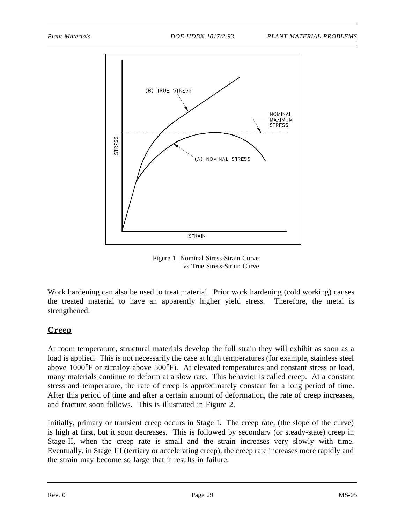

[Figure 1 Nominal Stress-Strain Curve](#page-53-0)  vs True Stress-Strain Curve

Work hardening can also be used to treat material. Prior work hardening (cold working) causes the treated material to have an apparently higher yield stress. Therefore, the metal is strengthened.

# **[Creep](#page-51-1)**

At room temperature, structural materials develop the full strain they will exhibit as soon as a load is applied. This is not necessarily the case at high temperatures (for example, stainless steel above 1000°F or zircaloy above 500°F). At elevated temperatures and constant stress or load, many materials continue to deform at a slow rate. This behavior is called creep. At a constant stress and temperature, the rate of creep is approximately constant for a long period of time. After this period of time and after a certain amount of deformation, the rate of creep increases, and fracture soon follows. This is illustrated in Figure 2.

Initially, primary or transient creep occurs in Stage I. The creep rate, (the slope of the curve) is high at first, but it soon decreases. This is followed by secondary (or steady-state) creep in Stage II, when the creep rate is small and the strain increases very slowly with time. Eventually, in Stage III (tertiary or accelerating creep), the creep rate increases more rapidly and the strain may become so large that it results in failure.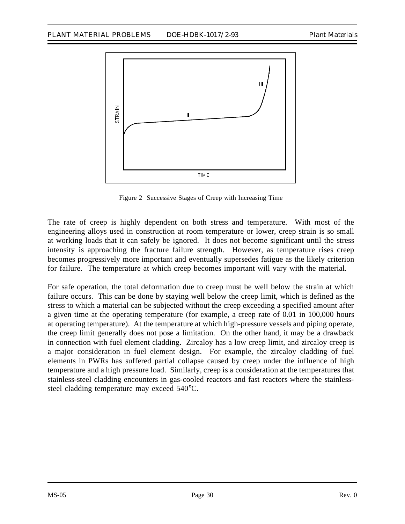

[Figure 2 Successive Stages of Creep with Increasing Time](#page-53-0)

The rate of creep is highly dependent on both stress and temperature. With most of the engineering alloys used in construction at room temperature or lower, creep strain is so small at working loads that it can safely be ignored. It does not become significant until the stress intensity is approaching the fracture failure strength. However, as temperature rises creep becomes progressively more important and eventually supersedes fatigue as the likely criterion for failure. The temperature at which creep becomes important will vary with the material.

For safe operation, the total deformation due to creep must be well below the strain at which failure occurs. This can be done by staying well below the creep limit, which is defined as the stress to which a material can be subjected without the creep exceeding a specified amount after a given time at the operating temperature (for example, a creep rate of 0.01 in 100,000 hours at operating temperature). At the temperature at which high-pressure vessels and piping operate, the creep limit generally does not pose a limitation. On the other hand, it may be a drawback in connection with fuel element cladding. Zircaloy has a low creep limit, and zircaloy creep is a major consideration in fuel element design. For example, the zircaloy cladding of fuel elements in PWRs has suffered partial collapse caused by creep under the influence of high temperature and a high pressure load. Similarly, creep is a consideration at the temperatures that stainless-steel cladding encounters in gas-cooled reactors and fast reactors where the stainlesssteel cladding temperature may exceed 540°C.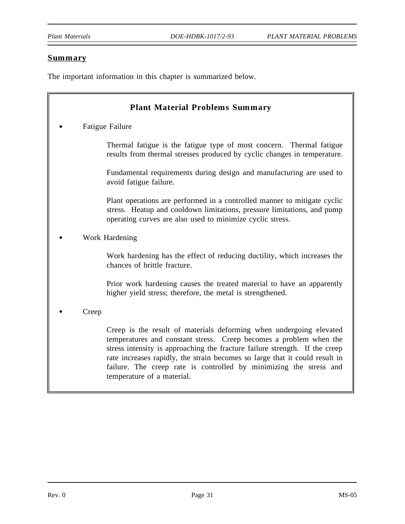# **[Summary](#page-51-1)**

ř.

The important information in this chapter is summarized below.

|       | <b>Plant Material Problems Summary</b>                                                                                                                                                                                                                                                                                                                                                                      |
|-------|-------------------------------------------------------------------------------------------------------------------------------------------------------------------------------------------------------------------------------------------------------------------------------------------------------------------------------------------------------------------------------------------------------------|
|       | <b>Fatigue Failure</b>                                                                                                                                                                                                                                                                                                                                                                                      |
|       | Thermal fatigue is the fatigue type of most concern. Thermal fatigue<br>results from thermal stresses produced by cyclic changes in temperature.                                                                                                                                                                                                                                                            |
|       | Fundamental requirements during design and manufacturing are used to<br>avoid fatigue failure.                                                                                                                                                                                                                                                                                                              |
|       | Plant operations are performed in a controlled manner to mitigate cyclic<br>stress. Heatup and cooldown limitations, pressure limitations, and pump<br>operating curves are also used to minimize cyclic stress.                                                                                                                                                                                            |
|       | Work Hardening                                                                                                                                                                                                                                                                                                                                                                                              |
|       | Work hardening has the effect of reducing ductility, which increases the<br>chances of brittle fracture.                                                                                                                                                                                                                                                                                                    |
|       | Prior work hardening causes the treated material to have an apparently<br>higher yield stress; therefore, the metal is strengthened.                                                                                                                                                                                                                                                                        |
| Creep |                                                                                                                                                                                                                                                                                                                                                                                                             |
|       | Creep is the result of materials deforming when undergoing elevated<br>temperatures and constant stress. Creep becomes a problem when the<br>stress intensity is approaching the fracture failure strength. If the creep<br>rate increases rapidly, the strain becomes so large that it could result in<br>failure. The creep rate is controlled by minimizing the stress and<br>temperature of a material. |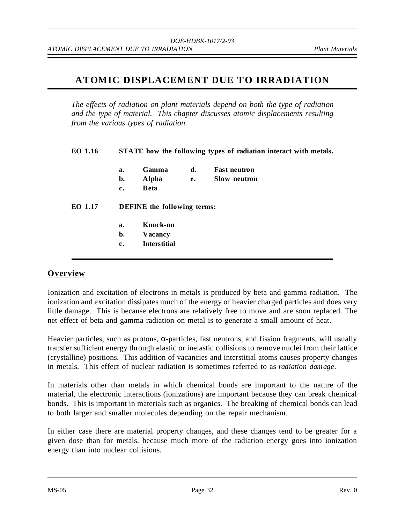# **[ATOMIC DISPLACEMENT DUE TO IRRADIATION](#page-51-2)**

*The effects of radiation on plant materials depend on both the type of radiation and the type of material. This chapter discusses atomic displacements resulting from the various types of radiation.*

| EO 1.16 |    |                                    |    | STATE how the following types of radiation interact with metals. |
|---------|----|------------------------------------|----|------------------------------------------------------------------|
|         | a. | Gamma                              | d. | <b>Fast neutron</b>                                              |
|         | b. | Alpha                              | e. | Slow neutron                                                     |
|         | c. | <b>B</b> eta                       |    |                                                                  |
| EO 1.17 |    | <b>DEFINE</b> the following terms: |    |                                                                  |
|         |    |                                    |    |                                                                  |
|         | a. | Knock-on                           |    |                                                                  |
|         | b. | Vacancy                            |    |                                                                  |
|         | c. | <b>Interstitial</b>                |    |                                                                  |
|         |    |                                    |    |                                                                  |

#### **[Overview](#page-51-2)**

Ionization and excitation of electrons in metals is produced by beta and gamma radiation. The ionization and excitation dissipates much of the energy of heavier charged particles and does very little damage. This is because electrons are relatively free to move and are soon replaced. The net effect of beta and gamma radiation on metal is to generate a small amount of heat.

Heavier particles, such as protons,  $\alpha$ -particles, fast neutrons, and fission fragments, will usually transfer sufficient energy through elastic or inelastic collisions to remove nuclei from their lattice (crystalline) positions. This addition of vacancies and interstitial atoms causes property changes in metals. This effect of nuclear radiation is sometimes referred to as *radiation damage*.

In materials other than metals in which chemical bonds are important to the nature of the material, the electronic interactions (ionizations) are important because they can break chemical bonds. This is important in materials such as organics. The breaking of chemical bonds can lead to both larger and smaller molecules depending on the repair mechanism.

In either case there are material property changes, and these changes tend to be greater for a given dose than for metals, because much more of the radiation energy goes into ionization energy than into nuclear collisions.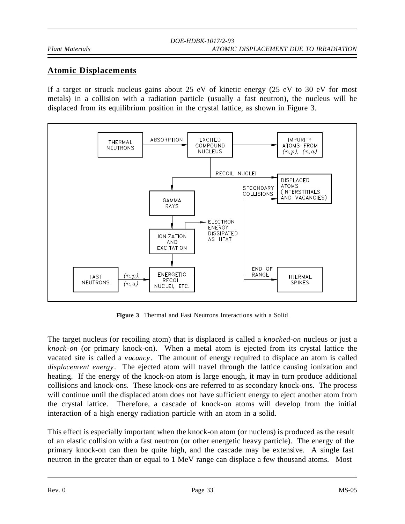# **Atomic [Displacements](#page-51-2)**

If a target or struck nucleus gains about 25 eV of kinetic energy (25 eV to 30 eV for most metals) in a collision with a radiation particle (usually a fast neutron), the nucleus will be displaced from its equilibrium position in the crystal lattice, as shown in Figure 3.



**Figure 3** [Thermal and Fast Neutrons Interactions with a Solid](#page-53-0)

The target nucleus (or recoiling atom) that is displaced is called a *knocked-on* nucleus or just a *knock-on* (or primary knock-on). When a metal atom is ejected from its crystal lattice the vacated site is called a *vacancy*. The amount of energy required to displace an atom is called *displacement energy*. The ejected atom will travel through the lattice causing ionization and heating. If the energy of the knock-on atom is large enough, it may in turn produce additional collisions and knock-ons. These knock-ons are referred to as secondary knock-ons. The process will continue until the displaced atom does not have sufficient energy to eject another atom from the crystal lattice. Therefore, a cascade of knock-on atoms will develop from the initial interaction of a high energy radiation particle with an atom in a solid.

This effect is especially important when the knock-on atom (or nucleus) is produced as the result of an elastic collision with a fast neutron (or other energetic heavy particle). The energy of the primary knock-on can then be quite high, and the cascade may be extensive. A single fast neutron in the greater than or equal to 1 MeV range can displace a few thousand atoms. Most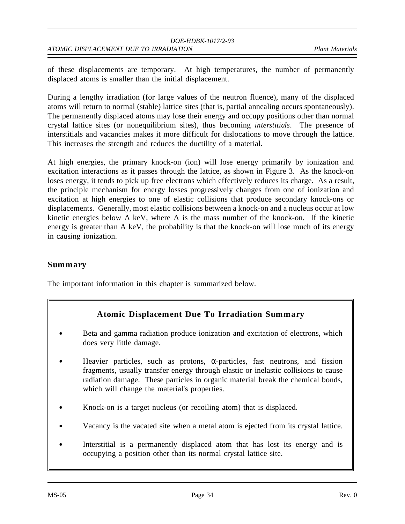of these displacements are temporary. At high temperatures, the number of permanently displaced atoms is smaller than the initial displacement.

During a lengthy irradiation (for large values of the neutron fluence), many of the displaced atoms will return to normal (stable) lattice sites (that is, partial annealing occurs spontaneously). The permanently displaced atoms may lose their energy and occupy positions other than normal crystal lattice sites (or nonequilibrium sites), thus becoming *interstitials*. The presence of interstitials and vacancies makes it more difficult for dislocations to move through the lattice. This increases the strength and reduces the ductility of a material.

At high energies, the primary knock-on (ion) will lose energy primarily by ionization and excitation interactions as it passes through the lattice, as shown in Figure 3. As the knock-on loses energy, it tends to pick up free electrons which effectively reduces its charge. As a result, the principle mechanism for energy losses progressively changes from one of ionization and excitation at high energies to one of elastic collisions that produce secondary knock-ons or displacements. Generally, most elastic collisions between a knock-on and a nucleus occur at low kinetic energies below A keV, where A is the mass number of the knock-on. If the kinetic energy is greater than A keV, the probability is that the knock-on will lose much of its energy in causing ionization.

#### **[Summary](#page-51-2)**

The important information in this chapter is summarized below.

# **Atomic Displacement Due To Irradiation Summary**

- Beta and gamma radiation produce ionization and excitation of electrons, which  $\bullet$ does very little damage.
- Heavier particles, such as protons,  $\alpha$ -particles, fast neutrons, and fission  $\bullet$ fragments, usually transfer energy through elastic or inelastic collisions to cause radiation damage. These particles in organic material break the chemical bonds, which will change the material's properties.
- Knock-on is a target nucleus (or recoiling atom) that is displaced.  $\bullet$
- Vacancy is the vacated site when a metal atom is ejected from its crystal lattice.
- Interstitial is a permanently displaced atom that has lost its energy and is occupying a position other than its normal crystal lattice site.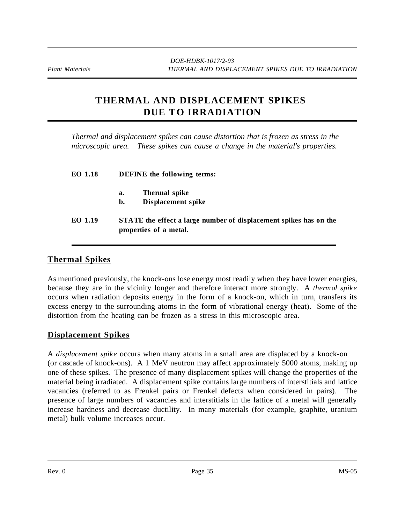# **[THERMAL AND DISPLACEMENT SPIKES](#page-51-2)  DUE TO IRRADIATION**

*Thermal and displacement spikes can cause distortion that is frozen as stress in the microscopic area. These spikes can cause a change in the material's properties.*

| EO 1.18 | <b>DEFINE</b> the following terms:                                                          |
|---------|---------------------------------------------------------------------------------------------|
|         | Thermal spike<br>a.                                                                         |
|         | Displacement spike<br>b.                                                                    |
| EO 1.19 | STATE the effect a large number of displacement spikes has on the<br>properties of a metal. |
|         |                                                                                             |

### **[Thermal](#page-51-2) Spikes**

As mentioned previously, the knock-ons lose energy most readily when they have lower energies, because they are in the vicinity longer and therefore interact more strongly. A *thermal spike* occurs when radiation deposits energy in the form of a knock-on, which in turn, transfers its excess energy to the surrounding atoms in the form of vibrational energy (heat). Some of the distortion from the heating can be frozen as a stress in this microscopic area.

# **[Displacement](#page-51-2) Spikes**

A *displacement spike* occurs when many atoms in a small area are displaced by a knock-on (or cascade of knock-ons). A 1 MeV neutron may affect approximately 5000 atoms, making up one of these spikes. The presence of many displacement spikes will change the properties of the material being irradiated. A displacement spike contains large numbers of interstitials and lattice vacancies (referred to as Frenkel pairs or Frenkel defects when considered in pairs). The presence of large numbers of vacancies and interstitials in the lattice of a metal will generally increase hardness and decrease ductility. In many materials (for example, graphite, uranium metal) bulk volume increases occur.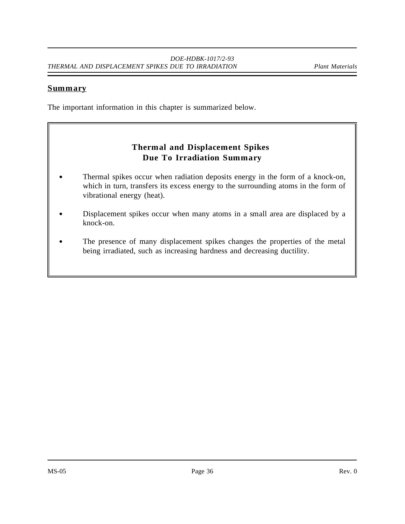#### **[Summary](#page-51-2)**

The important information in this chapter is summarized below.

# **Thermal and Displacement Spikes Due To Irradiation Summary**

- Thermal spikes occur when radiation deposits energy in the form of a knock-on,  $\bullet$ which in turn, transfers its excess energy to the surrounding atoms in the form of vibrational energy (heat).
- $\bullet$ Displacement spikes occur when many atoms in a small area are displaced by a knock-on.
- The presence of many displacement spikes changes the properties of the metal  $\bullet$ being irradiated, such as increasing hardness and decreasing ductility.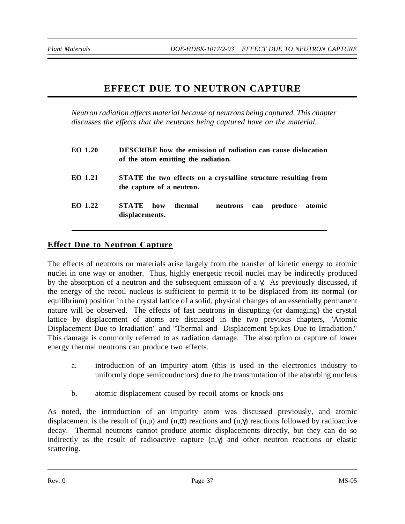*Plant Materials DOE-HDBK-1017/2-93 EFFECT DUE TO NEUTRON CAPTURE*

# **[EFFECT DUE TO NEUTRON CAPTURE](#page-51-2)**

*Neutron radiation affects material because of neutrons being captured. This chapter discusses the effects that the neutrons being captured have on the material.*

| EO 1.20 | <b>DESCRIBE</b> how the emission of radiation can cause dislocation<br>of the atom emitting the radiation. |
|---------|------------------------------------------------------------------------------------------------------------|
| EO 1.21 | STATE the two effects on a crystalline structure resulting from<br>the capture of a neutron.               |
| EO 1.22 | can produce<br>thermal<br>STATE.<br>how.<br>atomic<br>neutrons<br>displacements.                           |

# **Effect Due to Neutron [Capture](#page-51-2)**

The effects of neutrons on materials arise largely from the transfer of kinetic energy to atomic nuclei in one way or another. Thus, highly energetic recoil nuclei may be indirectly produced by the absorption of a neutron and the subsequent emission of a γ. As previously discussed, if the energy of the recoil nucleus is sufficient to permit it to be displaced from its normal (or equilibrium) position in the crystal lattice of a solid, physical changes of an essentially permanent nature will be observed. The effects of fast neutrons in disrupting (or damaging) the crystal lattice by displacement of atoms are discussed in the two previous chapters, "Atomic Displacement Due to Irradiation" and "Thermal and Displacement Spikes Due to Irradiation." This damage is commonly referred to as radiation damage. The absorption or capture of lower energy thermal neutrons can produce two effects.

- a. introduction of an impurity atom (this is used in the electronics industry to uniformly dope semiconductors) due to the transmutation of the absorbing nucleus
- b. atomic displacement caused by recoil atoms or knock-ons

As noted, the introduction of an impurity atom was discussed previously, and atomic displacement is the result of  $(n,p)$  and  $(n,\alpha)$  reactions and  $(n,\gamma)$  reactions followed by radioactive decay. Thermal neutrons cannot produce atomic displacements directly, but they can do so indirectly as the result of radioactive capture  $(n, \gamma)$  and other neutron reactions or elastic scattering.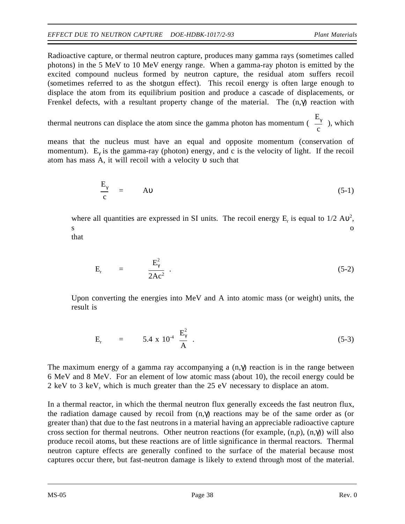Radioactive capture, or thermal neutron capture, produces many gamma rays (sometimes called photons) in the 5 MeV to 10 MeV energy range. When a gamma-ray photon is emitted by the excited compound nucleus formed by neutron capture, the residual atom suffers recoil (sometimes referred to as the shotgun effect). This recoil energy is often large enough to displace the atom from its equilibrium position and produce a cascade of displacements, or Frenkel defects, with a resultant property change of the material. The  $(n, \gamma)$  reaction with

thermal neutrons can displace the atom since the gamma photon has momentum ( $\frac{E_{\gamma}}{4}$ ), which c

means that the nucleus must have an equal and opposite momentum (conservation of momentum).  $E_{\gamma}$  is the gamma-ray (photon) energy, and c is the velocity of light. If the recoil atom has mass A, it will recoil with a velocity υ such that

$$
\frac{E_{\gamma}}{c} = Av \tag{5-1}
$$

where all quantities are expressed in SI units. The recoil energy  $E_r$  is equal to 1/2 Av<sup>2</sup>, s o that

$$
E_r = \frac{E_\gamma^2}{2Ac^2} \tag{5-2}
$$

Upon converting the energies into MeV and A into atomic mass (or weight) units, the result is

$$
E_r = 5.4 \times 10^{-4} \frac{E_{\gamma}^2}{A} \tag{5-3}
$$

The maximum energy of a gamma ray accompanying a (n,γ) reaction is in the range between 6 MeV and 8 MeV. For an element of low atomic mass (about 10), the recoil energy could be 2 keV to 3 keV, which is much greater than the 25 eV necessary to displace an atom.

In a thermal reactor, in which the thermal neutron flux generally exceeds the fast neutron flux, the radiation damage caused by recoil from  $(n,\gamma)$  reactions may be of the same order as (or greater than) that due to the fast neutrons in a material having an appreciable radioactive capture cross section for thermal neutrons. Other neutron reactions (for example,  $(n,p)$ ,  $(n,\gamma)$ ) will also produce recoil atoms, but these reactions are of little significance in thermal reactors. Thermal neutron capture effects are generally confined to the surface of the material because most captures occur there, but fast-neutron damage is likely to extend through most of the material.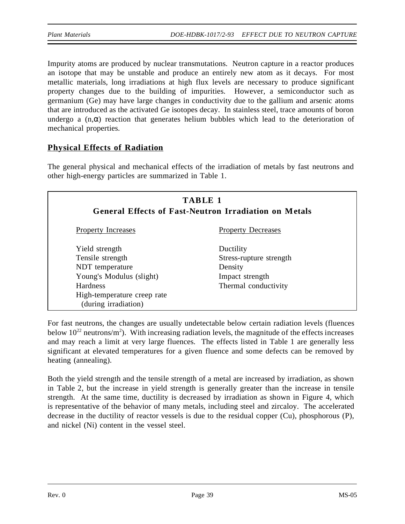Impurity atoms are produced by nuclear transmutations. Neutron capture in a reactor produces an isotope that may be unstable and produce an entirely new atom as it decays. For most metallic materials, long irradiations at high flux levels are necessary to produce significant property changes due to the building of impurities. However, a semiconductor such as germanium (Ge) may have large changes in conductivity due to the gallium and arsenic atoms that are introduced as the activated Ge isotopes decay. In stainless steel, trace amounts of boron undergo a  $(n, \alpha)$  reaction that generates helium bubbles which lead to the deterioration of mechanical properties.

#### **Physical Effects of [Radiation](#page-51-2)**

The general physical and mechanical effects of the irradiation of metals by fast neutrons and other high-energy particles are summarized in Table 1.

|                                                     | TABLE 1<br><b>General Effects of Fast-Neutron Irradiation on Metals</b> |
|-----------------------------------------------------|-------------------------------------------------------------------------|
| <b>Property Increases</b>                           | <b>Property Decreases</b>                                               |
| Yield strength                                      | Ductility                                                               |
| Tensile strength                                    | Stress-rupture strength                                                 |
| NDT temperature                                     | Density                                                                 |
| Young's Modulus (slight)                            | Impact strength                                                         |
| <b>Hardness</b>                                     | Thermal conductivity                                                    |
| High-temperature creep rate<br>(during irradiation) |                                                                         |

For fast neutrons, the changes are usually undetectable below certain radiation levels (fluences below  $10^{22}$  neutrons/m<sup>2</sup>). With increasing radiation levels, the magnitude of the effects increases and may reach a limit at very large fluences. The effects listed in Table 1 are generally less significant at elevated temperatures for a given fluence and some defects can be removed by heating (annealing).

Both the yield strength and the tensile strength of a metal are increased by irradiation, as shown in Table 2, but the increase in yield strength is generally greater than the increase in tensile strength. At the same time, ductility is decreased by irradiation as shown in Figure 4, which is representative of the behavior of many metals, including steel and zircaloy. The accelerated decrease in the ductility of reactor vessels is due to the residual copper (Cu), phosphorous (P), and nickel (Ni) content in the vessel steel.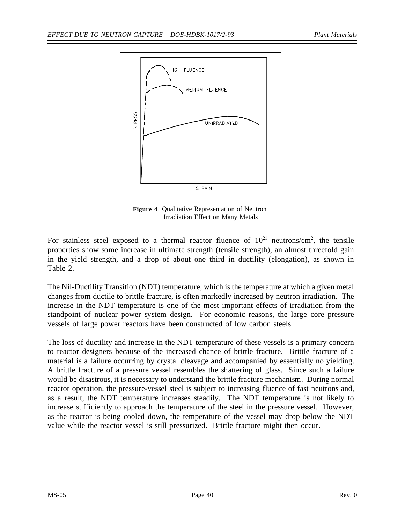

**Figure 4** Qualitative Representation of Neutron  [Irradiation Effect on Many Metals](#page-53-0)

For stainless steel exposed to a thermal reactor fluence of  $10^{21}$  neutrons/cm<sup>2</sup>, the tensile properties show some increase in ultimate strength (tensile strength), an almost threefold gain in the yield strength, and a drop of about one third in ductility (elongation), as shown in Table 2.

The Nil-Ductility Transition (NDT) temperature, which is the temperature at which a given metal changes from ductile to brittle fracture, is often markedly increased by neutron irradiation. The increase in the NDT temperature is one of the most important effects of irradiation from the standpoint of nuclear power system design. For economic reasons, the large core pressure vessels of large power reactors have been constructed of low carbon steels.

The loss of ductility and increase in the NDT temperature of these vessels is a primary concern to reactor designers because of the increased chance of brittle fracture. Brittle fracture of a material is a failure occurring by crystal cleavage and accompanied by essentially no yielding. A brittle fracture of a pressure vessel resembles the shattering of glass. Since such a failure would be disastrous, it is necessary to understand the brittle fracture mechanism. During normal reactor operation, the pressure-vessel steel is subject to increasing fluence of fast neutrons and, as a result, the NDT temperature increases steadily. The NDT temperature is not likely to increase sufficiently to approach the temperature of the steel in the pressure vessel. However, as the reactor is being cooled down, the temperature of the vessel may drop below the NDT value while the reactor vessel is still pressurized. Brittle fracture might then occur.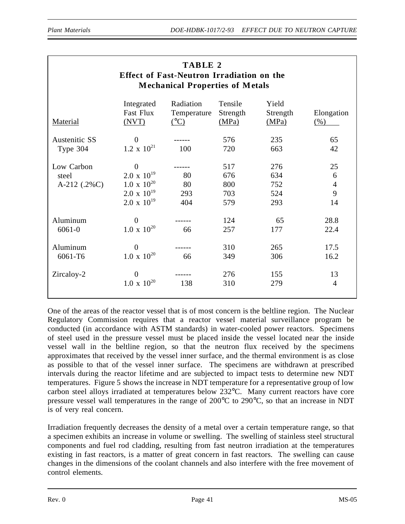|                                        |                                                                                                          | TABLE 2<br><b>Effect of Fast-Neutron Irradiation on the</b><br><b>Mechanical Properties of Metals</b> |                                 |                                 |                                      |
|----------------------------------------|----------------------------------------------------------------------------------------------------------|-------------------------------------------------------------------------------------------------------|---------------------------------|---------------------------------|--------------------------------------|
| Material                               | Integrated<br>Fast Flux<br>(NVT)                                                                         | Radiation<br>Temperature<br>$\binom{°C}{}$                                                            | Tensile<br>Strength<br>(MPa)    | Yield<br>Strength<br>(MPa)      | Elongation<br>(% )                   |
| Austenitic SS<br>Type 304              | $\overline{0}$<br>$1.2 \times 10^{21}$                                                                   | 100                                                                                                   | 576<br>720                      | 235<br>663                      | 65<br>42                             |
| Low Carbon<br>steel<br>A-212 $(.2\%C)$ | $\theta$<br>$2.0 \times 10^{19}$<br>$1.0 \times 10^{20}$<br>$2.0 \times 10^{19}$<br>$2.0 \times 10^{19}$ | 80<br>80<br>293<br>404                                                                                | 517<br>676<br>800<br>703<br>579 | 276<br>634<br>752<br>524<br>293 | 25<br>6<br>$\overline{4}$<br>9<br>14 |
| Aluminum<br>$6061 - 0$                 | $\theta$<br>$1.0 \times 10^{20}$                                                                         | 66                                                                                                    | 124<br>257                      | 65<br>177                       | 28.8<br>22.4                         |
| Aluminum<br>6061-T6                    | $\overline{0}$<br>$1.0 \times 10^{20}$                                                                   | 66                                                                                                    | 310<br>349                      | 265<br>306                      | 17.5<br>16.2                         |
| Zircaloy-2                             | $\theta$<br>$1.0 \times 10^{20}$                                                                         | 138                                                                                                   | 276<br>310                      | 155<br>279                      | 13<br>$\overline{4}$                 |

One of the areas of the reactor vessel that is of most concern is the beltline region. The Nuclear Regulatory Commission requires that a reactor vessel material surveillance program be conducted (in accordance with ASTM standards) in water-cooled power reactors. Specimens of steel used in the pressure vessel must be placed inside the vessel located near the inside vessel wall in the beltline region, so that the neutron flux received by the specimens approximates that received by the vessel inner surface, and the thermal environment is as close as possible to that of the vessel inner surface. The specimens are withdrawn at prescribed intervals during the reactor lifetime and are subjected to impact tests to determine new NDT temperatures. Figure 5 shows the increase in NDT temperature for a representative group of low carbon steel alloys irradiated at temperatures below 232°C. Many current reactors have core pressure vessel wall temperatures in the range of 200°C to 290°C, so that an increase in NDT is of very real concern.

Irradiation frequently decreases the density of a metal over a certain temperature range, so that a specimen exhibits an increase in volume or swelling. The swelling of stainless steel structural components and fuel rod cladding, resulting from fast neutron irradiation at the temperatures existing in fast reactors, is a matter of great concern in fast reactors. The swelling can cause changes in the dimensions of the coolant channels and also interfere with the free movement of control elements.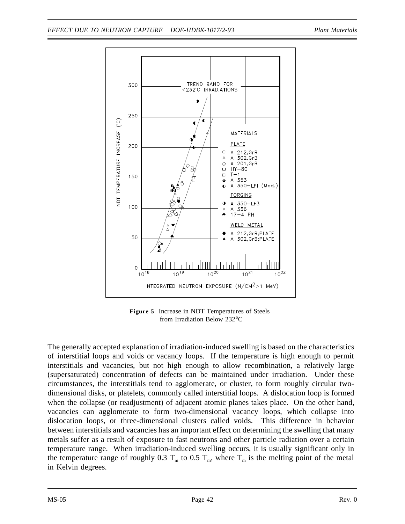

**Figure 5** [Increase in NDT Temperatures of Steels](#page-53-0)  from Irradiation Below 232°C

The generally accepted explanation of irradiation-induced swelling is based on the characteristics of interstitial loops and voids or vacancy loops. If the temperature is high enough to permit interstitials and vacancies, but not high enough to allow recombination, a relatively large (supersaturated) concentration of defects can be maintained under irradiation. Under these circumstances, the interstitials tend to agglomerate, or cluster, to form roughly circular twodimensional disks, or platelets, commonly called interstitial loops. A dislocation loop is formed when the collapse (or readjustment) of adjacent atomic planes takes place. On the other hand, vacancies can agglomerate to form two-dimensional vacancy loops, which collapse into dislocation loops, or three-dimensional clusters called voids. This difference in behavior between interstitials and vacancies has an important effect on determining the swelling that many metals suffer as a result of exposure to fast neutrons and other particle radiation over a certain temperature range. When irradiation-induced swelling occurs, it is usually significant only in the temperature range of roughly 0.3  $T_m$  to 0.5  $T_m$ , where  $T_m$  is the melting point of the metal in Kelvin degrees.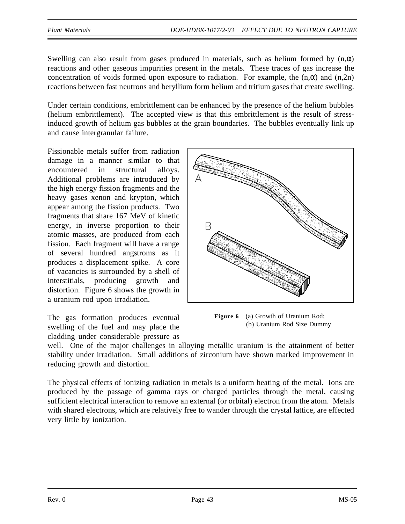Swelling can also result from gases produced in materials, such as helium formed by  $(n,\alpha)$ reactions and other gaseous impurities present in the metals. These traces of gas increase the concentration of voids formed upon exposure to radiation. For example, the  $(n, \alpha)$  and  $(n, 2n)$ reactions between fast neutrons and beryllium form helium and tritium gases that create swelling.

Under certain conditions, embrittlement can be enhanced by the presence of the helium bubbles (helium embrittlement). The accepted view is that this embrittlement is the result of stressinduced growth of helium gas bubbles at the grain boundaries. The bubbles eventually link up and cause intergranular failure.

Fissionable metals suffer from radiation damage in a manner similar to that encountered in structural alloys. Additional problems are introduced by the high energy fission fragments and the heavy gases xenon and krypton, which appear among the fission products. Two fragments that share 167 MeV of kinetic energy, in inverse proportion to their atomic masses, are produced from each fission. Each fragment will have a range of several hundred angstroms as it produces a displacement spike. A core of vacancies is surrounded by a shell of interstitials, producing growth and distortion. Figure 6 shows the growth in a uranium rod upon irradiation.

The gas formation produces eventual swelling of the fuel and may place the cladding under considerable pressure as



Figure 6 (a) Growth of Uranium Rod;  [\(b\) Uranium Rod Size Dummy](#page-53-0)

well. One of the major challenges in alloying metallic uranium is the attainment of better stability under irradiation. Small additions of zirconium have shown marked improvement in reducing growth and distortion.

The physical effects of ionizing radiation in metals is a uniform heating of the metal. Ions are produced by the passage of gamma rays or charged particles through the metal, causing sufficient electrical interaction to remove an external (or orbital) electron from the atom. Metals with shared electrons, which are relatively free to wander through the crystal lattice, are effected very little by ionization.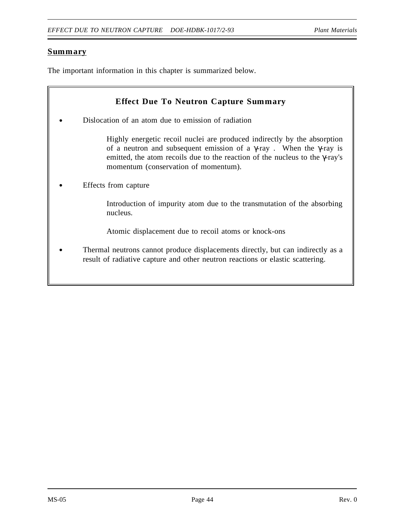#### **[Summary](#page-51-2)**

The important information in this chapter is summarized below.

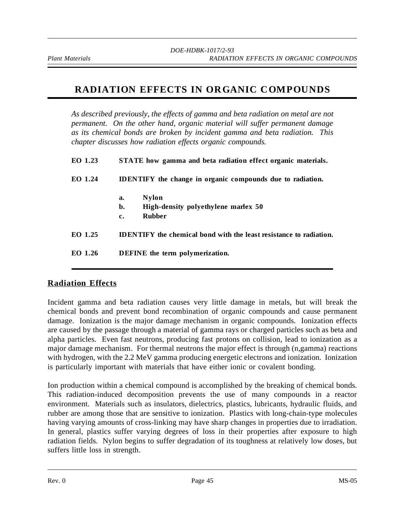# **[RADIATION EFFECTS IN ORGANIC COMPOUNDS](#page-52-0)**

*As described previously, the effects of gamma and beta radiation on metal are not permanent. On the other hand, organic material will suffer permanent damage as its chemical bonds are broken by incident gamma and beta radiation. This chapter discusses how radiation effects organic compounds.*

| EO 1.23   | STATE how gamma and beta radiation effect organic materials.                           |
|-----------|----------------------------------------------------------------------------------------|
| EO 1.24   | <b>IDENTIFY</b> the change in organic compounds due to radiation.                      |
|           | <b>Nylon</b><br>a.<br>High-density polyethylene marlex 50<br>b.<br><b>Rubber</b><br>c. |
| $EO$ 1.25 | <b>IDENTIFY</b> the chemical bond with the least resistance to radiation.              |
| EO 1.26   | <b>DEFINE</b> the term polymerization.                                                 |

# **[Radiation](#page-52-0) Effects**

Incident gamma and beta radiation causes very little damage in metals, but will break the chemical bonds and prevent bond recombination of organic compounds and cause permanent damage. Ionization is the major damage mechanism in organic compounds. Ionization effects are caused by the passage through a material of gamma rays or charged particles such as beta and alpha particles. Even fast neutrons, producing fast protons on collision, lead to ionization as a major damage mechanism. For thermal neutrons the major effect is through (n,gamma) reactions with hydrogen, with the 2.2 MeV gamma producing energetic electrons and ionization. Ionization is particularly important with materials that have either ionic or covalent bonding.

Ion production within a chemical compound is accomplished by the breaking of chemical bonds. This radiation-induced decomposition prevents the use of many compounds in a reactor environment. Materials such as insulators, dielectrics, plastics, lubricants, hydraulic fluids, and rubber are among those that are sensitive to ionization. Plastics with long-chain-type molecules having varying amounts of cross-linking may have sharp changes in properties due to irradiation. In general, plastics suffer varying degrees of loss in their properties after exposure to high radiation fields. Nylon begins to suffer degradation of its toughness at relatively low doses, but suffers little loss in strength.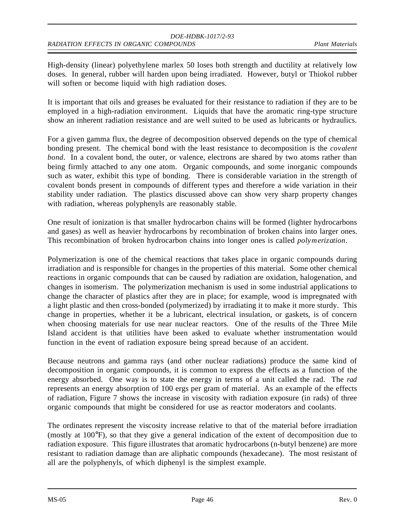High-density (linear) polyethylene marlex 50 loses both strength and ductility at relatively low doses. In general, rubber will harden upon being irradiated. However, butyl or Thiokol rubber will soften or become liquid with high radiation doses.

It is important that oils and greases be evaluated for their resistance to radiation if they are to be employed in a high-radiation environment. Liquids that have the aromatic ring-type structure show an inherent radiation resistance and are well suited to be used as lubricants or hydraulics.

For a given gamma flux, the degree of decomposition observed depends on the type of chemical bonding present. The chemical bond with the least resistance to decomposition is the *covalent bond*. In a covalent bond, the outer, or valence, electrons are shared by two atoms rather than being firmly attached to any one atom. Organic compounds, and some inorganic compounds such as water, exhibit this type of bonding. There is considerable variation in the strength of covalent bonds present in compounds of different types and therefore a wide variation in their stability under radiation. The plastics discussed above can show very sharp property changes with radiation, whereas polyphenyls are reasonably stable.

One result of ionization is that smaller hydrocarbon chains will be formed (lighter hydrocarbons and gases) as well as heavier hydrocarbons by recombination of broken chains into larger ones. This recombination of broken hydrocarbon chains into longer ones is called *polymerization*.

Polymerization is one of the chemical reactions that takes place in organic compounds during irradiation and is responsible for changes in the properties of this material. Some other chemical reactions in organic compounds that can be caused by radiation are oxidation, halogenation, and changes in isomerism. The polymerization mechanism is used in some industrial applications to change the character of plastics after they are in place; for example, wood is impregnated with a light plastic and then cross-bonded (polymerized) by irradiating it to make it more sturdy. This change in properties, whether it be a lubricant, electrical insulation, or gaskets, is of concern when choosing materials for use near nuclear reactors. One of the results of the Three Mile Island accident is that utilities have been asked to evaluate whether instrumentation would function in the event of radiation exposure being spread because of an accident.

Because neutrons and gamma rays (and other nuclear radiations) produce the same kind of decomposition in organic compounds, it is common to express the effects as a function of the energy absorbed. One way is to state the energy in terms of a unit called the rad. The *rad* represents an energy absorption of 100 ergs per gram of material. As an example of the effects of radiation, Figure 7 shows the increase in viscosity with radiation exposure (in rads) of three organic compounds that might be considered for use as reactor moderators and coolants.

The ordinates represent the viscosity increase relative to that of the material before irradiation (mostly at 100°F), so that they give a general indication of the extent of decomposition due to radiation exposure. This figure illustrates that aromatic hydrocarbons (n-butyl benzene) are more resistant to radiation damage than are aliphatic compounds (hexadecane). The most resistant of all are the polyphenyls, of which diphenyl is the simplest example.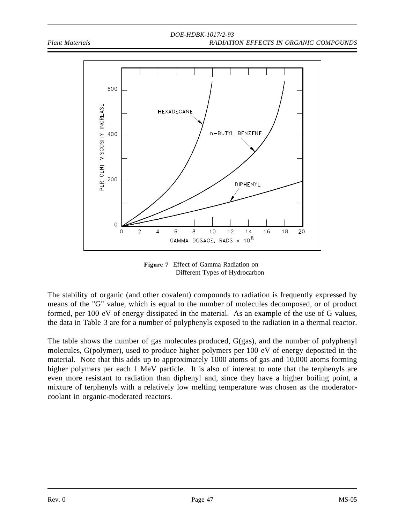

**Figure 7** Effect of Gamma Radiation on  [Different Types of Hydrocarbon](#page-53-0)

The stability of organic (and other covalent) compounds to radiation is frequently expressed by means of the "G" value, which is equal to the number of molecules decomposed, or of product formed, per 100 eV of energy dissipated in the material. As an example of the use of G values, the data in Table 3 are for a number of polyphenyls exposed to the radiation in a thermal reactor.

The table shows the number of gas molecules produced, G(gas), and the number of polyphenyl molecules, G(polymer), used to produce higher polymers per 100 eV of energy deposited in the material. Note that this adds up to approximately 1000 atoms of gas and 10,000 atoms forming higher polymers per each 1 MeV particle. It is also of interest to note that the terphenyls are even more resistant to radiation than diphenyl and, since they have a higher boiling point, a mixture of terphenyls with a relatively low melting temperature was chosen as the moderatorcoolant in organic-moderated reactors.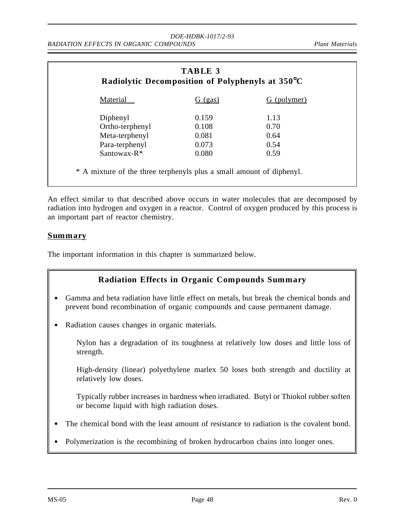| <b>TABLE 3</b><br>Radiolytic Decomposition of Polyphenyls at 350°C |           |             |
|--------------------------------------------------------------------|-----------|-------------|
| Material                                                           | $G$ (gas) | G (polymer) |
| Diphenyl                                                           | 0.159     | 1.13        |
| Ortho-terphenyl                                                    | 0.108     | 0.70        |
| Meta-terphenyl                                                     | 0.081     | 0.64        |
| Para-terphenyl                                                     | 0.073     | 0.54        |
| Santowax- $R^*$                                                    | 0.080     | 0.59        |

An effect similar to that described above occurs in water molecules that are decomposed by radiation into hydrogen and oxygen in a reactor. Control of oxygen produced by this process is an important part of reactor chemistry.

#### **[Summary](#page-52-0)**

The important information in this chapter is summarized below.

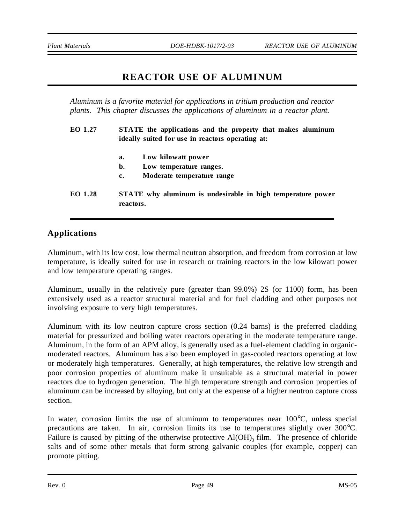# **[REACTOR USE OF ALUMINUM](#page-52-0)**

*Aluminum is a favorite material for applications in tritium production and reactor plants. This chapter discusses the applications of aluminum in a reactor plant.*

| EO 1.27 | STATE the applications and the property that makes aluminum<br>ideally suited for use in reactors operating at: |
|---------|-----------------------------------------------------------------------------------------------------------------|
|         | Low kilowatt power<br>a.                                                                                        |
|         | Low temperature ranges.<br>b.                                                                                   |
|         | Moderate temperature range<br>$\mathbf{c}$ .                                                                    |
| EO 1.28 | STATE why aluminum is undesirable in high temperature power<br>reactors.                                        |

## **[Applications](#page-52-0)**

Aluminum, with its low cost, low thermal neutron absorption, and freedom from corrosion at low temperature, is ideally suited for use in research or training reactors in the low kilowatt power and low temperature operating ranges.

Aluminum, usually in the relatively pure (greater than 99.0%) 2S (or 1100) form, has been extensively used as a reactor structural material and for fuel cladding and other purposes not involving exposure to very high temperatures.

Aluminum with its low neutron capture cross section (0.24 barns) is the preferred cladding material for pressurized and boiling water reactors operating in the moderate temperature range. Aluminum, in the form of an APM alloy, is generally used as a fuel-element cladding in organicmoderated reactors. Aluminum has also been employed in gas-cooled reactors operating at low or moderately high temperatures. Generally, at high temperatures, the relative low strength and poor corrosion properties of aluminum make it unsuitable as a structural material in power reactors due to hydrogen generation. The high temperature strength and corrosion properties of aluminum can be increased by alloying, but only at the expense of a higher neutron capture cross section.

In water, corrosion limits the use of aluminum to temperatures near 100°C, unless special precautions are taken. In air, corrosion limits its use to temperatures slightly over 300°C. Failure is caused by pitting of the otherwise protective  $Al(OH)$ <sub>3</sub> film. The presence of chloride salts and of some other metals that form strong galvanic couples (for example, copper) can promote pitting.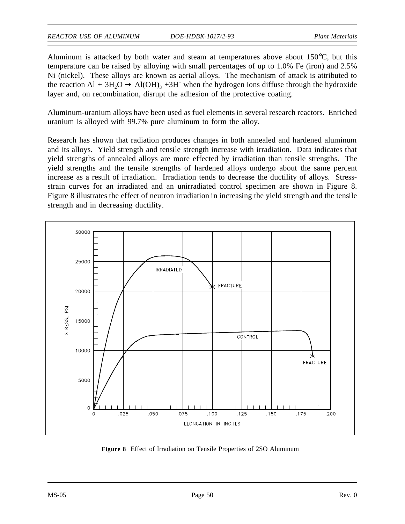Aluminum is attacked by both water and steam at temperatures above about  $150^{\circ}$ C, but this temperature can be raised by alloying with small percentages of up to 1.0% Fe (iron) and 2.5% Ni (nickel). These alloys are known as aerial alloys. The mechanism of attack is attributed to the reaction Al +  $3H_2O \rightarrow Al(OH)_3 + 3H^+$  when the hydrogen ions diffuse through the hydroxide layer and, on recombination, disrupt the adhesion of the protective coating.

Aluminum-uranium alloys have been used as fuel elements in several research reactors. Enriched uranium is alloyed with 99.7% pure aluminum to form the alloy.

Research has shown that radiation produces changes in both annealed and hardened aluminum and its alloys. Yield strength and tensile strength increase with irradiation. Data indicates that yield strengths of annealed alloys are more effected by irradiation than tensile strengths. The yield strengths and the tensile strengths of hardened alloys undergo about the same percent increase as a result of irradiation. Irradiation tends to decrease the ductility of alloys. Stressstrain curves for an irradiated and an unirradiated control specimen are shown in Figure 8. Figure 8 illustrates the effect of neutron irradiation in increasing the yield strength and the tensile strength and in decreasing ductility.



**Figure 8** [Effect of Irradiation on Tensile Properties of 2SO Aluminum](#page-53-0)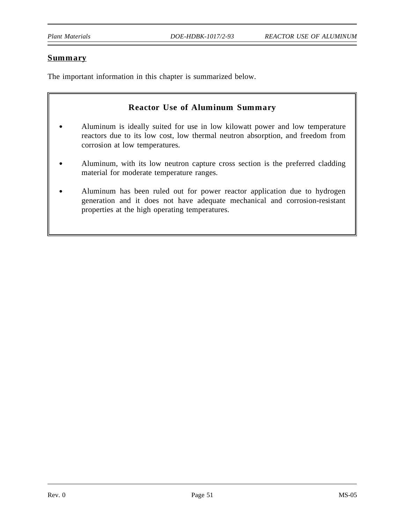#### **[Summary](#page-52-0)**

The important information in this chapter is summarized below.

#### **Reactor Use of Aluminum Summary**

- Aluminum is ideally suited for use in low kilowatt power and low temperature  $\bullet$ reactors due to its low cost, low thermal neutron absorption, and freedom from corrosion at low temperatures.
- Aluminum, with its low neutron capture cross section is the preferred cladding  $\bullet$ material for moderate temperature ranges.
- Aluminum has been ruled out for power reactor application due to hydrogen generation and it does not have adequate mechanical and corrosion-resistant properties at the high operating temperatures.